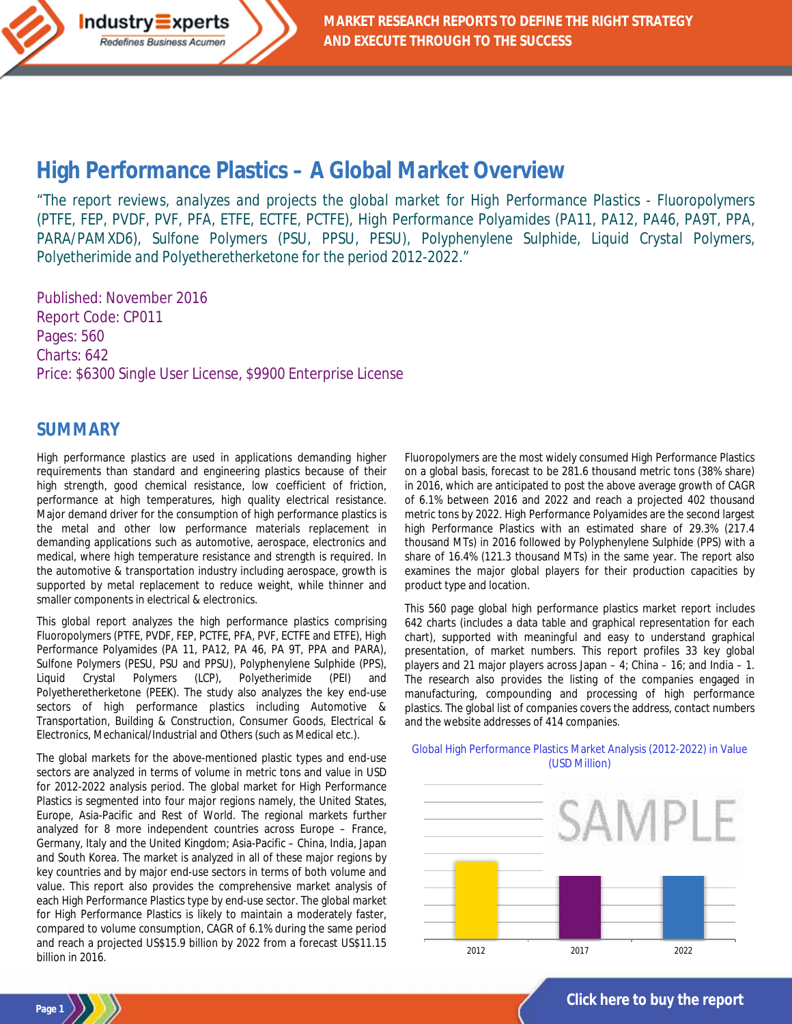# **High Performance Plastics – [A Global Market Overview](http://industry-experts.com/verticals/chemicals-and-materials/high-performance-plastics-a-global-market-overview)**

*"The report reviews, analyzes and projects the global market for High Performance Plastics - Fluoropolymers (PTFE, FEP, PVDF, PVF, PFA, ETFE, ECTFE, PCTFE), High Performance Polyamides (PA11, PA12, PA46, PA9T, PPA, PARA/PAMXD6), Sulfone Polymers (PSU, PPSU, PESU), Polyphenylene Sulphide, Liquid Crystal Polymers, Polyetherimide and Polyetheretherketone for the period 2012-2022."*

Published: November 2016 Report Code: CP011 Pages: 560 Charts: 642 Price: \$6300 Single User License, \$9900 Enterprise License

Industry<sup>E</sup>xperts Redefines Business Acumen

#### **SUMMARY**

**Page 1**

High performance plastics are used in applications demanding higher requirements than standard and engineering plastics because of their high strength, good chemical resistance, low coefficient of friction, performance at high temperatures, high quality electrical resistance. Major demand driver for the consumption of high performance plastics is the metal and other low performance materials replacement in demanding applications such as automotive, aerospace, electronics and medical, where high temperature resistance and strength is required. In the automotive & transportation industry including aerospace, growth is supported by metal replacement to reduce weight, while thinner and smaller components in electrical & electronics.

This global report analyzes the high performance plastics comprising Fluoropolymers (PTFE, PVDF, FEP, PCTFE, PFA, PVF, ECTFE and ETFE), High Performance Polyamides (PA 11, PA12, PA 46, PA 9T, PPA and PARA), Sulfone Polymers (PESU, PSU and PPSU), Polyphenylene Sulphide (PPS), Liquid Crystal Polymers (LCP), Polyetherimide (PEI) and Polyetheretherketone (PEEK). The study also analyzes the key end-use sectors of high performance plastics including Automotive & Transportation, Building & Construction, Consumer Goods, Electrical & Electronics, Mechanical/Industrial and Others (such as Medical etc.).

The global markets for the above-mentioned plastic types and end-use sectors are analyzed in terms of volume in metric tons and value in USD for 2012-2022 analysis period. The global market for High Performance Plastics is segmented into four major regions namely, the United States, Europe, Asia-Pacific and Rest of World. The regional markets further analyzed for 8 more independent countries across Europe – France, Germany, Italy and the United Kingdom; Asia-Pacific – China, India, Japan and South Korea. The market is analyzed in all of these major regions by key countries and by major end-use sectors in terms of both volume and value. This report also provides the comprehensive market analysis of each High Performance Plastics type by end-use sector. The global market for High Performance Plastics is likely to maintain a moderately faster, compared to volume consumption, CAGR of 6.1% during the same period and reach a projected US\$15.9 billion by 2022 from a forecast US\$11.15 billion in 2016.

Fluoropolymers are the most widely consumed High Performance Plastics on a global basis, forecast to be 281.6 thousand metric tons (38% share) in 2016, which are anticipated to post the above average growth of CAGR of 6.1% between 2016 and 2022 and reach a projected 402 thousand metric tons by 2022. High Performance Polyamides are the second largest high Performance Plastics with an estimated share of 29.3% (217.4 thousand MTs) in 2016 followed by Polyphenylene Sulphide (PPS) with a share of 16.4% (121.3 thousand MTs) in the same year. The report also examines the major global players for their production capacities by product type and location.

This 560 page global high performance plastics market report includes 642 charts (includes a data table and graphical representation for each chart), supported with meaningful and easy to understand graphical presentation, of market numbers. This report profiles 33 key global players and 21 major players across Japan – 4; China – 16; and India – 1. The research also provides the listing of the companies engaged in manufacturing, compounding and processing of high performance plastics. The global list of companies covers the address, contact numbers and the website addresses of 414 companies.

#### Global High Performance Plastics Market Analysis (2012-2022) in Value (USD Million)



**[Click here to buy the report](http://industry-experts.com/verticals/chemicals-and-materials/high-performance-plastics-a-global-market-overview)**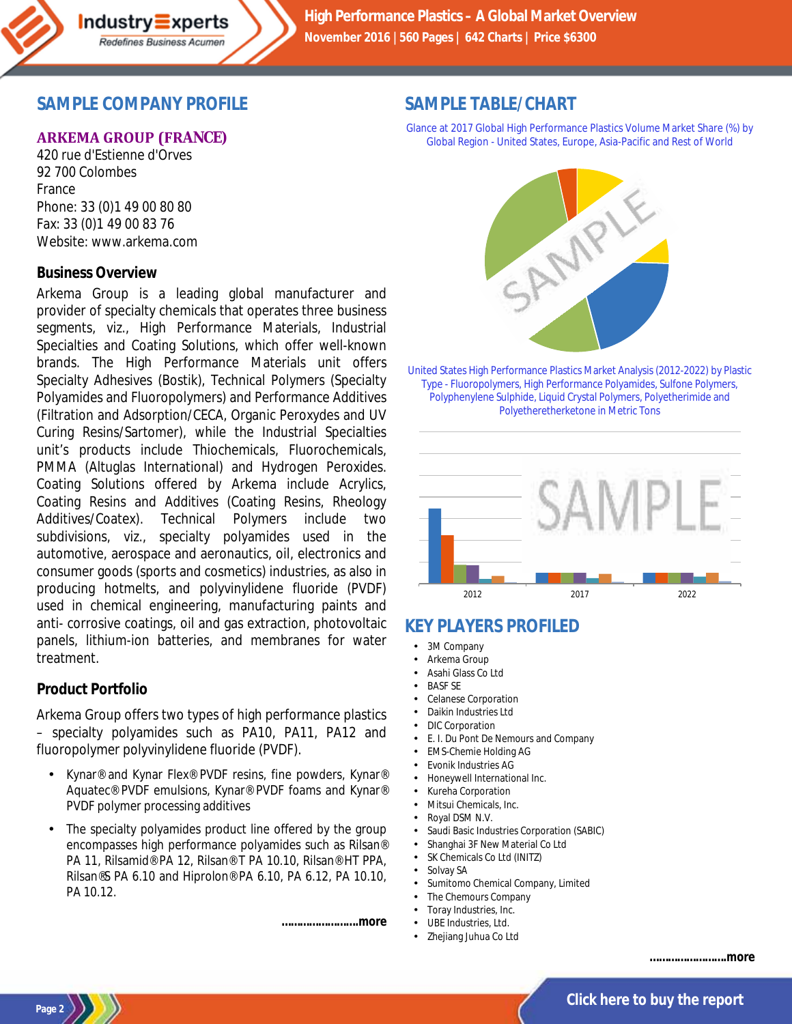

### **SAMPLE COMPANY PROFILE**

#### **ARKEMA GROUP (FRANCE)**

420 rue d'Estienne d'Orves 92 700 Colombes France Phone: 33 (0)1 49 00 80 80 Fax: 33 (0)1 49 00 83 76 Website: www.arkema.com

#### **Business Overview**

Arkema Group is a leading global manufacturer and provider of specialty chemicals that operates three business segments, viz., High Performance Materials, Industrial Specialties and Coating Solutions, which offer well-known brands. The High Performance Materials unit offers Specialty Adhesives (Bostik), Technical Polymers (Specialty Polyamides and Fluoropolymers) and Performance Additives (Filtration and Adsorption/CECA, Organic Peroxydes and UV Curing Resins/Sartomer), while the Industrial Specialties unit's products include Thiochemicals, Fluorochemicals, PMMA (Altuglas International) and Hydrogen Peroxides. Coating Solutions offered by Arkema include Acrylics, Coating Resins and Additives (Coating Resins, Rheology Additives/Coatex). Technical Polymers include two subdivisions, viz., specialty polyamides used in the automotive, aerospace and aeronautics, oil, electronics and consumer goods (sports and cosmetics) industries, as also in producing hotmelts, and polyvinylidene fluoride (PVDF) used in chemical engineering, manufacturing paints and anti- corrosive coatings, oil and gas extraction, photovoltaic panels, lithium-ion batteries, and membranes for water treatment.

#### **Product Portfolio**

Arkema Group offers two types of high performance plastics – specialty polyamides such as PA10, PA11, PA12 and fluoropolymer polyvinylidene fluoride (PVDF).

- Kynar® and Kynar Flex® PVDF resins, fine powders, Kynar® Aquatec® PVDF emulsions, Kynar® PVDF foams and Kynar® PVDF polymer processing additives
- The specialty polyamides product line offered by the group encompasses high performance polyamides such as Rilsan® PA 11, Rilsamid® PA 12, Rilsan® T PA 10.10, Rilsan® HT PPA, Rilsan®S PA 6.10 and Hiprolon® PA 6.10, PA 6.12, PA 10.10, PA 10.12.

*…………………….more*

### **SAMPLE TABLE/CHART**

Glance at 2017 Global High Performance Plastics Volume Market Share (%) by Global Region - United States, Europe, Asia-Pacific and Rest of World



United States High Performance Plastics Market Analysis (2012-2022) by Plastic Type - Fluoropolymers, High Performance Polyamides, Sulfone Polymers, Polyphenylene Sulphide, Liquid Crystal Polymers, Polyetherimide and Polyetheretherketone in Metric Tons



# **KEY PLAYERS PROFILED**

- 3M Company
- Arkema Group
- Asahi Glass Co Ltd
- BASF SE
- Celanese Corporation
- Daikin Industries Ltd
- DIC Corporation
- E. I. Du Pont De Nemours and Company
- EMS-Chemie Holding AG
- Evonik Industries AG
- Honeywell International Inc.
- Kureha Corporation
- Mitsui Chemicals, Inc.
- Royal DSM N.V.
- Saudi Basic Industries Corporation (SABIC)
- Shanghai 3F New Material Co Ltd
- SK Chemicals Co Ltd (INITZ)
- Solvay SA
- Sumitomo Chemical Company, Limited
- The Chemours Company
- Toray Industries, Inc.
- UBE Industries, Ltd.
- Zhejiang Juhua Co Ltd

*…………………….more*



**[Click here to buy the report](http://industry-experts.com/verticals/chemicals-and-materials/high-performance-plastics-a-global-market-overview)**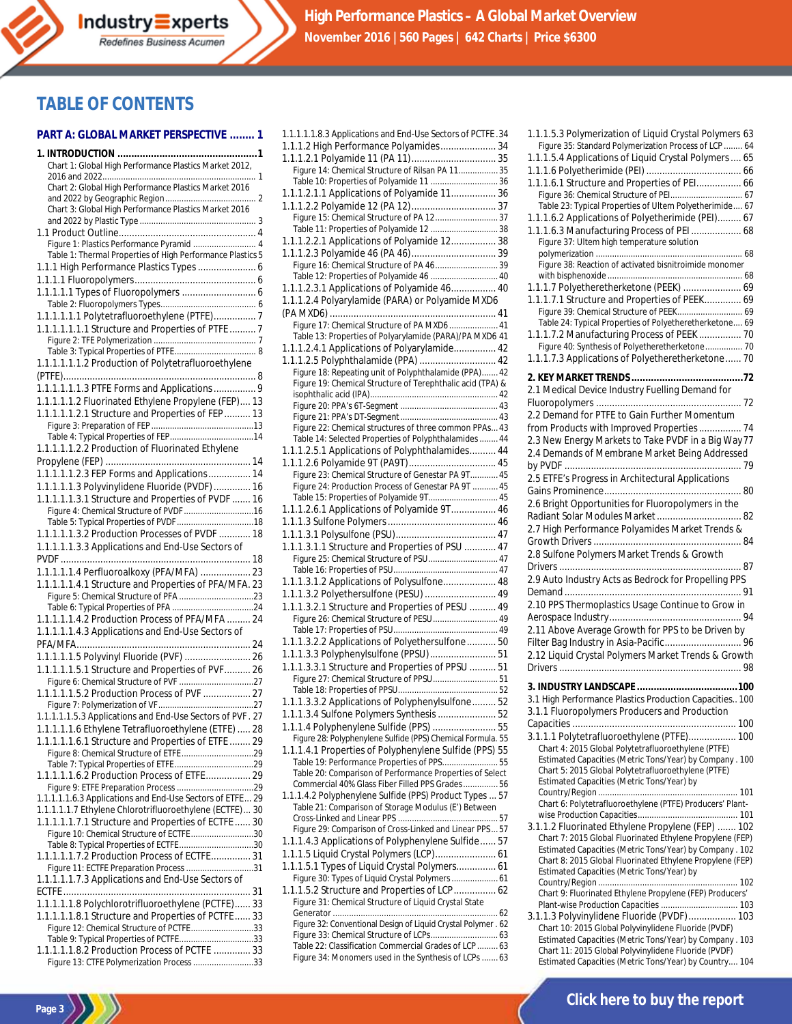# **TABLE OF CONTENTS**

#### **PART A: GLOBAL MARKET PERSPECTIVE ........ 1**

| Chart 1: Global High Performance Plastics Market 2012,                                     |  |
|--------------------------------------------------------------------------------------------|--|
|                                                                                            |  |
| Chart 2: Global High Performance Plastics Market 2016                                      |  |
|                                                                                            |  |
| Chart 3: Global High Performance Plastics Market 2016                                      |  |
|                                                                                            |  |
|                                                                                            |  |
| Figure 1: Plastics Performance Pyramid  4                                                  |  |
| Table 1: Thermal Properties of High Performance Plastics 5                                 |  |
| 1.1.1 High Performance Plastics Types  6                                                   |  |
|                                                                                            |  |
|                                                                                            |  |
|                                                                                            |  |
|                                                                                            |  |
| 1.1.1.1.1.1 Polytetrafluoroethylene (PTFE) 7                                               |  |
| 1.1.1.1.1.1.1 Structure and Properties of PTFE 7                                           |  |
|                                                                                            |  |
|                                                                                            |  |
| 1.1.1.1.1.1.2 Production of Polytetrafluoroethylene                                        |  |
|                                                                                            |  |
|                                                                                            |  |
| 1.1.1.1.1.2 Fluorinated Ethylene Propylene (FEP) 13                                        |  |
| 1.1.1.1.1.2.1 Structure and Properties of FEP 13                                           |  |
|                                                                                            |  |
|                                                                                            |  |
|                                                                                            |  |
| 1.1.1.1.1.2.2 Production of Fluorinated Ethylene                                           |  |
|                                                                                            |  |
| 1.1.1.1.1.2.3 FEP Forms and Applications 14                                                |  |
| 1.1.1.1.1.3 Polyvinylidene Fluoride (PVDF)  16                                             |  |
| 1.1.1.1.1.3.1 Structure and Properties of PVDF  16                                         |  |
| Figure 4: Chemical Structure of PVDF 16                                                    |  |
|                                                                                            |  |
| 1.1.1.1.1.3.2 Production Processes of PVDF  18                                             |  |
|                                                                                            |  |
| 1.1.1.1.1.3.3 Applications and End-Use Sectors of                                          |  |
|                                                                                            |  |
|                                                                                            |  |
|                                                                                            |  |
| 1.1.1.1.1.4 Perfluoroalkoxy (PFA/MFA)  23                                                  |  |
| 1.1.1.1.1.4.1 Structure and Properties of PFA/MFA. 23                                      |  |
|                                                                                            |  |
|                                                                                            |  |
| 1.1.1.1.1.4.2 Production Process of PFA/MFA  24                                            |  |
| 1.1.1.1.1.4.3 Applications and End-Use Sectors of                                          |  |
|                                                                                            |  |
| 1.1.1.1.1.5 Polyvinyl Fluoride (PVF)  26                                                   |  |
| 1.1.1.1.1.5.1 Structure and Properties of PVF 26                                           |  |
|                                                                                            |  |
|                                                                                            |  |
| 1.1.1.1.1.5.2 Production Process of PVF  27                                                |  |
| 1.1.1.1.1.5.3 Applications and End-Use Sectors of PVF. 27                                  |  |
|                                                                                            |  |
| 1.1.1.1.1.6 Ethylene Tetrafluoroethylene (ETFE)  28                                        |  |
| 1.1.1.1.1.6.1 Structure and Properties of ETFE  29                                         |  |
|                                                                                            |  |
|                                                                                            |  |
|                                                                                            |  |
|                                                                                            |  |
| 1.1.1.1.1.6.3 Applications and End-Use Sectors of ETFE 29                                  |  |
| 1.1.1.1.1.7 Ethylene Chlorotrifluoroethylene (ECTFE) 30                                    |  |
| 1.1.1.1.1.7.1 Structure and Properties of ECTFE 30                                         |  |
| Figure 10: Chemical Structure of ECTFE30                                                   |  |
| Table 8: Typical Properties of ECTFE30                                                     |  |
| 1.1.1.1.1.7.2 Production Process of ECTFE 31                                               |  |
| Figure 11: ECTFE Preparation Process 31                                                    |  |
| 1.1.1.1.1.7.3 Applications and End-Use Sectors of                                          |  |
|                                                                                            |  |
|                                                                                            |  |
| 1.1.1.1.1.8 Polychlorotrifluoroethylene (PCTFE) 33                                         |  |
| 1.1.1.1.1.8.1 Structure and Properties of PCTFE 33                                         |  |
| Figure 12: Chemical Structure of PCTFE33                                                   |  |
| Table 9: Typical Properties of PCTFE33                                                     |  |
| 1.1.1.1.1.8.2 Production Process of PCTFE  33<br>Figure 13: CTFE Polymerization Process 33 |  |

| 1.1.1.1.1.8.3 Applications and End-Use Sectors of PCTFE .34                                               |  |
|-----------------------------------------------------------------------------------------------------------|--|
| 1.1.1.2 High Performance Polyamides 34                                                                    |  |
|                                                                                                           |  |
| Figure 14: Chemical Structure of Rilsan PA 11 35                                                          |  |
| Table 10: Properties of Polyamide 11  36                                                                  |  |
| 1.1.1.2.1.1 Applications of Polyamide 11 36                                                               |  |
|                                                                                                           |  |
| Figure 15: Chemical Structure of PA 12 37                                                                 |  |
| Table 11: Properties of Polyamide 12  38                                                                  |  |
| 1.1.1.2.2.1 Applications of Polyamide 12 38                                                               |  |
|                                                                                                           |  |
| Figure 16: Chemical Structure of PA 46 39                                                                 |  |
| Table 12: Properties of Polyamide 46  40                                                                  |  |
|                                                                                                           |  |
| 1.1.1.2.3.1 Applications of Polyamide 46 40                                                               |  |
| 1.1.1.2.4 Polyarylamide (PARA) or Polyamide MXD6                                                          |  |
|                                                                                                           |  |
| Figure 17: Chemical Structure of PA MXD6  41                                                              |  |
| Table 13: Properties of Polyarylamide (PARA)/PA MXD6 41                                                   |  |
| 1.1.1.2.4.1 Applications of Polyarylamide 42                                                              |  |
| 1.1.1.2.5 Polyphthalamide (PPA)  42                                                                       |  |
| Figure 18: Repeating unit of Polyphthalamide (PPA) 42                                                     |  |
| Figure 19: Chemical Structure of Terephthalic acid (TPA) &                                                |  |
|                                                                                                           |  |
|                                                                                                           |  |
|                                                                                                           |  |
| Figure 22: Chemical structures of three common PPAs 43                                                    |  |
| Table 14: Selected Properties of Polyphthalamides  44                                                     |  |
| 1.1.1.2.5.1 Applications of Polyphthalamides 44                                                           |  |
| 1.1.1.2.6 Polyamide 9T (PA9T) 45                                                                          |  |
| Figure 23: Chemical Structure of Genestar PA 9T 45                                                        |  |
| Figure 24: Production Process of Genestar PA 9T  45                                                       |  |
| Table 15: Properties of Polyamide 9T 45                                                                   |  |
| 1.1.1.2.6.1 Applications of Polyamide 9T 46                                                               |  |
|                                                                                                           |  |
|                                                                                                           |  |
| 1.1.1.3.1.1 Structure and Properties of PSU  47                                                           |  |
| Figure 25: Chemical Structure of PSU 47                                                                   |  |
|                                                                                                           |  |
| 1.1.1.3.1.2 Applications of Polysulfone 48                                                                |  |
|                                                                                                           |  |
| 1.1.1.3.2 Polyethersulfone (PESU)  49                                                                     |  |
| 1.1.1.3.2.1 Structure and Properties of PESU  49                                                          |  |
| Figure 26: Chemical Structure of PESU 49                                                                  |  |
|                                                                                                           |  |
| 1.1.1.3.2.2 Applications of Polyethersulfone 50                                                           |  |
| 1.1.1.3.3 Polyphenylsulfone (PPSU)  51                                                                    |  |
| 1.1.1.3.3.1 Structure and Properties of PPSU  51                                                          |  |
| Figure 27: Chemical Structure of PPSU 51                                                                  |  |
|                                                                                                           |  |
| 1.1.1.3.3.2 Applications of Polyphenylsulfone 52                                                          |  |
| 1.1.1.3.4 Sulfone Polymers Synthesis  52                                                                  |  |
| 1.1.1.4 Polyphenylene Sulfide (PPS)  55                                                                   |  |
| Figure 28: Polyphenylene Sulfide (PPS) Chemical Formula. 55                                               |  |
| 1.1.1.4.1 Properties of Polyphenylene Sulfide (PPS) 55                                                    |  |
| Table 19: Performance Properties of PPS 55                                                                |  |
| Table 20: Comparison of Performance Properties of Select                                                  |  |
| Commercial 40% Glass Fiber Filled PPS Grades 56                                                           |  |
| 1.1.1.4.2 Polyphenylene Sulfide (PPS) Product Types  57                                                   |  |
| Table 21: Comparison of Storage Modulus (E') Between                                                      |  |
|                                                                                                           |  |
| Figure 29: Comparison of Cross-Linked and Linear PPS57                                                    |  |
| 1.1.1.4.3 Applications of Polyphenylene Sulfide 57                                                        |  |
| 1.1.1.5 Liquid Crystal Polymers (LCP) 61                                                                  |  |
|                                                                                                           |  |
| 1.1.1.5.1 Types of Liquid Crystal Polymers 61                                                             |  |
| Figure 30: Types of Liquid Crystal Polymers 61                                                            |  |
| 1.1.1.5.2 Structure and Properties of LCP 62                                                              |  |
| Figure 31: Chemical Structure of Liquid Crystal State                                                     |  |
|                                                                                                           |  |
| Figure 32: Conventional Design of Liquid Crystal Polymer . 62<br>Figure 33: Chemical Structure of LCPs 63 |  |
| Table 22: Classification Commercial Grades of LCP 63                                                      |  |
| Figure 34: Monomers used in the Synthesis of LCPs  63                                                     |  |
|                                                                                                           |  |

| 1.1.1.5.3 Polymerization of Liquid Crystal Polymers 63                                                         |
|----------------------------------------------------------------------------------------------------------------|
| Figure 35: Standard Polymerization Process of LCP  64<br>1.1.1.5.4 Applications of Liquid Crystal Polymers  65 |
|                                                                                                                |
| 1.1.1.6.1 Structure and Properties of PEI 66                                                                   |
| Figure 36: Chemical Structure of PEI 67                                                                        |
| Table 23: Typical Properties of Ultem Polyetherimide 67<br>1.1.1.6.2 Applications of Polyetherimide (PEI) 67   |
| 1.1.1.6.3 Manufacturing Process of PEI  68                                                                     |
| Figure 37: Ultem high temperature solution                                                                     |
| Figure 38: Reaction of activated bisnitroimide monomer                                                         |
|                                                                                                                |
| 1.1.1.7 Polyetheretherketone (PEEK)  69                                                                        |
| 1.1.1.7.1 Structure and Properties of PEEK 69                                                                  |
| Figure 39: Chemical Structure of PEEK 69<br>Table 24: Typical Properties of Polyetheretherketone 69            |
| 1.1.1.7.2 Manufacturing Process of PEEK  70                                                                    |
| Figure 40: Synthesis of Polyetheretherketone 70                                                                |
| 1.1.1.7.3 Applications of Polyetheretherketone 70                                                              |
|                                                                                                                |
| 2.1 Medical Device Industry Fuelling Demand for                                                                |
| 2.2 Demand for PTFE to Gain Further Momentum                                                                   |
| from Products with Improved Properties 74                                                                      |
| 2.3 New Energy Markets to Take PVDF in a Big Way 77                                                            |
| 2.4 Demands of Membrane Market Being Addressed                                                                 |
|                                                                                                                |
| 2.5 ETFE's Progress in Architectural Applications                                                              |
| 2.6 Bright Opportunities for Fluoropolymers in the                                                             |
| Radiant Solar Modules Market 82                                                                                |
| 2.7 High Performance Polyamides Market Trends &                                                                |
|                                                                                                                |
| 2.8 Sulfone Polymers Market Trends & Growth                                                                    |
| 2.9 Auto Industry Acts as Bedrock for Propelling PPS                                                           |
|                                                                                                                |
| 2.10 PPS Thermoplastics Usage Continue to Grow in                                                              |
| 2.11 Above Average Growth for PPS to be Driven by                                                              |
| Filter Bag Industry in Asia-Pacific 96                                                                         |
| 2.12 Liquid Crystal Polymers Market Trends & Growth                                                            |
|                                                                                                                |
|                                                                                                                |
| 3.1 High Performance Plastics Production Capacities 100                                                        |
| 3.1.1 Fluoropolymers Producers and Production                                                                  |
| 3.1.1.1 Polytetrafluoroethylene (PTFE) 100                                                                     |
| Chart 4: 2015 Global Polytetrafluoroethylene (PTFE)                                                            |
| Estimated Capacities (Metric Tons/Year) by Company. 100                                                        |
| Chart 5: 2015 Global Polytetrafluoroethylene (PTFE)<br>Estimated Capacities (Metric Tons/Year) by              |
|                                                                                                                |
| Chart 6: Polytetrafluoroethylene (PTFE) Producers' Plant-                                                      |
| 3.1.1.2 Fluorinated Ethylene Propylene (FEP)  102                                                              |
| Chart 7: 2015 Global Fluorinated Ethylene Propylene (FEP)                                                      |
| Estimated Capacities (Metric Tons/Year) by Company. 102                                                        |
| Chart 8: 2015 Global Fluorinated Ethylene Propylene (FEP)<br>Estimated Capacities (Metric Tons/Year) by        |
|                                                                                                                |
| Chart 9: Fluorinated Ethylene Propylene (FEP) Producers'                                                       |
| Plant-wise Production Capacities  103<br>3.1.1.3 Polyvinylidene Fluoride (PVDF)  103                           |
| Chart 10: 2015 Global Polyvinylidene Fluoride (PVDF)                                                           |
| Estimated Capacities (Metric Tons/Year) by Company . 103                                                       |
| Chart 11: 2015 Global Polyvinylidene Fluoride (PVDF)<br>Estimated Capacities (Metric Tons/Year) by Country 104 |
|                                                                                                                |

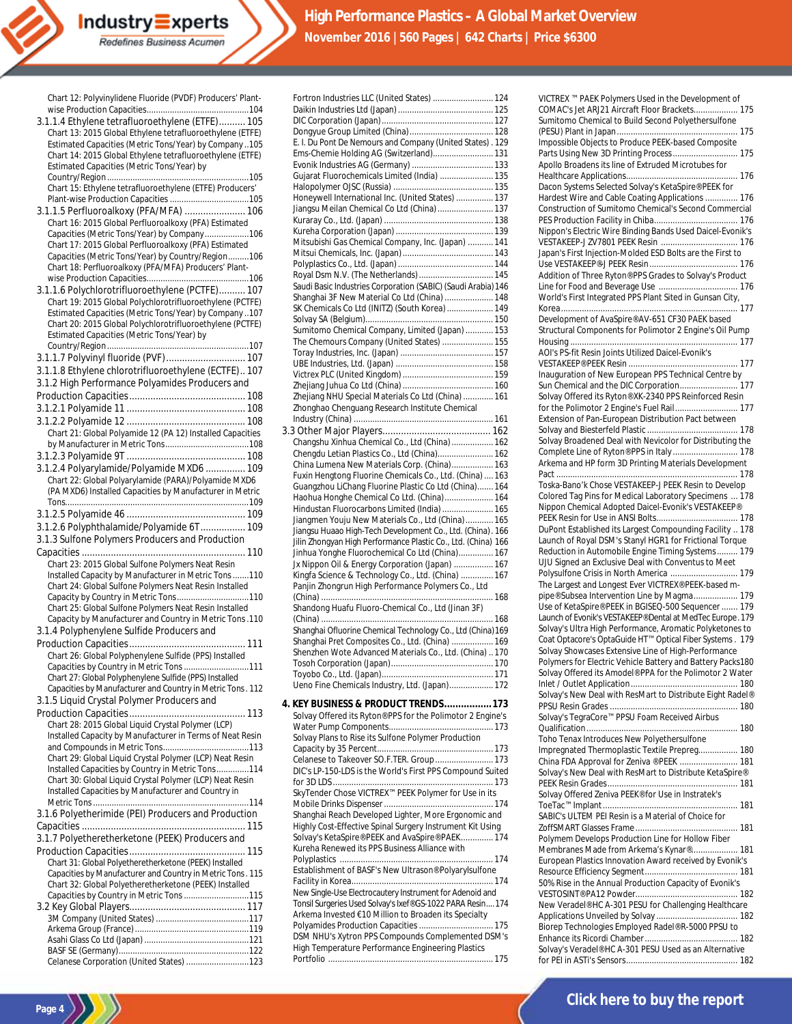| Chart 12: Polyvinylidene Fluoride (PVDF) Producers' Plant-                                                      |
|-----------------------------------------------------------------------------------------------------------------|
| 3.1.1.4 Ethylene tetrafluoroethylene (ETFE) 105                                                                 |
| Chart 13: 2015 Global Ethylene tetrafluoroethylene (ETFE)                                                       |
| Estimated Capacities (Metric Tons/Year) by Company 105                                                          |
| Chart 14: 2015 Global Ethylene tetrafluoroethylene (ETFE)                                                       |
| Estimated Capacities (Metric Tons/Year) by                                                                      |
|                                                                                                                 |
| Chart 15: Ethylene tetrafluoroethylene (ETFE) Producers'                                                        |
| 3.1.1.5 Perfluoroalkoxy (PFA/MFA)  106                                                                          |
| Chart 16: 2015 Global Perfluoroalkoxy (PFA) Estimated                                                           |
| Capacities (Metric Tons/Year) by Company106                                                                     |
| Chart 17: 2015 Global Perfluoroalkoxy (PFA) Estimated                                                           |
| Capacities (Metric Tons/Year) by Country/Region106                                                              |
| Chart 18: Perfluoroalkoxy (PFA/MFA) Producers' Plant-                                                           |
| 3.1.1.6 Polychlorotrifluoroethylene (PCTFE) 107                                                                 |
| Chart 19: 2015 Global Polychlorotrifluoroethylene (PCTFE)                                                       |
| Estimated Capacities (Metric Tons/Year) by Company107                                                           |
| Chart 20: 2015 Global Polychlorotrifluoroethylene (PCTFE)                                                       |
| Estimated Capacities (Metric Tons/Year) by                                                                      |
|                                                                                                                 |
| 3.1.1.7 Polyvinyl fluoride (PVF)  107                                                                           |
| 3.1.1.8 Ethylene chlorotrifluoroethylene (ECTFE) 107<br>3.1.2 High Performance Polyamides Producers and         |
|                                                                                                                 |
|                                                                                                                 |
|                                                                                                                 |
| Chart 21: Global Polyamide 12 (PA 12) Installed Capacities                                                      |
|                                                                                                                 |
|                                                                                                                 |
| 3.1.2.4 Polyarylamide/Polyamide MXD6  109                                                                       |
| Chart 22: Global Polyarylamide (PARA)/Polyamide MXD6                                                            |
| (PA MXD6) Installed Capacities by Manufacturer in Metric                                                        |
|                                                                                                                 |
| 3.1.2.6 Polyphthalamide/Polyamide 6T 109                                                                        |
|                                                                                                                 |
|                                                                                                                 |
| 3.1.3 Sulfone Polymers Producers and Production                                                                 |
|                                                                                                                 |
| Chart 23: 2015 Global Sulfone Polymers Neat Resin                                                               |
| Installed Capacity by Manufacturer in Metric Tons 110<br>Chart 24: Global Sulfone Polymers Neat Resin Installed |
| Capacity by Country in Metric Tons110                                                                           |
| Chart 25: Global Sulfone Polymers Neat Resin Installed                                                          |
| Capacity by Manufacturer and Country in Metric Tons. 110                                                        |
| 3.1.4 Polyphenylene Sulfide Producers and                                                                       |
|                                                                                                                 |
| Chart 26: Global Polyphenylene Sulfide (PPS) Installed                                                          |
| Capacities by Country in Metric Tons 111<br>Chart 27: Global Polyphenylene Sulfide (PPS) Installed              |
| Capacities by Manufacturer and Country in Metric Tons. 112                                                      |
| 3.1.5 Liquid Crystal Polymer Producers and                                                                      |
|                                                                                                                 |
| Chart 28: 2015 Global Liquid Crystal Polymer (LCP)                                                              |
| Installed Capacity by Manufacturer in Terms of Neat Resin                                                       |
| Chart 29: Global Liquid Crystal Polymer (LCP) Neat Resin                                                        |
| Installed Capacities by Country in Metric Tons114                                                               |
| Chart 30: Global Liquid Crystal Polymer (LCP) Neat Resin                                                        |
| Installed Capacities by Manufacturer and Country in                                                             |
|                                                                                                                 |
| 3.1.6 Polyetherimide (PEI) Producers and Production                                                             |
|                                                                                                                 |
| 3.1.7 Polyetheretherketone (PEEK) Producers and                                                                 |
| Chart 31: Global Polyetheretherketone (PEEK) Installed                                                          |
| Capacities by Manufacturer and Country in Metric Tons. 115                                                      |
| Chart 32: Global Polyetheretherketone (PEEK) Installed                                                          |
| Capacities by Country in Metric Tons 115                                                                        |
|                                                                                                                 |
|                                                                                                                 |
|                                                                                                                 |
| Celanese Corporation (United States) 123                                                                        |

| Fortron Industries LLC (United States)  124                                                                         |  |
|---------------------------------------------------------------------------------------------------------------------|--|
|                                                                                                                     |  |
|                                                                                                                     |  |
|                                                                                                                     |  |
| E. I. Du Pont De Nemours and Company (United States) . 129<br>Ems-Chemie Holding AG (Switzerland) 131               |  |
|                                                                                                                     |  |
| Gujarat Fluorochemicals Limited (India)  135                                                                        |  |
|                                                                                                                     |  |
| Honeywell International Inc. (United States)  137                                                                   |  |
| Jiangsu Meilan Chemical Co Ltd (China)  137                                                                         |  |
|                                                                                                                     |  |
|                                                                                                                     |  |
| Mitsubishi Gas Chemical Company, Inc. (Japan)  141                                                                  |  |
|                                                                                                                     |  |
|                                                                                                                     |  |
| Royal Dsm N.V. (The Netherlands)  145                                                                               |  |
| Saudi Basic Industries Corporation (SABIC) (Saudi Arabia) 146                                                       |  |
| Shanqhai 3F New Material Co Ltd (China)  148                                                                        |  |
| SK Chemicals Co Ltd (INITZ) (South Korea)  149                                                                      |  |
| Sumitomo Chemical Company, Limited (Japan)  153                                                                     |  |
| The Chemours Company (United States)  155                                                                           |  |
|                                                                                                                     |  |
|                                                                                                                     |  |
|                                                                                                                     |  |
|                                                                                                                     |  |
| Zhejiang NHU Special Materials Co Ltd (China)  161                                                                  |  |
| Zhonghao Chenguang Research Institute Chemical                                                                      |  |
|                                                                                                                     |  |
|                                                                                                                     |  |
| Changshu Xinhua Chemical Co., Ltd (China)  162                                                                      |  |
| Chengdu Letian Plastics Co., Ltd (China) 162<br>China Lumena New Materials Corp. (China) 163                        |  |
| Fuxin Hengtong Fluorine Chemicals Co., Ltd. (China)  163                                                            |  |
| Guangzhou LiChang Fluorine Plastic Co Ltd (China) 164                                                               |  |
| Haohua Honghe Chemical Co Ltd. (China) 164                                                                          |  |
| Hindustan Fluorocarbons Limited (India)  165                                                                        |  |
| Jiangmen Youju New Materials Co., Ltd (China) 165                                                                   |  |
| Jiangsu Huaao High-Tech Development Co., Ltd. (China). 166                                                          |  |
| Jilin Zhongyan High Performance Plastic Co., Ltd. (China) 166                                                       |  |
| Jinhua Yonghe Fluorochemical Co Ltd (China) 167                                                                     |  |
| Jx Nippon Oil & Energy Corporation (Japan)  167                                                                     |  |
| Kingfa Science & Technology Co., Ltd. (China)  167<br>Panjin Zhongrun High Performance Polymers Co., Ltd            |  |
|                                                                                                                     |  |
| Shandong Huafu Fluoro-Chemical Co., Ltd (Jinan 3F)                                                                  |  |
|                                                                                                                     |  |
| Shanghai Ofluorine Chemical Technology Co., Ltd (China) 169                                                         |  |
| Shanghai Pret Composites Co., Ltd. (China)  169                                                                     |  |
| Shenzhen Wote Advanced Materials Co., Ltd. (China) 170                                                              |  |
|                                                                                                                     |  |
|                                                                                                                     |  |
|                                                                                                                     |  |
| Ueno Fine Chemicals Industry, Ltd. (Japan) 172                                                                      |  |
| 4. KEY BUSINESS & PRODUCT TRENDS 173                                                                                |  |
| Solvay Offered its Ryton® PPS for the Polimotor 2 Engine's                                                          |  |
|                                                                                                                     |  |
| Solvay Plans to Rise its Sulfone Polymer Production                                                                 |  |
|                                                                                                                     |  |
| Celanese to Takeover SO.F.TER. Group 173                                                                            |  |
| DIC's LP-150-LDS is the World's First PPS Compound Suited                                                           |  |
|                                                                                                                     |  |
| SkyTender Chose VICTREX™ PEEK Polymer for Use in its                                                                |  |
| Shanghai Reach Developed Lighter, More Ergonomic and                                                                |  |
| Highly Cost-Effective Spinal Surgery Instrument Kit Using                                                           |  |
| Solvay's KetaSpire® PEEK and AvaSpire® PAEK 174                                                                     |  |
| Kureha Renewed its PPS Business Alliance with                                                                       |  |
|                                                                                                                     |  |
| Establishment of BASF's New Ultrason® Polyarylsulfone                                                               |  |
|                                                                                                                     |  |
| New Single-Use Electrocautery Instrument for Adenoid and                                                            |  |
| Tonsil Surgeries Used Solvay's Ixef® GS-1022 PARA Resin 174<br>Arkema Invested €10 Million to Broaden its Specialty |  |
| Polyamides Production Capacities  175                                                                               |  |
| DSM NHU's Xytron PPS Compounds Complemented DSM's                                                                   |  |
| High Temperature Performance Engineering Plastics                                                                   |  |

| VICTREX ™ PAEK Polymers Used in the Development of         |
|------------------------------------------------------------|
| COMAC's Jet ARJ21 Aircraft Floor Brackets 175              |
| Sumitomo Chemical to Build Second Polyethersulfone         |
|                                                            |
|                                                            |
| Impossible Objects to Produce PEEK-based Composite         |
| Parts Using New 3D Printing Process 175                    |
| Apollo Broadens its line of Extruded Microtubes for        |
|                                                            |
|                                                            |
| Dacon Systems Selected Solvay's KetaSpire® PEEK for        |
| Hardest Wire and Cable Coating Applications  176           |
| Construction of Sumitomo Chemical's Second Commercial      |
|                                                            |
|                                                            |
| Nippon's Electric Wire Binding Bands Used Daicel-Evonik's  |
| VESTAKEEP-J ZV7801 PEEK Resin  176                         |
| Japan's First Injection-Molded ESD Bolts are the First to  |
|                                                            |
|                                                            |
| Addition of Three Ryton® PPS Grades to Solvay's Product    |
|                                                            |
| World's First Integrated PPS Plant Sited in Gunsan City,   |
|                                                            |
|                                                            |
| Development of AvaSpire® AV-651 CF30 PAEK based            |
| Structural Components for Polimotor 2 Engine's Oil Pump    |
|                                                            |
| AOI's PS-fit Resin Joints Utilized Daicel-Evonik's         |
|                                                            |
|                                                            |
| Inauguration of New European PPS Technical Centre by       |
| Sun Chemical and the DIC Corporation 177                   |
| Solvay Offered its Ryton® XK-2340 PPS Reinforced Resin     |
| for the Polimotor 2 Engine's Fuel Rail 177                 |
|                                                            |
| Extension of Pan-European Distribution Pact between        |
|                                                            |
| Solvay Broadened Deal with Nevicolor for Distributing the  |
| Complete Line of Ryton® PPS in Italy  178                  |
| Arkema and HP form 3D Printing Materials Development       |
|                                                            |
|                                                            |
| Toska-Bano'k Chose VESTAKEEP-J PEEK Resin to Develop       |
| Colored Tag Pins for Medical Laboratory Specimens  178     |
| Nippon Chemical Adopted Daicel-Evonik's VESTAKEEP®         |
|                                                            |
|                                                            |
| DuPont Established its Largest Compounding Facility  178   |
| Launch of Royal DSM's Stanyl HGR1 for Frictional Torque    |
| Reduction in Automobile Engine Timing Systems 179          |
| UJU Signed an Exclusive Deal with Conventus to Meet        |
| Polysulfone Crisis in North America  179                   |
|                                                            |
|                                                            |
| The Largest and Longest Ever VICTREX® PEEK-based m-        |
| pipe® Subsea Intervention Line by Magma 179                |
|                                                            |
| Use of KetaSpire® PEEK in BGISEQ-500 Sequencer  179        |
| Launch of Evonik's VESTAKEEP® Dental at MedTec Europe. 179 |
| Solvay's Ultra High Performance, Aromatic Polyketones to   |
| Coat Optacore's OptaGuide HT™ Optical Fiber Systems . 179  |
| Solvay Showcases Extensive Line of High-Performance        |
|                                                            |
| Polymers for Electric Vehicle Battery and Battery Packs180 |
| Solvay Offered its Amodel® PPA for the Polimotor 2 Water   |
|                                                            |
| Solvay's New Deal with ResMart to Distribute Eight Radel®  |
|                                                            |
|                                                            |
| Solvay's TegraCore™ PPSU Foam Received Airbus              |
|                                                            |
| Toho Tenax Introduces New Polyethersulfone                 |
| Impregnated Thermoplastic Textile Prepreg 180              |
|                                                            |
| China FDA Approval for Zeniva ® PEEK  181                  |
| Solvay's New Deal with ResMart to Distribute KetaSpire®    |
|                                                            |
| Solvay Offered Zeniva PEEK® for Use in Instratek's         |
|                                                            |
| SABIC's ULTEM PEI Resin is a Material of Choice for        |
|                                                            |
|                                                            |
| Polymem Develops Production Line for Hollow Fiber          |
| Membranes Made from Arkema's Kynar® 181                    |
| European Plastics Innovation Award received by Evonik's    |
|                                                            |
| 50% Rise in the Annual Production Capacity of Evonik's     |
|                                                            |
|                                                            |
| New Veradel® HC A-301 PESU for Challenging Healthcare      |
|                                                            |
| Biorep Technologies Employed Radel® R-5000 PPSU to         |
|                                                            |
|                                                            |
| Solvay's Veradel® HC A-301 PESU Used as an Alternative     |

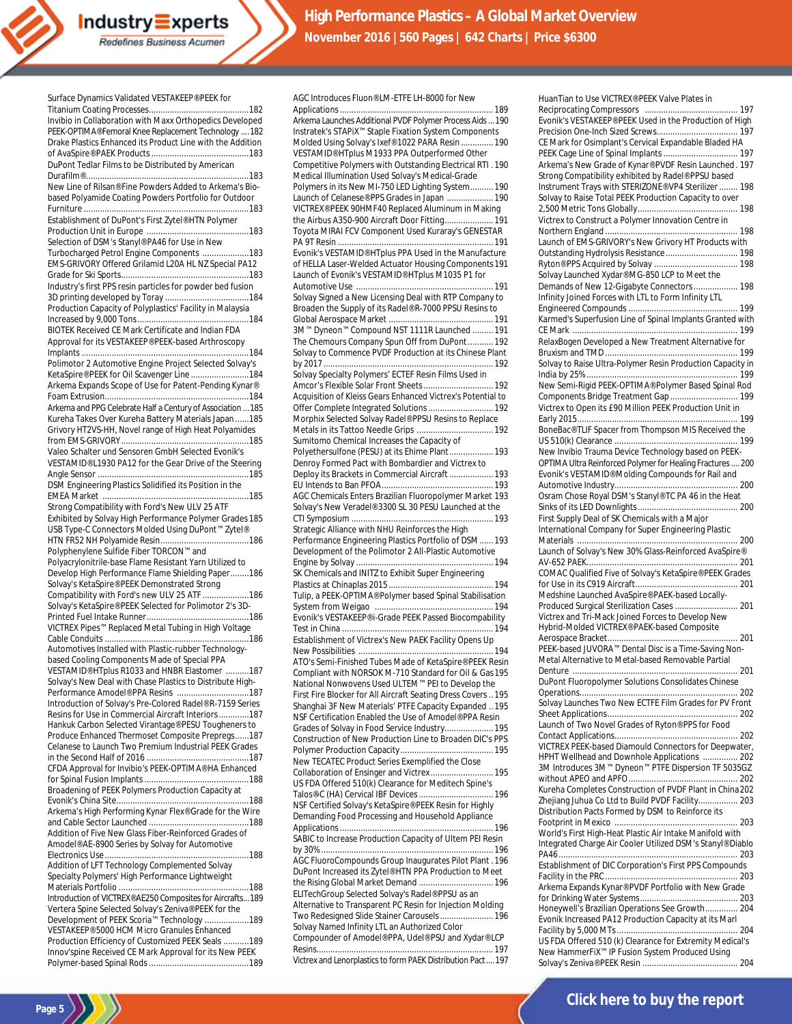Surface Dynamics Validated VESTAKEEP® PEEK for

| Invibio in Collaboration with Maxx Orthopedics Developed                                                  |  |
|-----------------------------------------------------------------------------------------------------------|--|
| PEEK-OPTIMA® Femoral Knee Replacement Technology  182                                                     |  |
| Drake Plastics Enhanced its Product Line with the Addition                                                |  |
|                                                                                                           |  |
| DuPont Tedlar Films to be Distributed by American                                                         |  |
|                                                                                                           |  |
| New Line of Rilsan® Fine Powders Added to Arkema's Bio-                                                   |  |
| based Polyamide Coating Powders Portfolio for Outdoor                                                     |  |
| Establishment of DuPont's First Zytel® HTN Polymer                                                        |  |
|                                                                                                           |  |
| Selection of DSM's Stanyl® PA46 for Use in New                                                            |  |
| Turbocharged Petrol Engine Components  183                                                                |  |
| EMS-GRIVORY Offered Grilamid L20A HL NZ Special PA12                                                      |  |
|                                                                                                           |  |
| Industry's first PPS resin particles for powder bed fusion                                                |  |
|                                                                                                           |  |
| Production Capacity of Polyplastics' Facility in Malaysia                                                 |  |
|                                                                                                           |  |
| BIOTEK Received CE Mark Certificate and Indian FDA<br>Approval for its VESTAKEEP® PEEK-based Arthroscopy  |  |
|                                                                                                           |  |
| Polimotor 2 Automotive Engine Project Selected Solvay's                                                   |  |
| KetaSpire® PEEK for Oil Scavenger Line  184                                                               |  |
| Arkema Expands Scope of Use for Patent-Pending Kynar®                                                     |  |
|                                                                                                           |  |
| Arkema and PPG Celebrate Half a Century of Association  185                                               |  |
| Kureha Takes Over Kureha Battery Materials Japan185                                                       |  |
| Grivory HT2VS-HH, Novel range of High Heat Polyamides                                                     |  |
|                                                                                                           |  |
| Valeo Schalter und Sensoren GmbH Selected Evonik's                                                        |  |
| VESTAMID® L1930 PA12 for the Gear Drive of the Steering                                                   |  |
| DSM Engineering Plastics Solidified its Position in the                                                   |  |
|                                                                                                           |  |
| Strong Compatibility with Ford's New ULV 25 ATF                                                           |  |
| Exhibited by Solvay High Performance Polymer Grades 185                                                   |  |
| USB Type-C Connectors Molded Using DuPont™ Zytel®                                                         |  |
|                                                                                                           |  |
|                                                                                                           |  |
| Polyphenylene Sulfide Fiber TORCON™ and                                                                   |  |
| Polyacrylonitrile-base Flame Resistant Yarn Utilized to                                                   |  |
| Develop High Performance Flame Shielding Paper186                                                         |  |
| Solvay's KetaSpire® PEEK Demonstrated Strong                                                              |  |
| Compatibility with Ford's new ULV 25 ATF 186                                                              |  |
| Solvay's KetaSpire® PEEK Selected for Polimotor 2's 3D-                                                   |  |
|                                                                                                           |  |
| VICTREX Pipes™ Replaced Metal Tubing in High Voltage                                                      |  |
| Automotives Installed with Plastic-rubber Technology-                                                     |  |
| based Cooling Components Made of Special PPA                                                              |  |
| VESTAMID® HTplus R1033 and HNBR Elastomer 187                                                             |  |
| Solvay's New Deal with Chase Plastics to Distribute High-                                                 |  |
| Performance Amodel® PPA Resins 187                                                                        |  |
| Introduction of Solvay's Pre-Colored Radel® R-7159 Series                                                 |  |
| Resins for Use in Commercial Aircraft Interiors187                                                        |  |
| Hankuk Carbon Selected Virantage® PESU Tougheners to                                                      |  |
| Produce Enhanced Thermoset Composite Prepregs187<br>Celanese to Launch Two Premium Industrial PEEK Grades |  |
|                                                                                                           |  |
| CFDA Approval for Invibio's PEEK-OPTIMA® HA Enhanced                                                      |  |
|                                                                                                           |  |
| Broadening of PEEK Polymers Production Capacity at                                                        |  |
|                                                                                                           |  |
| Arkema's High Performing Kynar Flex® Grade for the Wire                                                   |  |
| Addition of Five New Glass Fiber-Reinforced Grades of                                                     |  |
| Amodel® AE-8900 Series by Solvay for Automotive                                                           |  |
|                                                                                                           |  |
| Addition of LFT Technology Complemented Solvay                                                            |  |
| Specialty Polymers' High Performance Lightweight                                                          |  |
|                                                                                                           |  |
| Introduction of VICTREX® AE250 Composites for Aircrafts 189                                               |  |
| Vertera Spine Selected Solvay's Zeniva® PEEK for the                                                      |  |
| Development of PEEK Scoria™ Technology 189<br>VESTAKEEP® 5000 HCM Micro Granules Enhanced                 |  |
| Production Efficiency of Customized PEEK Seals  189                                                       |  |
| Innov'spine Received CE Mark Approval for its New PEEK                                                    |  |

Page 5

AGC Introduces Fluon® LM-ETFE LH-8000 for New Applications.................................................................. 189 Arkema Launches Additional PVDF Polymer Process Aids...190 Instratek's STAPiX™ Staple Fixation System Components Molded Using Solvay's Ixef® 1022 PARA Resin.............. 190 VESTAMID® HTplus M1933 PPA Outperformed Other Competitive Polymers with Outstanding Electrical RTI .190 Medical Illumination Used Solvay's Medical-Grade Polymers in its New MI-750 LED Lighting System.......... 190 Launch of Celanese® PPS Grades in Japan .................... 190 VICTREX® PEEK 90HMF40 Replaced Aluminum in Making the Airbus A350-900 Aircraft Door Fitting..................... 191 Toyota MIRAI FCV Component Used Kuraray's GENESTAR PA 9T Resin ................................................................... 191 Evonik's VESTAMID® HTplus PPA Used in the Manufacture of HELLA Laser-Welded Actuator Housing Components191 Launch of Evonik's VESTAMID® HTplus M1035 P1 for Automotive Use .................... Solvay Signed a New Licensing Deal with RTP Company to Broaden the Supply of its Radel® R-7000 PPSU Resins to Global Aerospace Market ............................................. 191 3M™ Dyneon™ Compound NST 1111R Launched ......... 191 The Chemours Company Spun Off from DuPont........... 192 Solvay to Commence PVDF Production at its Chinese Plant by 2017 ......................................................................... 192 Solvay Specialty Polymers' ECTEF Resin Films Used in Amcor's Flexible Solar Front Sheets.............................. 192 Acquisition of Kleiss Gears Enhanced Victrex's Potential to Offer Complete Integrated Solutions............................ 192 Morphix Selected Solvay Radel® PPSU Resins to Replace Metals in its Tattoo Needle Grips ................................. 192 Sumitomo Chemical Increases the Capacity of Polyethersulfone (PESU) at its Ehime Plant................... 193 Denroy Formed Pact with Bombardier and Victrex to Deploy its Brackets in Commercial Aircraft................... 193 EU Intends to Ban PFOA................................................ 193 AGC Chemicals Enters Brazilian Fluoropolymer Market 193 Solvay's New Veradel® 3300 SL 30 PESU Launched at the CTI Symposium ............................................................. 193 Strategic Alliance with NHU Reinforces the High Performance Engineering Plastics Portfolio of DSM......193 Development of the Polimotor 2 All-Plastic Automotive Engine by Solvay ........................................................... 194 SK Chemicals and INITZ to Exhibit Super Engineering<br>Plastics at Chinaplas 2015 Plastics at Chinaplas 2015 ............................................. 194 Tulip, a PEEK-OPTIMA® Polymer based Spinal Stabilisation System from Weigao ................................................... 194 Evonik's VESTAKEEP® i-Grade PEEK Passed Biocompability Test in China ................................................................. 194 Establishment of Victrex's New PAEK Facility Opens Up New Possibilities .......................................................... 194 ATO's Semi-Finished Tubes Made of KetaSpire® PEEK Resin Compliant with NORSOK M-710 Standard for Oil & Gas195 National Nonwovens Used ULTEM™ PEI to Develop the First Fire Blocker for All Aircraft Seating Dress Covers ..195 Shanghai 3F New Materials' PTFE Capacity Expanded ..195 NSF Certification Enabled the Use of Amodel® PPA Resin Grades of Solvay in Food Service Industry..................... 195 Construction of New Production Line to Broaden DIC's PPS Polymer Production Capacity........................................ 195 New TECATEC Product Series Exemplified the Close Collaboration of Ensinger and Victrex ........................... 195 US FDA Offered 510(k) Clearance for Meditech Spine's Talos®-C (HA) Cervical IBF Devices................................ 196 NSF Certified Solvay's KetaSpire® PEEK Resin for Highly Demanding Food Processing and Household Appliance Applications.................................................................. 196 SABIC to Increase Production Capacity of Ultem PEI Resin by 30% .......................................................................... 196 AGC FluoroCompounds Group Inaugurates Pilot Plant .196 DuPont Increased its Zytel® HTN PPA Production to Meet the Rising Global Market Demand ................................ 196 ELITechGroup Selected Solvay's Radel® PPSU as an Alternative to Transparent PC Resin for Injection Molding Two Redesigned Slide Stainer Carousels....................... 196 Solvay Named Infinity LTL an Authorized Color Compounder of Amodel® PPA, Udel® PSU and Xydar® LCP Resins............................................................................ 197

Victrex and Lenorplastics to form PAEK Distribution Pact....197

| HuanTian to Use VICTREX® PEEK Valve Plates in                                                         |
|-------------------------------------------------------------------------------------------------------|
|                                                                                                       |
| Evonik's VESTAKEEP® PEEK Used in the Production of High                                               |
|                                                                                                       |
| CE Mark for Osimplant's Cervical Expandable Bladed HA                                                 |
| Arkema's New Grade of Kynar® PVDF Resin Launched. 197                                                 |
| Strong Compatibility exhibited by Radel® PPSU based                                                   |
| Instrument Trays with STERIZONE® VP4 Sterilizer  198                                                  |
| Solvay to Raise Total PEEK Production Capacity to over                                                |
|                                                                                                       |
| Victrex to Construct a Polymer Innovation Centre in                                                   |
|                                                                                                       |
| Launch of EMS-GRIVORY's New Grivory HT Products with                                                  |
|                                                                                                       |
|                                                                                                       |
| Solvay Launched Xydar® MG-850 LCP to Meet the                                                         |
| Demands of New 12-Gigabyte Connectors 198                                                             |
| Infinity Joined Forces with LTL to Form Infinity LTL                                                  |
| Karmed's Superfusion Line of Spinal Implants Granted with                                             |
|                                                                                                       |
| RelaxBogen Developed a New Treatment Alternative for                                                  |
|                                                                                                       |
| Solvay to Raise Ultra-Polymer Resin Production Capacity in                                            |
|                                                                                                       |
| New Semi-Rigid PEEK-OPTIMA® Polymer Based Spinal Rod                                                  |
| Components Bridge Treatment Gap  199                                                                  |
| Victrex to Open its £90 Million PEEK Production Unit in                                               |
| BoneBac® TLIF Spacer from Thompson MIS Received the                                                   |
|                                                                                                       |
| New Invibio Trauma Device Technology based on PEEK-                                                   |
| OPTIMA Ultra Reinforced Polymer for Healing Fractures  200                                            |
| Evonik's VESTAMID® Molding Compounds for Rail and                                                     |
|                                                                                                       |
| Osram Chose Royal DSM's Stanyl® TC PA 46 in the Heat                                                  |
|                                                                                                       |
| First Supply Deal of SK Chemicals with a Major<br>International Company for Super Engineering Plastic |
|                                                                                                       |
| Launch of Solvay's New 30% Glass-Reinforced AvaSpire®                                                 |
|                                                                                                       |
| COMAC Qualified Five of Solvay's KetaSpire® PEEK Grades                                               |
|                                                                                                       |
| Medshine Launched AvaSpire® PAEK-based Locally-                                                       |
| Produced Surgical Sterilization Cases  201<br>Victrex and Tri-Mack Joined Forces to Develop New       |
| Hybrid-Molded VICTREX® PAEK-based Composite                                                           |
|                                                                                                       |
| PEEK-based JUVORA™ Dental Disc is a Time-Saving Non-                                                  |
| Metal Alternative to Metal-based Removable Partial                                                    |
|                                                                                                       |
| DuPont Fluoropolymer Solutions Consolidates Chinese                                                   |
| Solvay Launches Two New ECTFE Film Grades for PV Front                                                |
|                                                                                                       |
| Launch of Two Novel Grades of Ryton® PPS for Food                                                     |
|                                                                                                       |
| VICTREX PEEK-based Diamould Connectors for Deepwater,                                                 |
| HPHT Wellhead and Downhole Applications  202                                                          |
| 3M Introduces 3M™ Dyneon™ PTFE Dispersion TF 5035GZ                                                   |
| Kureha Completes Construction of PVDF Plant in China 202                                              |
| Zhejiang Juhua Co Ltd to Build PVDF Facility 203                                                      |
| Distribution Pacts Formed by DSM to Reinforce its                                                     |
|                                                                                                       |
| World's First High-Heat Plastic Air Intake Manifold with                                              |
| Integrated Charge Air Cooler Utilized DSM's Stanyl® Diablo                                            |
|                                                                                                       |
| Establishment of DIC Corporation's First PPS Compounds                                                |
| Arkema Expands Kynar® PVDF Portfolio with New Grade                                                   |
|                                                                                                       |
| Honeywell's Brazilian Operations See Growth 204                                                       |
| Evonik Increased PA12 Production Capacity at its Marl                                                 |
|                                                                                                       |
| US FDA Offered 510 (k) Clearance for Extremity Medical's                                              |
| New HammerFiX <sup>™</sup> IP Fusion System Produced Using                                            |
|                                                                                                       |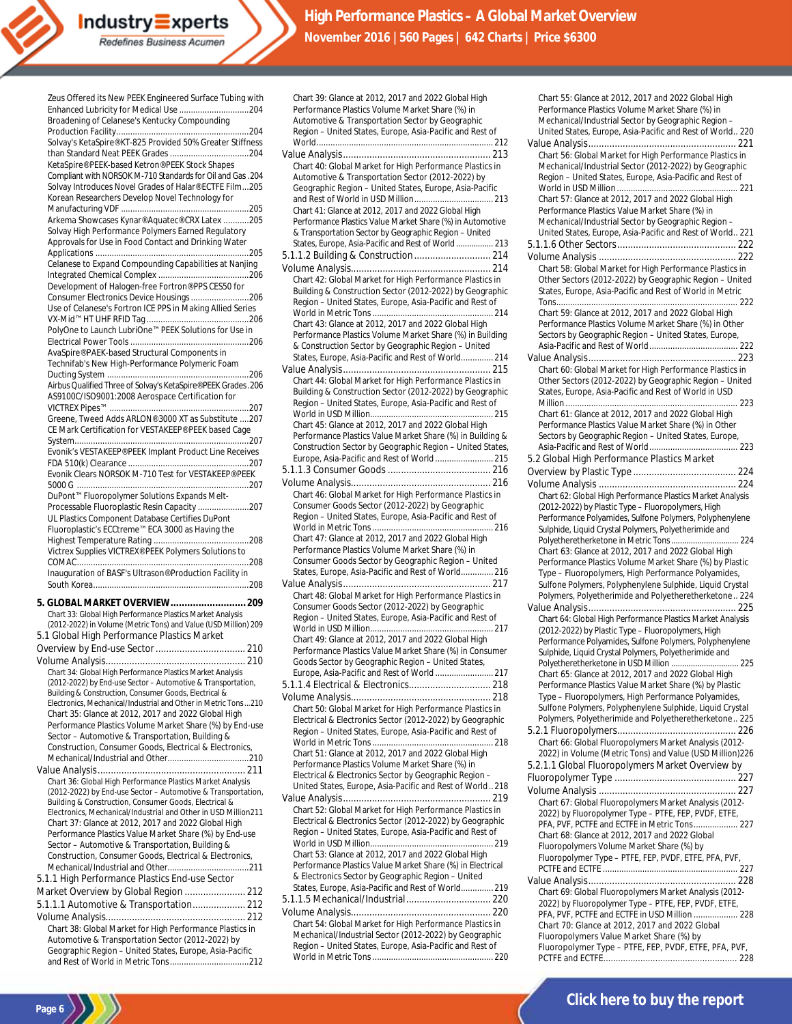| Zeus Offered its New PEEK Engineered Surface Tubing with                                                                |  |
|-------------------------------------------------------------------------------------------------------------------------|--|
| Broadening of Celanese's Kentucky Compounding                                                                           |  |
|                                                                                                                         |  |
| Solvay's KetaSpire® KT-825 Provided 50% Greater Stiffness                                                               |  |
| KetaSpire® PEEK-based Ketron® PEEK Stock Shapes<br>Compliant with NORSOK M-710 Standards for Oil and Gas . 204          |  |
| Solvay Introduces Novel Grades of Halar® ECTFE Film205<br>Korean Researchers Develop Novel Technology for               |  |
|                                                                                                                         |  |
| Arkema Showcases Kynar® Aquatec® CRX Latex 205                                                                          |  |
| Solvay High Performance Polymers Earned Regulatory                                                                      |  |
| Approvals for Use in Food Contact and Drinking Water                                                                    |  |
|                                                                                                                         |  |
| Celanese to Expand Compounding Capabilities at Nanjing                                                                  |  |
| Development of Halogen-free Fortron® PPS CES50 for                                                                      |  |
| Consumer Electronics Device Housings 206                                                                                |  |
| Use of Celanese's Fortron ICE PPS in Making Allied Series                                                               |  |
| PolyOne to Launch LubriOne™ PEEK Solutions for Use in                                                                   |  |
|                                                                                                                         |  |
| AvaSpire® PAEK-based Structural Components in                                                                           |  |
| Technifab's New High-Performance Polymeric Foam                                                                         |  |
| Airbus Qualified Three of Solvay's KetaSpire® PEEK Grades. 206                                                          |  |
| AS9100C/ISO9001:2008 Aerospace Certification for                                                                        |  |
| Greene, Tweed Adds ARLON® 3000 XT as Substitute 207                                                                     |  |
| CE Mark Certification for VESTAKEEP® PEEK based Cage                                                                    |  |
|                                                                                                                         |  |
| Evonik's VESTAKEEP® PEEK Implant Product Line Receives                                                                  |  |
| Evonik Clears NORSOK M-710 Test for VESTAKEEP® PEEK                                                                     |  |
|                                                                                                                         |  |
| DuPont™ Fluoropolymer Solutions Expands Melt-                                                                           |  |
| Processable Fluoroplastic Resin Capacity 207                                                                            |  |
| UL Plastics Component Database Certifies DuPont<br>Fluoroplastic's ECCtreme™ ECA 3000 as Having the                     |  |
|                                                                                                                         |  |
| Victrex Supplies VICTREX® PEEK Polymers Solutions to                                                                    |  |
|                                                                                                                         |  |
| Inauguration of BASF's Ultrason® Production Facility in                                                                 |  |
|                                                                                                                         |  |
| 5. GLOBAL MARKET OVERVIEW 209<br>Chart 33: Global High Performance Plastics Market Analysis                             |  |
| (2012-2022) in Volume (Metric Tons) and Value (USD Million) 209                                                         |  |
| 5.1 Global High Performance Plastics Market                                                                             |  |
|                                                                                                                         |  |
|                                                                                                                         |  |
| Chart 34: Global High Performance Plastics Market Analysis                                                              |  |
| (2012-2022) by End-use Sector - Automotive & Transportation,<br>Building & Construction, Consumer Goods, Electrical &   |  |
| Electronics, Mechanical/Industrial and Other in Metric Tons210                                                          |  |
| Chart 35: Glance at 2012, 2017 and 2022 Global High                                                                     |  |
| Performance Plastics Volume Market Share (%) by End-use                                                                 |  |
| Sector - Automotive & Transportation, Building &                                                                        |  |
| Construction, Consumer Goods, Electrical & Electronics,                                                                 |  |
|                                                                                                                         |  |
| Chart 36: Global High Performance Plastics Market Analysis                                                              |  |
| (2012-2022) by End-use Sector - Automotive & Transportation,                                                            |  |
| Building & Construction, Consumer Goods, Electrical &<br>Electronics, Mechanical/Industrial and Other in USD Million211 |  |
| Chart 37: Glance at 2012, 2017 and 2022 Global High                                                                     |  |
| Performance Plastics Value Market Share (%) by End-use                                                                  |  |
| Sector - Automotive & Transportation, Building &                                                                        |  |
| Construction, Consumer Goods, Electrical & Electronics,                                                                 |  |
|                                                                                                                         |  |
|                                                                                                                         |  |
| 5.1.1 High Performance Plastics End-use Sector                                                                          |  |
| Market Overview by Global Region  212                                                                                   |  |
| 5.1.1.1 Automotive & Transportation 212                                                                                 |  |
| Chart 38: Global Market for High Performance Plastics in                                                                |  |

Geographic Region – United States, Europe, Asia-Pacific and Rest of World in Metric Tons..................................212

**Page 6**

| Chart 39: Glance at 2012, 2017 and 2022 Global High                                                                |
|--------------------------------------------------------------------------------------------------------------------|
| Performance Plastics Volume Market Share (%) in                                                                    |
| Automotive & Transportation Sector by Geographic                                                                   |
| Region - United States, Europe, Asia-Pacific and Rest of                                                           |
|                                                                                                                    |
|                                                                                                                    |
|                                                                                                                    |
| Chart 40: Global Market for High Performance Plastics in                                                           |
| Automotive & Transportation Sector (2012-2022) by                                                                  |
| Geographic Region - United States, Europe, Asia-Pacific                                                            |
|                                                                                                                    |
|                                                                                                                    |
| Chart 41: Glance at 2012, 2017 and 2022 Global High                                                                |
| Performance Plastics Value Market Share (%) in Automotive                                                          |
| & Transportation Sector by Geographic Region - United                                                              |
| States, Europe, Asia-Pacific and Rest of World  213                                                                |
|                                                                                                                    |
|                                                                                                                    |
|                                                                                                                    |
| Chart 42: Global Market for High Performance Plastics in                                                           |
| Building & Construction Sector (2012-2022) by Geographic                                                           |
| Region - United States, Europe, Asia-Pacific and Rest of                                                           |
|                                                                                                                    |
| Chart 43: Glance at 2012, 2017 and 2022 Global High                                                                |
| Performance Plastics Volume Market Share (%) in Building                                                           |
|                                                                                                                    |
| & Construction Sector by Geographic Region - United                                                                |
| States, Europe, Asia-Pacific and Rest of World 214                                                                 |
|                                                                                                                    |
| Chart 44: Global Market for High Performance Plastics in                                                           |
| Building & Construction Sector (2012-2022) by Geographic                                                           |
| Region - United States, Europe, Asia-Pacific and Rest of                                                           |
|                                                                                                                    |
|                                                                                                                    |
| Chart 45: Glance at 2012, 2017 and 2022 Global High                                                                |
| Performance Plastics Value Market Share (%) in Building &                                                          |
| Construction Sector by Geographic Region - United States,                                                          |
| Europe, Asia-Pacific and Rest of World 215                                                                         |
|                                                                                                                    |
|                                                                                                                    |
|                                                                                                                    |
| Chart 46: Global Market for High Performance Plastics in                                                           |
| Consumer Goods Sector (2012-2022) by Geographic                                                                    |
| Region - United States, Europe, Asia-Pacific and Rest of                                                           |
|                                                                                                                    |
|                                                                                                                    |
|                                                                                                                    |
| Chart 47: Glance at 2012, 2017 and 2022 Global High                                                                |
| Performance Plastics Volume Market Share (%) in                                                                    |
| Consumer Goods Sector by Geographic Region - United                                                                |
| States, Europe, Asia-Pacific and Rest of World 216                                                                 |
|                                                                                                                    |
|                                                                                                                    |
| Chart 48: Global Market for High Performance Plastics in                                                           |
| Consumer Goods Sector (2012-2022) by Geographic                                                                    |
| Region - United States, Europe, Asia-Pacific and Rest of                                                           |
|                                                                                                                    |
| Chart 49: Glance at 2012, 2017 and 2022 Global High                                                                |
| Performance Plastics Value Market Share (%) in Consumer                                                            |
| Goods Sector by Geographic Region - United States,                                                                 |
|                                                                                                                    |
|                                                                                                                    |
|                                                                                                                    |
|                                                                                                                    |
| Chart 50: Global Market for High Performance Plastics in                                                           |
|                                                                                                                    |
| Electrical & Electronics Sector (2012-2022) by Geographic                                                          |
| Region - United States, Europe, Asia-Pacific and Rest of                                                           |
|                                                                                                                    |
| Chart 51: Glance at 2012, 2017 and 2022 Global High                                                                |
| Performance Plastics Volume Market Share (%) in                                                                    |
| Electrical & Electronics Sector by Geographic Region -                                                             |
| United States, Europe, Asia-Pacific and Rest of World218                                                           |
|                                                                                                                    |
|                                                                                                                    |
| Chart 52: Global Market for High Performance Plastics in                                                           |
| Electrical & Electronics Sector (2012-2022) by Geographic                                                          |
| Region - United States, Europe, Asia-Pacific and Rest of                                                           |
|                                                                                                                    |
| Chart 53: Glance at 2012, 2017 and 2022 Global High                                                                |
| Performance Plastics Value Market Share (%) in Electrical                                                          |
| & Electronics Sector by Geographic Region - United                                                                 |
|                                                                                                                    |
| States, Europe, Asia-Pacific and Rest of World 219                                                                 |
|                                                                                                                    |
|                                                                                                                    |
| Chart 54: Global Market for High Performance Plastics in                                                           |
| Mechanical/Industrial Sector (2012-2022) by Geographic<br>Region - United States, Europe, Asia-Pacific and Rest of |

World in Metric Tons.................................................... 220

Chart 55: Glance at 2012, 2017 and 2022 Global High Performance Plastics Volume Market Share (%) in Mechanical/Industrial Sector by Geographic Region – United States, Europe, Asia-Pacific and Rest of World.. 220 Value Analysis........................................................ 221 Chart 56: Global Market for High Performance Plastics in Mechanical/Industrial Sector (2012-2022) by Geographic Region – United States, Europe, Asia-Pacific and Rest of World in USD Million .................................................... 221 Chart 57: Glance at 2012, 2017 and 2022 Global High Performance Plastics Value Market Share (%) in Mechanical/Industrial Sector by Geographic Region – United States, Europe, Asia-Pacific and Rest of World.. 221 5.1.1.6 Other Sectors............................................. 222 Volume Analysis .................................................... 222 Chart 58: Global Market for High Performance Plastics in Other Sectors (2012-2022) by Geographic Region – United States, Europe, Asia-Pacific and Rest of World in Metric Tons.............................................................................. 222 Chart 59: Glance at 2012, 2017 and 2022 Global High Performance Plastics Volume Market Share (%) in Other Sectors by Geographic Region – United States, Europe, Asia-Pacific and Rest of World...................................... 222 Value Analysis........................................................ 223 Chart 60: Global Market for High Performance Plastics in Other Sectors (2012-2022) by Geographic Region – United States, Europe, Asia-Pacific and Rest of World in USD Million .......................................................................... 223 Chart 61: Glance at 2012, 2017 and 2022 Global High Performance Plastics Value Market Share (%) in Other Sectors by Geographic Region – United States, Europe, Asia-Pacific and Rest of World...................................... 223 5.2 Global High Performance Plastics Market Overview by Plastic Type ....................................... 224 Volume Analysis .................................................... 224 Chart 62: Global High Performance Plastics Market Analysis (2012-2022) by Plastic Type – Fluoropolymers, High Performance Polyamides, Sulfone Polymers, Polyphenylene Sulphide, Liquid Crystal Polymers, Polyetherimide and Polyetheretherketone in Metric Tons............................... 224 Chart 63: Glance at 2012, 2017 and 2022 Global High Performance Plastics Volume Market Share (%) by Plastic Type – Fluoropolymers, High Performance Polyamides, Sulfone Polymers, Polyphenylene Sulphide, Liquid Crystal Polymers, Polyetherimide and Polyetheretherketone.. 224 Value Analysis........................................................ 225 Chart 64: Global High Performance Plastics Market Analysis (2012-2022) by Plastic Type – Fluoropolymers, High Performance Polyamides, Sulfone Polymers, Polyphenylene Sulphide, Liquid Crystal Polymers, Polyetherimide and Polyetheretherketone in USD Million ............................... 225 Chart 65: Glance at 2012, 2017 and 2022 Global High Performance Plastics Value Market Share (%) by Plastic Type – Fluoropolymers, High Performance Polyamides, Sulfone Polymers, Polyphenylene Sulphide, Liquid Crystal Polymers, Polyetherimide and Polyetheretherketone.. 225 5.2.1 Fluoropolymers............................................. 226 Chart 66: Global Fluoropolymers Market Analysis (2012- 2022) in Volume (Metric Tons) and Value (USD Million)226 5.2.1.1 Global Fluoropolymers Market Overview by Fluoropolymer Type .............................................. 227 Volume Analysis .................................................... 227 Chart 67: Global Fluoropolymers Market Analysis (2012- 2022) by Fluoropolymer Type – PTFE, FEP, PVDF, ETFE, PFA, PVF, PCTFE and ECTFE in Metric Tons................... 227 Chart 68: Glance at 2012, 2017 and 2022 Global Fluoropolymers Volume Market Share (%) by Fluoropolymer Type – PTFE, FEP, PVDF, ETFE, PFA, PVF, PCTFE and ECTFE .......................................................... 227 Value Analysis........................................................ 228 Chart 69: Global Fluoropolymers Market Analysis (2012- 2022) by Fluoropolymer Type – PTFE, FEP, PVDF, ETFE, PFA, PVF, PCTFE and ECTFE in USD Million ...... Chart 70: Glance at 2012, 2017 and 2022 Global Fluoropolymers Value Market Share (%) by Fluoropolymer Type – PTFE, FEP, PVDF, ETFE, PFA, PVF,

PCTFE and ECTFE...................................................... 228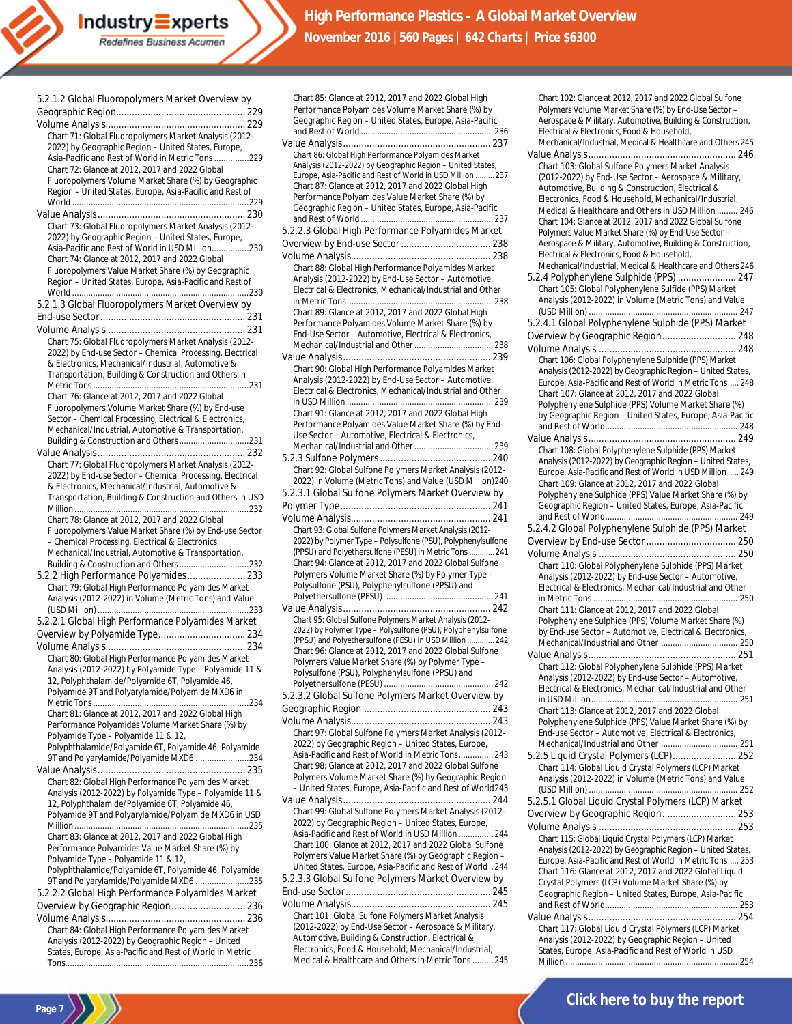| 5.2.1.2 Global Fluoropolymers Market Overview by                                                               |
|----------------------------------------------------------------------------------------------------------------|
|                                                                                                                |
|                                                                                                                |
| Chart 71: Global Fluoropolymers Market Analysis (2012-                                                         |
| 2022) by Geographic Region - United States, Europe,                                                            |
| Asia-Pacific and Rest of World in Metric Tons 229                                                              |
| Chart 72: Glance at 2012, 2017 and 2022 Global                                                                 |
| Fluoropolymers Volume Market Share (%) by Geographic                                                           |
| Region - United States, Europe, Asia-Pacific and Rest of                                                       |
|                                                                                                                |
|                                                                                                                |
| Chart 73: Global Fluoropolymers Market Analysis (2012-<br>2022) by Geographic Region - United States, Europe,  |
| Asia-Pacific and Rest of World in USD Million230                                                               |
| Chart 74: Glance at 2012, 2017 and 2022 Global                                                                 |
| Fluoropolymers Value Market Share (%) by Geographic                                                            |
| Region - United States, Europe, Asia-Pacific and Rest of                                                       |
|                                                                                                                |
| 5.2.1.3 Global Fluoropolymers Market Overview by                                                               |
|                                                                                                                |
|                                                                                                                |
| Chart 75: Global Fluoropolymers Market Analysis (2012-                                                         |
| 2022) by End-use Sector - Chemical Processing, Electrical                                                      |
| & Electronics, Mechanical/Industrial, Automotive &                                                             |
| Transportation, Building & Construction and Others in                                                          |
|                                                                                                                |
| Chart 76: Glance at 2012, 2017 and 2022 Global                                                                 |
| Fluoropolymers Volume Market Share (%) by End-use                                                              |
| Sector - Chemical Processing, Electrical & Electronics,<br>Mechanical/Industrial, Automotive & Transportation, |
|                                                                                                                |
|                                                                                                                |
| Chart 77: Global Fluoropolymers Market Analysis (2012-                                                         |
| 2022) by End-use Sector - Chemical Processing, Electrical                                                      |
| & Electronics, Mechanical/Industrial, Automotive &                                                             |
| Transportation, Building & Construction and Others in USD                                                      |
|                                                                                                                |
| Chart 78: Glance at 2012, 2017 and 2022 Global                                                                 |
| Fluoropolymers Value Market Share (%) by End-use Sector                                                        |
| - Chemical Processing, Electrical & Electronics,                                                               |
| Mechanical/Industrial, Automotive & Transportation,                                                            |
| 5.2.2 High Performance Polyamides 233                                                                          |
| Chart 79: Global High Performance Polyamides Market                                                            |
| Analysis (2012-2022) in Volume (Metric Tons) and Value                                                         |
|                                                                                                                |
| 5.2.2.1 Global High Performance Polyamides Market                                                              |
| Overview by Polyamide Type 234                                                                                 |
|                                                                                                                |
| Chart 80: Global High Performance Polyamides Market                                                            |
| Analysis (2012-2022) by Polyamide Type - Polyamide 11 &                                                        |
| 12, Polyphthalamide/Polyamide 6T, Polyamide 46,                                                                |
| Polyamide 9T and Polyarylamide/Polyamide MXD6 in                                                               |
|                                                                                                                |
| Chart 81: Glance at 2012, 2017 and 2022 Global High                                                            |
| Performance Polyamides Volume Market Share (%) by                                                              |
| Polyamide Type - Polyamide 11 & 12,<br>Polyphthalamide/Polyamide 6T, Polyamide 46, Polyamide                   |
|                                                                                                                |
|                                                                                                                |
| Chart 82: Global High Performance Polyamides Market                                                            |
| Analysis (2012-2022) by Polyamide Type - Polyamide 11 &                                                        |
| 12, Polyphthalamide/Polyamide 6T, Polyamide 46,                                                                |
| Polyamide 9T and Polyarylamide/Polyamide MXD6 in USD                                                           |
|                                                                                                                |
| Chart 83: Glance at 2012, 2017 and 2022 Global High                                                            |
| Performance Polyamides Value Market Share (%) by                                                               |
| Polyamide Type - Polyamide 11 & 12,                                                                            |
| Polyphthalamide/Polyamide 6T, Polyamide 46, Polyamide<br>9T and Polyarylamide/Polyamide MXD6 235               |
| 5.2.2.2 Global High Performance Polyamides Market                                                              |
| Overview by Geographic Region 236                                                                              |
|                                                                                                                |
| Chart 84: Global High Performance Polyamides Market                                                            |
| Analysis (2012-2022) by Geographic Region - United                                                             |
|                                                                                                                |
| States, Europe, Asia-Pacific and Rest of World in Metric                                                       |

 $Industry\equiv xperts$ Redefines Business Acumen

**Page 7**

| Chart 85: Glance at 2012, 2017 and 2022 Global High<br>Performance Polyamides Volume Market Share (%) by<br>Geographic Region - United States, Europe, Asia-Pacific |
|---------------------------------------------------------------------------------------------------------------------------------------------------------------------|
|                                                                                                                                                                     |
| Chart 86: Global High Performance Polyamides Market                                                                                                                 |
| Analysis (2012-2022) by Geographic Region - United States,<br>Europe, Asia-Pacific and Rest of World in USD Million  237                                            |
| Chart 87: Glance at 2012, 2017 and 2022 Global High<br>Performance Polyamides Value Market Share (%) by                                                             |
| Geographic Region - United States, Europe, Asia-Pacific                                                                                                             |
| 5.2.2.3 Global High Performance Polyamides Market                                                                                                                   |
|                                                                                                                                                                     |
| Chart 88: Global High Performance Polyamides Market                                                                                                                 |
| Analysis (2012-2022) by End-Use Sector - Automotive,<br>Electrical & Electronics, Mechanical/Industrial and Other                                                   |
| Chart 89: Glance at 2012, 2017 and 2022 Global High                                                                                                                 |
| Performance Polyamides Volume Market Share (%) by<br>End-Use Sector - Automotive, Electrical & Electronics,                                                         |
|                                                                                                                                                                     |
| Chart 90: Global High Performance Polyamides Market                                                                                                                 |
| Analysis (2012-2022) by End-Use Sector - Automotive,<br>Electrical & Electronics, Mechanical/Industrial and Other                                                   |
| Chart 91: Glance at 2012, 2017 and 2022 Global High                                                                                                                 |
| Performance Polyamides Value Market Share (%) by End-                                                                                                               |
| Use Sector - Automotive, Electrical & Electronics,                                                                                                                  |
| Chart 92: Global Sulfone Polymers Market Analysis (2012-                                                                                                            |
| 2022) in Volume (Metric Tons) and Value (USD Million)240                                                                                                            |
| 5.2.3.1 Global Sulfone Polymers Market Overview by                                                                                                                  |
|                                                                                                                                                                     |
| Chart 93: Global Sulfone Polymers Market Analysis (2012-                                                                                                            |
| 2022) by Polymer Type - Polysulfone (PSU), Polyphenylsulfone                                                                                                        |
| (PPSU) and Polyethersulfone (PESU) in Metric Tons  241                                                                                                              |
| Chart 94: Glance at 2012, 2017 and 2022 Global Sulfone<br>Polymers Volume Market Share (%) by Polymer Type -                                                        |
| Polysulfone (PSU), Polyphenylsulfone (PPSU) and                                                                                                                     |
|                                                                                                                                                                     |
| Chart 95: Global Sulfone Polymers Market Analysis (2012-<br>2022) by Polymer Type - Polysulfone (PSU), Polyphenylsulfone                                            |
| (PPSU) and Polyethersulfone (PESU) in USD Million  242<br>Chart 96: Glance at 2012, 2017 and 2022 Global Sulfone                                                    |
| Polymers Value Market Share (%) by Polymer Type -<br>Polysulfone (PSU), Polyphenylsulfone (PPSU) and                                                                |
|                                                                                                                                                                     |
| 5.2.3.2 Global Sulfone Polymers Market Overview by                                                                                                                  |
| Chart 97: Global Sulfone Polymers Market Analysis (2012-                                                                                                            |
| 2022) by Geographic Region - United States, Europe,                                                                                                                 |
| Asia-Pacific and Rest of World in Metric Tons 243<br>Chart 98: Glance at 2012, 2017 and 2022 Global Sulfone                                                         |
| Polymers Volume Market Share (%) by Geographic Region                                                                                                               |
| - United States, Europe, Asia-Pacific and Rest of World243                                                                                                          |
| Chart 99: Global Sulfone Polymers Market Analysis (2012-<br>2022) by Geographic Region - United States, Europe,                                                     |
| Asia-Pacific and Rest of World in USD Million  244<br>Chart 100: Glance at 2012, 2017 and 2022 Global Sulfone                                                       |
| Polymers Value Market Share (%) by Geographic Region -                                                                                                              |
| United States, Europe, Asia-Pacific and Rest of World244<br>5.2.3.3 Global Sulfone Polymers Market Overview by                                                      |
|                                                                                                                                                                     |
| Chart 101: Global Sulfone Polymers Market Analysis                                                                                                                  |
| (2012-2022) by End-Use Sector - Aerospace & Military,<br>Automotive, Building & Construction, Electrical &<br>Electronics, Food & Household, Mechanical/Industrial, |

Medical & Healthcare and Others in Metric Tons ......... 245

Aerospace & Military, Automotive, Building & Construction, Electrical & Electronics, Food & Household, Mechanical/Industrial, Medical & Healthcare and Others 245 Value Analysis........................................................ 246 Chart 103: Global Sulfone Polymers Market Analysis (2012-2022) by End-Use Sector – Aerospace & Military, Automotive, Building & Construction, Electrical & Electronics, Food & Household, Mechanical/Industrial, Medical & Healthcare and Others in USD Million ......... 246 Chart 104: Glance at 2012, 2017 and 2022 Global Sulfone Polymers Value Market Share (%) by End-Use Sector – Aerospace & Military, Automotive, Building & Construction, Electrical & Electronics, Food & Household, Mechanical/Industrial, Medical & Healthcare and Others 246 5.2.4 Polyphenylene Sulphide (PPS) ...................... 247 Chart 105: Global Polyphenylene Sulfide (PPS) Market Analysis (2012-2022) in Volume (Metric Tons) and Value (USD Million) ................................................................ 247 5.2.4.1 Global Polyphenylene Sulphide (PPS) Market Overview by Geographic Region............................ 248 Volume Analysis .................................................... 248 Chart 106: Global Polyphenylene Sulphide (PPS) Market Analysis (2012-2022) by Geographic Region – United States, Europe, Asia-Pacific and Rest of World in Metric Tons..... 248 Chart 107: Glance at 2012, 2017 and 2022 Global Polyphenylene Sulphide (PPS) Volume Market Share (%) by Geographic Region – United States, Europe, Asia-Pacific and Rest of World......................................................... 248 Value Analysis........................................................ 249 Chart 108: Global Polyphenylene Sulphide (PPS) Market Analysis (2012-2022) by Geographic Region – United States, Europe, Asia-Pacific and Rest of World in USD Million ..... 249 Chart 109: Glance at 2012, 2017 and 2022 Global Polyphenylene Sulphide (PPS) Value Market Share (%) by Geographic Region – United States, Europe, Asia-Pacific and Rest of World......................................................... 249 5.2.4.2 Global Polyphenylene Sulphide (PPS) Market Overview by End-use Sector.................................. 250 Volume Analysis .................................................... 250 Chart 110: Global Polyphenylene Sulphide (PPS) Market Analysis (2012-2022) by End-use Sector – Automotive, Electrical & Electronics, Mechanical/Industrial and Other in Metric Tons .............................................................. 250 Chart 111: Glance at 2012, 2017 and 2022 Global Polyphenylene Sulphide (PPS) Volume Market Share (%) by End-use Sector – Automotive, Electrical & Electronics, Mechanical/Industrial and Other.................................. 250 Value Analysis........................................................ 251 Chart 112: Global Polyphenylene Sulphide (PPS) Market Analysis (2012-2022) by End-use Sector – Automotive, Electrical & Electronics, Mechanical/Industrial and Other in USD Million.......... Chart 113: Glance at 2012, 2017 and 2022 Global Polyphenylene Sulphide (PPS) Value Market Share (%) by End-use Sector – Automotive, Electrical & Electronics, Mechanical/Industrial and Other.................................. 251 5.2.5 Liquid Crystal Polymers (LCP)........................ 252 Chart 114: Global Liquid Crystal Polymers (LCP) Market Analysis (2012-2022) in Volume (Metric Tons) and Value (USD Million) ................................................................ 252 5.2.5.1 Global Liquid Crystal Polymers (LCP) Market Overview by Geographic Region............................ 253 Volume Analysis .................................................... 253 Chart 115: Global Liquid Crystal Polymers (LCP) Market Analysis (2012-2022) by Geographic Region – United States, Europe, Asia-Pacific and Rest of World in Metric Tons..... 253 Chart 116: Glance at 2012, 2017 and 2022 Global Liquid Crystal Polymers (LCP) Volume Market Share (%) by Geographic Region – United States, Europe, Asia-Pacific and Rest of World......................................................... 253 Value Analysis........................................................ 254 Chart 117: Global Liquid Crystal Polymers (LCP) Market Analysis (2012-2022) by Geographic Region – United States, Europe, Asia-Pacific and Rest of World in USD

Chart 102: Glance at 2012, 2017 and 2022 Global Sulfone Polymers Volume Market Share (%) by End-Use Sector –

Million .......................................................................... 254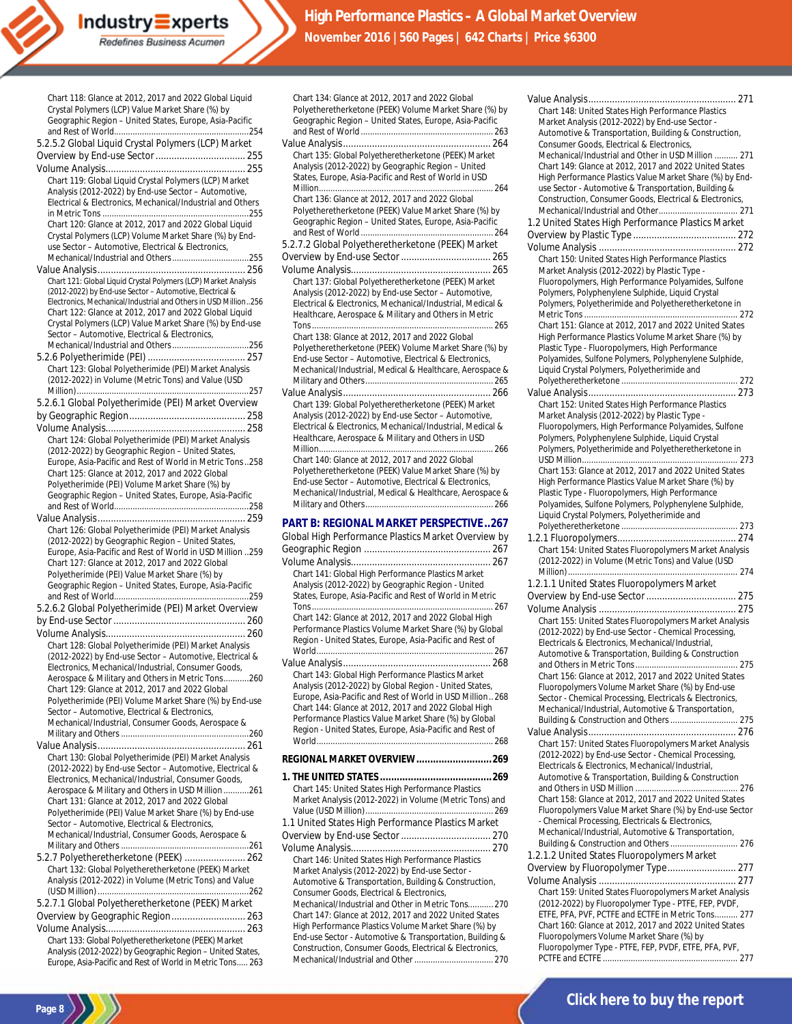| Chart 118: Glance at 2012, 2017 and 2022 Global Liquid<br>Crystal Polymers (LCP) Value Market Share (%) by                  |
|-----------------------------------------------------------------------------------------------------------------------------|
| Geographic Region - United States, Europe, Asia-Pacific                                                                     |
|                                                                                                                             |
| 5.2.5.2 Global Liquid Crystal Polymers (LCP) Market                                                                         |
|                                                                                                                             |
|                                                                                                                             |
| Chart 119: Global Liquid Crystal Polymers (LCP) Market                                                                      |
| Analysis (2012-2022) by End-use Sector - Automotive,                                                                        |
| Electrical & Electronics, Mechanical/Industrial and Others                                                                  |
|                                                                                                                             |
| Chart 120: Glance at 2012, 2017 and 2022 Global Liquid                                                                      |
| Crystal Polymers (LCP) Volume Market Share (%) by End-                                                                      |
| use Sector - Automotive, Electrical & Electronics,                                                                          |
|                                                                                                                             |
|                                                                                                                             |
| Chart 121: Global Liquid Crystal Polymers (LCP) Market Analysis<br>(2012-2022) by End-use Sector - Automotive, Electrical & |
| Electronics, Mechanical/Industrial and Others in USD Million256                                                             |
| Chart 122: Glance at 2012, 2017 and 2022 Global Liquid                                                                      |
| Crystal Polymers (LCP) Value Market Share (%) by End-use                                                                    |
| Sector - Automotive, Electrical & Electronics,                                                                              |
|                                                                                                                             |
|                                                                                                                             |
| Chart 123: Global Polyetherimide (PEI) Market Analysis                                                                      |
| (2012-2022) in Volume (Metric Tons) and Value (USD                                                                          |
|                                                                                                                             |
| 5.2.6.1 Global Polyetherimide (PEI) Market Overview                                                                         |
|                                                                                                                             |
|                                                                                                                             |
| Chart 124: Global Polyetherimide (PEI) Market Analysis                                                                      |
| (2012-2022) by Geographic Region - United States,                                                                           |
| Europe, Asia-Pacific and Rest of World in Metric Tons258                                                                    |
| Chart 125: Glance at 2012, 2017 and 2022 Global                                                                             |
| Polyetherimide (PEI) Volume Market Share (%) by                                                                             |
| Geographic Region - United States, Europe, Asia-Pacific                                                                     |
|                                                                                                                             |
|                                                                                                                             |
| Chart 126: Global Polyetherimide (PEI) Market Analysis                                                                      |
|                                                                                                                             |
| (2012-2022) by Geographic Region - United States,                                                                           |
| Europe, Asia-Pacific and Rest of World in USD Million 259                                                                   |
| Chart 127: Glance at 2012, 2017 and 2022 Global                                                                             |
| Polyetherimide (PEI) Value Market Share (%) by<br>Geographic Region - United States, Europe, Asia-Pacific                   |
|                                                                                                                             |
| 5.2.6.2 Global Polyetherimide (PEI) Market Overview                                                                         |
|                                                                                                                             |
|                                                                                                                             |
| Chart 128: Global Polyetherimide (PEI) Market Analysis                                                                      |
| (2012-2022) by End-use Sector - Automotive, Electrical &                                                                    |
| Electronics, Mechanical/Industrial, Consumer Goods,                                                                         |
| Aerospace & Military and Others in Metric Tons260                                                                           |
| Chart 129: Glance at 2012, 2017 and 2022 Global                                                                             |
| Polyetherimide (PEI) Volume Market Share (%) by End-use                                                                     |
| Sector - Automotive, Electrical & Electronics,                                                                              |
| Mechanical/Industrial, Consumer Goods, Aerospace &                                                                          |
|                                                                                                                             |
|                                                                                                                             |
| Chart 130: Global Polyetherimide (PEI) Market Analysis                                                                      |
| (2012-2022) by End-use Sector - Automotive, Electrical &                                                                    |
| Electronics, Mechanical/Industrial, Consumer Goods,                                                                         |
| Aerospace & Military and Others in USD Million 261                                                                          |
| Chart 131: Glance at 2012, 2017 and 2022 Global<br>Polyetherimide (PEI) Value Market Share (%) by End-use                   |
| Sector - Automotive, Electrical & Electronics,                                                                              |
| Mechanical/Industrial, Consumer Goods, Aerospace &                                                                          |
|                                                                                                                             |
| 5.2.7 Polyetheretherketone (PEEK)  262                                                                                      |
| Chart 132: Global Polyetheretherketone (PEEK) Market                                                                        |
| Analysis (2012-2022) in Volume (Metric Tons) and Value                                                                      |
|                                                                                                                             |
| 5.2.7.1 Global Polyetheretherketone (PEEK) Market                                                                           |
| Overview by Geographic Region 263                                                                                           |
|                                                                                                                             |
| Chart 133: Global Polyetheretherketone (PEEK) Market<br>Analysis (2012-2022) by Geographic Region - United States,          |

Industry Experts Redefines Business Acumen

**Page 8**

| Chart 134: Glance at 2012, 2017 and 2022 Global                                                               |
|---------------------------------------------------------------------------------------------------------------|
| Polyetheretherketone (PEEK) Volume Market Share (%) by                                                        |
| Geographic Region - United States, Europe, Asia-Pacific                                                       |
|                                                                                                               |
|                                                                                                               |
| Chart 135: Global Polyetheretherketone (PEEK) Market<br>Analysis (2012-2022) by Geographic Region - United    |
| States, Europe, Asia-Pacific and Rest of World in USD                                                         |
|                                                                                                               |
| Chart 136: Glance at 2012, 2017 and 2022 Global                                                               |
| Polyetheretherketone (PEEK) Value Market Share (%) by                                                         |
| Geographic Region - United States, Europe, Asia-Pacific                                                       |
|                                                                                                               |
| 5.2.7.2 Global Polyetheretherketone (PEEK) Market                                                             |
|                                                                                                               |
|                                                                                                               |
| Chart 137: Global Polyetheretherketone (PEEK) Market                                                          |
| Analysis (2012-2022) by End-use Sector - Automotive,                                                          |
| Electrical & Electronics, Mechanical/Industrial, Medical &                                                    |
| Healthcare, Aerospace & Military and Others in Metric                                                         |
|                                                                                                               |
| Chart 138: Glance at 2012, 2017 and 2022 Global                                                               |
| Polyetheretherketone (PEEK) Volume Market Share (%) by                                                        |
| End-use Sector - Automotive, Electrical & Electronics,                                                        |
| Mechanical/Industrial, Medical & Healthcare, Aerospace &                                                      |
|                                                                                                               |
|                                                                                                               |
| Chart 139: Global Polyetheretherketone (PEEK) Market                                                          |
| Analysis (2012-2022) by End-use Sector - Automotive,                                                          |
| Electrical & Electronics, Mechanical/Industrial, Medical &                                                    |
| Healthcare, Aerospace & Military and Others in USD                                                            |
|                                                                                                               |
| Chart 140: Glance at 2012, 2017 and 2022 Global                                                               |
| Polyetheretherketone (PEEK) Value Market Share (%) by                                                         |
| End-use Sector - Automotive, Electrical & Electronics,                                                        |
| Mechanical/Industrial, Medical & Healthcare, Aerospace &                                                      |
|                                                                                                               |
| PART B: REGIONAL MARKET PERSPECTIVE267                                                                        |
|                                                                                                               |
| Global High Performance Plastics Market Overview by                                                           |
|                                                                                                               |
|                                                                                                               |
| Chart 141: Global High Performance Plastics Market                                                            |
| Analysis (2012-2022) by Geographic Region - United                                                            |
| States, Europe, Asia-Pacific and Rest of World in Metric                                                      |
|                                                                                                               |
| Chart 142: Glance at 2012, 2017 and 2022 Global High                                                          |
| Performance Plastics Volume Market Share (%) by Global                                                        |
| Region - United States, Europe, Asia-Pacific and Rest of                                                      |
|                                                                                                               |
|                                                                                                               |
| Chart 143: Global High Performance Plastics Market                                                            |
| Analysis (2012-2022) by Global Region - United States,                                                        |
| Europe, Asia-Pacific and Rest of World in USD Million 268                                                     |
| Chart 144: Glance at 2012, 2017 and 2022 Global High                                                          |
| Performance Plastics Value Market Share (%) by Global                                                         |
| Region - United States, Europe, Asia-Pacific and Rest of                                                      |
|                                                                                                               |
| REGIONAL MARKET OVERVIEW269                                                                                   |
|                                                                                                               |
|                                                                                                               |
| Chart 145: United States High Performance Plastics<br>Market Analysis (2012-2022) in Volume (Metric Tons) and |
|                                                                                                               |
| 1.1 United States High Performance Plastics Market                                                            |
|                                                                                                               |
|                                                                                                               |
| Chart 146: United States High Performance Plastics                                                            |
| Market Analysis (2012-2022) by End-use Sector -                                                               |
| Automotive & Transportation, Building & Construction,                                                         |
| Consumer Goods, Electrical & Electronics,                                                                     |
| Mechanical/Industrial and Other in Metric Tons 270<br>Chart 147: Glance at 2012, 2017 and 2022 United States  |
| High Performance Plastics Volume Market Share (%) by                                                          |
| End-use Sector - Automotive & Transportation, Building &                                                      |

Mechanical/Industrial and Other.................................. 270

| Chart 148: United States High Performance Plastics                                                       |
|----------------------------------------------------------------------------------------------------------|
| Market Analysis (2012-2022) by End-use Sector -                                                          |
| Automotive & Transportation, Building & Construction,                                                    |
| Consumer Goods, Electrical & Electronics,                                                                |
| Mechanical/Industrial and Other in USD Million  271                                                      |
| Chart 149: Glance at 2012, 2017 and 2022 United States                                                   |
| High Performance Plastics Value Market Share (%) by End-                                                 |
| use Sector - Automotive & Transportation, Building &                                                     |
| Construction, Consumer Goods, Electrical & Electronics,                                                  |
|                                                                                                          |
| 1.2 United States High Performance Plastics Market                                                       |
|                                                                                                          |
|                                                                                                          |
| Chart 150: United States High Performance Plastics                                                       |
| Market Analysis (2012-2022) by Plastic Type -                                                            |
| Fluoropolymers, High Performance Polyamides, Sulfone                                                     |
| Polymers, Polyphenylene Sulphide, Liquid Crystal                                                         |
| Polymers, Polyetherimide and Polyetheretherketone in                                                     |
|                                                                                                          |
| Chart 151: Glance at 2012, 2017 and 2022 United States                                                   |
| High Performance Plastics Volume Market Share (%) by                                                     |
| Plastic Type - Fluoropolymers, High Performance                                                          |
| Polyamides, Sulfone Polymers, Polyphenylene Sulphide,                                                    |
| Liquid Crystal Polymers, Polyetherimide and                                                              |
|                                                                                                          |
|                                                                                                          |
| Chart 152: United States High Performance Plastics                                                       |
| Market Analysis (2012-2022) by Plastic Type -                                                            |
| Fluoropolymers, High Performance Polyamides, Sulfone<br>Polymers, Polyphenylene Sulphide, Liquid Crystal |
| Polymers, Polyetherimide and Polyetheretherketone in                                                     |
|                                                                                                          |
| Chart 153: Glance at 2012, 2017 and 2022 United States                                                   |
| High Performance Plastics Value Market Share (%) by                                                      |
| Plastic Type - Fluoropolymers, High Performance                                                          |
| Polyamides, Sulfone Polymers, Polyphenylene Sulphide,                                                    |
| Liquid Crystal Polymers, Polyetherimide and                                                              |
|                                                                                                          |
|                                                                                                          |
| Chart 154: United States Fluoropolymers Market Analysis                                                  |
| (2012-2022) in Volume (Metric Tons) and Value (USD                                                       |
|                                                                                                          |
| 1.2.1.1 United States Fluoropolymers Market                                                              |
|                                                                                                          |
|                                                                                                          |
| Chart 155: United States Fluoropolymers Market Analysis                                                  |
| (2012-2022) by End-use Sector - Chemical Processing,                                                     |
| Electricals & Electronics, Mechanical/Industrial,                                                        |
| Automotive & Transportation, Building & Construction                                                     |
|                                                                                                          |
| Chart 156: Glance at 2012, 2017 and 2022 United States                                                   |
| Fluoropolymers Volume Market Share (%) by End-use                                                        |
| Sector - Chemical Processing, Electricals & Electronics,                                                 |
| Mechanical/Industrial, Automotive & Transportation,                                                      |
| Building & Construction and Others  275                                                                  |
|                                                                                                          |
| Chart 157: United States Fluoropolymers Market Analysis                                                  |
| (2012-2022) by End-use Sector - Chemical Processing,                                                     |
| Electricals & Electronics, Mechanical/Industrial,                                                        |
| Automotive & Transportation, Building & Construction                                                     |
|                                                                                                          |
| Chart 158: Glance at 2012, 2017 and 2022 United States                                                   |
| Fluoropolymers Value Market Share (%) by End-use Sector                                                  |
| - Chemical Processing, Electricals & Electronics,                                                        |
| Mechanical/Industrial, Automotive & Transportation,                                                      |
| Building & Construction and Others  276                                                                  |
| 1.2.1.2 United States Fluoropolymers Market                                                              |
| Overview by Fluoropolymer Type 277                                                                       |
|                                                                                                          |
| Chart 159: United States Fluoropolymers Market Analysis                                                  |
| (2012-2022) by Fluoropolymer Type - PTFE, FEP, PVDF,                                                     |
| ETFE, PFA, PVF, PCTFE and ECTFE in Metric Tons 277                                                       |
| Chart 160: Glance at 2012, 2017 and 2022 United States                                                   |
| Fluoropolymers Volume Market Share (%) by                                                                |
| Fluoropolymer Type - PTFE, FEP, PVDF, ETFE, PFA, PVF,                                                    |
|                                                                                                          |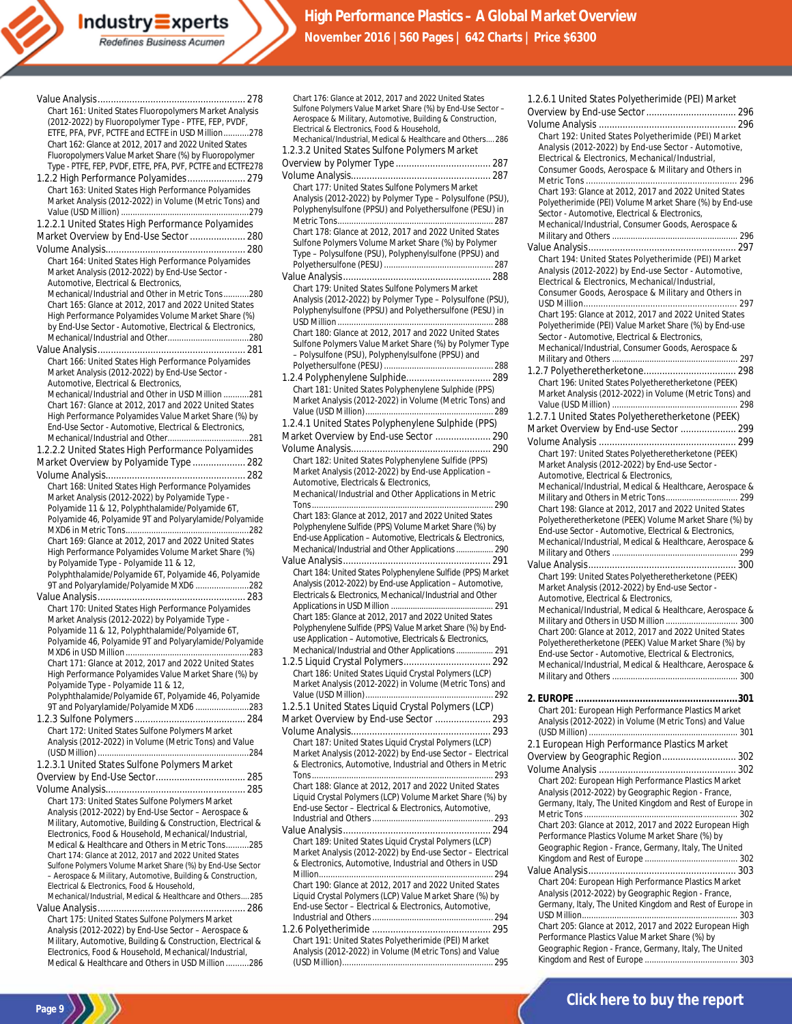Redefines Business Acumen

| Chart 161: United States Fluoropolymers Market Analysis      |
|--------------------------------------------------------------|
| (2012-2022) by Fluoropolymer Type - PTFE, FEP, PVDF,         |
| ETFE, PFA, PVF, PCTFE and ECTFE in USD Million278            |
| Chart 162: Glance at 2012, 2017 and 2022 United States       |
|                                                              |
| Fluoropolymers Value Market Share (%) by Fluoropolymer       |
| Type - PTFE, FEP, PVDF, ETFE, PFA, PVF, PCTFE and ECTFE278   |
| 1.2.2 High Performance Polyamides 279                        |
| Chart 163: United States High Performance Polyamides         |
| Market Analysis (2012-2022) in Volume (Metric Tons) and      |
|                                                              |
| 1.2.2.1 United States High Performance Polyamides            |
| Market Overview by End-Use Sector  280                       |
|                                                              |
|                                                              |
| Chart 164: United States High Performance Polyamides         |
| Market Analysis (2012-2022) by End-Use Sector -              |
| Automotive, Electrical & Electronics,                        |
| Mechanical/Industrial and Other in Metric Tons280            |
| Chart 165: Glance at 2012, 2017 and 2022 United States       |
| High Performance Polyamides Volume Market Share (%)          |
| by End-Use Sector - Automotive, Electrical & Electronics,    |
|                                                              |
|                                                              |
| Chart 166: United States High Performance Polyamides         |
| Market Analysis (2012-2022) by End-Use Sector -              |
| Automotive, Electrical & Electronics,                        |
| Mechanical/Industrial and Other in USD Million 281           |
| Chart 167: Glance at 2012, 2017 and 2022 United States       |
|                                                              |
| High Performance Polyamides Value Market Share (%) by        |
| End-Use Sector - Automotive, Electrical & Electronics,       |
|                                                              |
| 1.2.2.2 United States High Performance Polyamides            |
| Market Overview by Polyamide Type  282                       |
|                                                              |
| Chart 168: United States High Performance Polyamides         |
| Market Analysis (2012-2022) by Polyamide Type -              |
| Polyamide 11 & 12, Polyphthalamide/Polyamide 6T,             |
| Polyamide 46, Polyamide 9T and Polyarylamide/Polyamide       |
|                                                              |
| Chart 169: Glance at 2012, 2017 and 2022 United States       |
| High Performance Polyamides Volume Market Share (%)          |
| by Polyamide Type - Polyamide 11 & 12,                       |
| Polyphthalamide/Polyamide 6T, Polyamide 46, Polyamide        |
|                                                              |
| 9T and Polyarylamide/Polyamide MXD6 282                      |
|                                                              |
| Chart 170: United States High Performance Polyamides         |
| Market Analysis (2012-2022) by Polyamide Type -              |
| Polyamide 11 & 12, Polyphthalamide/Polyamide 6T,             |
| Polyamide 46, Polyamide 9T and Polyarylamide/Polyamide       |
|                                                              |
| Chart 171: Glance at 2012, 2017 and 2022 United States       |
| High Performance Polyamides Value Market Share (%) by        |
| Polyamide Type - Polyamide 11 & 12,                          |
| Polyphthalamide/Polyamide 6T, Polyamide 46, Polyamide        |
| 9T and Polyarylamide/Polyamide MXD6 283                      |
|                                                              |
| Chart 172: United States Sulfone Polymers Market             |
| Analysis (2012-2022) in Volume (Metric Tons) and Value       |
|                                                              |
| 1.2.3.1 United States Sulfone Polymers Market                |
|                                                              |
|                                                              |
|                                                              |
| Chart 173: United States Sulfone Polymers Market             |
| Analysis (2012-2022) by End-Use Sector - Aerospace &         |
| Military, Automotive, Building & Construction, Electrical &  |
| Electronics, Food & Household, Mechanical/Industrial,        |
| Medical & Healthcare and Others in Metric Tons285            |
| Chart 174: Glance at 2012, 2017 and 2022 United States       |
| Sulfone Polymers Volume Market Share (%) by End-Use Sector   |
| - Aerospace & Military, Automotive, Building & Construction, |
| Electrical & Electronics, Food & Household,                  |
| Mechanical/Industrial, Medical & Healthcare and Others285    |
|                                                              |
| Chart 175: United States Sulfone Polymers Market             |
| Analysis (2012-2022) by End-Use Sector - Aerospace &         |
| Military, Automotive, Building & Construction, Electrical &  |
| Electronics. Food & Household. Mechanical/Industrial.        |

Medical & Healthcare and Others in USD Million ..........286

**Page 9**

Volume Analysis..................................................... 287 Chart 177: United States Sulfone Polymers Market Analysis (2012-2022) by Polymer Type – Polysulfone (PSU), Polyphenylsulfone (PPSU) and Polyethersulfone (PESU) in Metric Tons................................................................... 287 Chart 178: Glance at 2012, 2017 and 2022 United States Sulfone Polymers Volume Market Share (%) by Polymer Type – Polysulfone (PSU), Polyphenylsulfone (PPSU) and Polyethersulfone (PESU) ............................................... 287 Value Analysis........................................................ 288 Chart 179: United States Sulfone Polymers Market Analysis (2012-2022) by Polymer Type – Polysulfone (PSU), Polyphenylsulfone (PPSU) and Polyethersulfone (PESU) in USD Million................................................................... 288 Chart 180: Glance at 2012, 2017 and 2022 United States Sulfone Polymers Value Market Share (%) by Polymer Type – Polysulfone (PSU), Polyphenylsulfone (PPSU) and Polyethersulfone (PESU) ............................................... 288 1.2.4 Polyphenylene Sulphide................................ 289 Chart 181: United States Polyphenylene Sulphide (PPS) Market Analysis (2012-2022) in Volume (Metric Tons) and Value (USD Million)....................................................... 289 1.2.4.1 United States Polyphenylene Sulphide (PPS) Market Overview by End-use Sector ..................... 290 Volume Analysis..................................................... 290 Chart 182: United States Polyphenylene Sulfide (PPS) Market Analysis (2012-2022) by End-use Application – Automotive, Electricals & Electronics, Mechanical/Industrial and Other Applications in Metric Tons.............................................................................. 290 Chart 183: Glance at 2012, 2017 and 2022 United States Polyphenylene Sulfide (PPS) Volume Market Share (%) by End-use Application – Automotive, Electricals & Electronics, Mechanical/Industrial and Other Applications................. 290 Value Analysis........................................................ 291 Chart 184: United States Polyphenylene Sulfide (PPS) Market Analysis (2012-2022) by End-use Application – Automotive, Electricals & Electronics, Mechanical/Industrial and Other Applications in USD Million ............................................... 291 Chart 185: Glance at 2012, 2017 and 2022 United States Polyphenylene Sulfide (PPS) Value Market Share (%) by Enduse Application – Automotive, Electricals & Electronics, Mechanical/Industrial and Other Applications................. 291 1.2.5 Liquid Crystal Polymers................................. 292 Chart 186: United States Liquid Crystal Polymers (LCP) Market Analysis (2012-2022) in Volume (Metric Tons) and Value (USD Million)....................................................... 292 1.2.5.1 United States Liquid Crystal Polymers (LCP) Market Overview by End-use Sector ..................... 293 Volume Analysis..................................................... 293 Chart 187: United States Liquid Crystal Polymers (LCP) Market Analysis (2012-2022) by End-use Sector – Electrical & Electronics, Automotive, Industrial and Others in Metric Tons.............................................................................. 293 Chart 188: Glance at 2012, 2017 and 2022 United States Liquid Crystal Polymers (LCP) Volume Market Share (%) by End-use Sector – Electrical & Electronics, Automotive, Industrial and Others.................................................... 293 Value Analysis........................................................ 294 Chart 189: United States Liquid Crystal Polymers (LCP) Market Analysis (2012-2022) by End-use Sector – Electrical & Electronics, Automotive, Industrial and Others in USD Million... Chart 190: Glance at 2012, 2017 and 2022 United States Liquid Crystal Polymers (LCP) Value Market Share (%) by End-use Sector – Electrical & Electronics, Automotive, Industrial and Others.................................................... 294

Chart 176: Glance at 2012, 2017 and 2022 United States Sulfone Polymers Value Market Share (%) by End-Use Sector – Aerospace & Military, Automotive, Building & Construction,

Mechanical/Industrial, Medical & Healthcare and Others.... 286 1.2.3.2 United States Sulfone Polymers Market Overview by Polymer Type .................................... 287

Electrical & Electronics, Food & Household,

1.2.6 Polyetherimide ............................................. 295 Chart 191: United States Polyetherimide (PEI) Market Analysis (2012-2022) in Volume (Metric Tons) and Value (USD Million)................................................................. 295

| Chart 192: United States Polyetherimide (PEI) Market                                                             |  |
|------------------------------------------------------------------------------------------------------------------|--|
| Analysis (2012-2022) by End-use Sector - Automotive,                                                             |  |
| Electrical & Electronics, Mechanical/Industrial,                                                                 |  |
| Consumer Goods, Aerospace & Military and Others in                                                               |  |
|                                                                                                                  |  |
| Chart 193: Glance at 2012, 2017 and 2022 United States                                                           |  |
| Polyetherimide (PEI) Volume Market Share (%) by End-use<br>Sector - Automotive, Electrical & Electronics,        |  |
| Mechanical/Industrial, Consumer Goods, Aerospace &                                                               |  |
|                                                                                                                  |  |
|                                                                                                                  |  |
| Chart 194: United States Polyetherimide (PEI) Market                                                             |  |
| Analysis (2012-2022) by End-use Sector - Automotive,<br>Electrical & Electronics, Mechanical/Industrial,         |  |
| Consumer Goods, Aerospace & Military and Others in                                                               |  |
|                                                                                                                  |  |
| Chart 195: Glance at 2012, 2017 and 2022 United States                                                           |  |
| Polyetherimide (PEI) Value Market Share (%) by End-use                                                           |  |
| Sector - Automotive, Electrical & Electronics,                                                                   |  |
| Mechanical/Industrial, Consumer Goods, Aerospace &                                                               |  |
|                                                                                                                  |  |
| Chart 196: United States Polyetheretherketone (PEEK)                                                             |  |
| Market Analysis (2012-2022) in Volume (Metric Tons) and                                                          |  |
|                                                                                                                  |  |
| 1.2.7.1 United States Polyetheretherketone (PEEK)                                                                |  |
| Market Overview by End-use Sector  299                                                                           |  |
|                                                                                                                  |  |
| Chart 197: United States Polyetheretherketone (PEEK)<br>Market Analysis (2012-2022) by End-use Sector -          |  |
| Automotive, Electrical & Electronics,                                                                            |  |
| Mechanical/Industrial, Medical & Healthcare, Aerospace &                                                         |  |
|                                                                                                                  |  |
| Chart 198: Glance at 2012, 2017 and 2022 United States                                                           |  |
| Polyetheretherketone (PEEK) Volume Market Share (%) by<br>End-use Sector - Automotive, Electrical & Electronics, |  |
| Mechanical/Industrial, Medical & Healthcare, Aerospace &                                                         |  |
|                                                                                                                  |  |
|                                                                                                                  |  |
| Chart 199: United States Polyetheretherketone (PEEK)                                                             |  |
|                                                                                                                  |  |
| Market Analysis (2012-2022) by End-use Sector -                                                                  |  |
| Automotive, Electrical & Electronics,                                                                            |  |
| Mechanical/Industrial, Medical & Healthcare, Aerospace &<br>Military and Others in USD Million  300              |  |
| Chart 200: Glance at 2012, 2017 and 2022 United States                                                           |  |
| Polyetheretherketone (PEEK) Value Market Share (%) by                                                            |  |
| End-use Sector - Automotive, Electrical & Electronics,                                                           |  |
| Mechanical/Industrial, Medical & Healthcare, Aerospace &                                                         |  |
|                                                                                                                  |  |
|                                                                                                                  |  |
| Chart 201: European High Performance Plastics Market                                                             |  |
| Analysis (2012-2022) in Volume (Metric Tons) and Value                                                           |  |
|                                                                                                                  |  |
| 2.1 European High Performance Plastics Market                                                                    |  |
| Overview by Geographic Region 302                                                                                |  |
| Chart 202: European High Performance Plastics Market                                                             |  |
| Analysis (2012-2022) by Geographic Region - France,                                                              |  |
| Germany, Italy, The United Kingdom and Rest of Europe in                                                         |  |
|                                                                                                                  |  |
| Chart 203: Glance at 2012, 2017 and 2022 European High                                                           |  |
| Performance Plastics Volume Market Share (%) by                                                                  |  |
| Geographic Region - France, Germany, Italy, The United                                                           |  |
|                                                                                                                  |  |
| Chart 204: European High Performance Plastics Market                                                             |  |
| Analysis (2012-2022) by Geographic Region - France,                                                              |  |
| Germany, Italy, The United Kingdom and Rest of Europe in                                                         |  |
| Chart 205: Glance at 2012, 2017 and 2022 European High                                                           |  |
| Performance Plastics Value Market Share (%) by                                                                   |  |
| Geographic Region - France, Germany, Italy, The United                                                           |  |

1.2.6.1 United States Polyetherimide (PEI) Market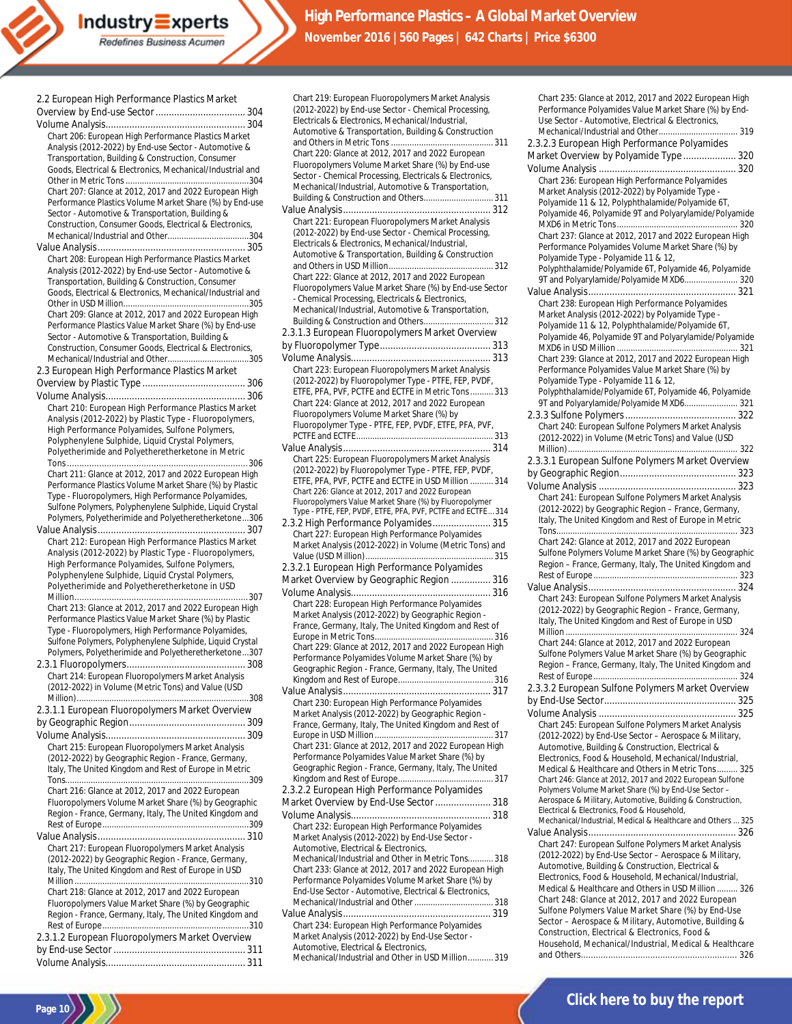| Industry $\equiv$ xperts  |
|---------------------------|
| Redefines Business Acumen |
|                           |
|                           |

| 2.2 European High Performance Plastics Market              |
|------------------------------------------------------------|
|                                                            |
|                                                            |
| Chart 206: European High Performance Plastics Market       |
| Analysis (2012-2022) by End-use Sector - Automotive &      |
| Transportation, Building & Construction, Consumer          |
| Goods, Electrical & Electronics, Mechanical/Industrial and |
|                                                            |
|                                                            |
| Chart 207: Glance at 2012, 2017 and 2022 European High     |
| Performance Plastics Volume Market Share (%) by End-use    |
| Sector - Automotive & Transportation, Building &           |
| Construction, Consumer Goods, Electrical & Electronics,    |
|                                                            |
|                                                            |
| Chart 208: European High Performance Plastics Market       |
| Analysis (2012-2022) by End-use Sector - Automotive &      |
| Transportation, Building & Construction, Consumer          |
| Goods, Electrical & Electronics, Mechanical/Industrial and |
|                                                            |
| Chart 209: Glance at 2012, 2017 and 2022 European High     |
| Performance Plastics Value Market Share (%) by End-use     |
|                                                            |
| Sector - Automotive & Transportation, Building &           |
| Construction, Consumer Goods, Electrical & Electronics,    |
|                                                            |
| 2.3 European High Performance Plastics Market              |
|                                                            |
|                                                            |
| Chart 210: European High Performance Plastics Market       |
| Analysis (2012-2022) by Plastic Type - Fluoropolymers,     |
|                                                            |
| High Performance Polyamides, Sulfone Polymers,             |
| Polyphenylene Sulphide, Liquid Crystal Polymers,           |
| Polyetherimide and Polyetheretherketone in Metric          |
|                                                            |
| Chart 211: Glance at 2012, 2017 and 2022 European High     |
| Performance Plastics Volume Market Share (%) by Plastic    |
| Type - Fluoropolymers, High Performance Polyamides,        |
| Sulfone Polymers, Polyphenylene Sulphide, Liquid Crystal   |
| Polymers, Polyetherimide and Polyetheretherketone306       |
|                                                            |
| Chart 212: European High Performance Plastics Market       |
| Analysis (2012-2022) by Plastic Type - Fluoropolymers,     |
| High Performance Polyamides, Sulfone Polymers,             |
| Polyphenylene Sulphide, Liquid Crystal Polymers,           |
|                                                            |
| Polyetherimide and Polyetheretherketone in USD             |
|                                                            |
| Chart 213: Glance at 2012, 2017 and 2022 European High     |
| Performance Plastics Value Market Share (%) by Plastic     |
| Type - Fluoropolymers, High Performance Polyamides,        |
| Sulfone Polymers, Polyphenylene Sulphide, Liquid Crystal   |
| Polymers, Polyetherimide and Polyetheretherketone307       |
|                                                            |
| Chart 214: European Fluoropolymers Market Analysis         |
| (2012-2022) in Volume (Metric Tons) and Value (USD         |
|                                                            |
| 2.3.1.1 European Fluoropolymers Market Overview            |
|                                                            |
|                                                            |
|                                                            |
| Chart 215: European Fluoropolymers Market Analysis         |
| (2012-2022) by Geographic Region - France, Germany,        |
| Italy, The United Kingdom and Rest of Europe in Metric     |
|                                                            |
| Chart 216: Glance at 2012, 2017 and 2022 European          |
| Fluoropolymers Volume Market Share (%) by Geographic       |
| Region - France, Germany, Italy, The United Kingdom and    |
|                                                            |
|                                                            |
|                                                            |
| Chart 217: European Fluoropolymers Market Analysis         |
| (2012-2022) by Geographic Region - France, Germany,        |
| Italy, The United Kingdom and Rest of Europe in USD        |
|                                                            |
| Chart 218: Glance at 2012, 2017 and 2022 European          |
| Fluoropolymers Value Market Share (%) by Geographic        |
| Region - France, Germany, Italy, The United Kingdom and    |
|                                                            |
| 2.3.1.2 European Fluoropolymers Market Overview            |
|                                                            |
|                                                            |
|                                                            |

Page 10<sup>1</sup>

| Chart 219: European Fluoropolymers Market Analysis                                                            |
|---------------------------------------------------------------------------------------------------------------|
| (2012-2022) by End-use Sector - Chemical Processing,<br>Electricals & Electronics, Mechanical/Industrial,     |
| Automotive & Transportation, Building & Construction                                                          |
|                                                                                                               |
| Chart 220: Glance at 2012, 2017 and 2022 European                                                             |
| Fluoropolymers Volume Market Share (%) by End-use<br>Sector - Chemical Processing, Electricals & Electronics, |
| Mechanical/Industrial, Automotive & Transportation,                                                           |
| Building & Construction and Others 311                                                                        |
|                                                                                                               |
| Chart 221: European Fluoropolymers Market Analysis                                                            |
| (2012-2022) by End-use Sector - Chemical Processing,                                                          |
| Electricals & Electronics, Mechanical/Industrial,<br>Automotive & Transportation, Building & Construction     |
|                                                                                                               |
| Chart 222: Glance at 2012, 2017 and 2022 European                                                             |
| Fluoropolymers Value Market Share (%) by End-use Sector                                                       |
| - Chemical Processing, Electricals & Electronics,                                                             |
| Mechanical/Industrial, Automotive & Transportation,<br>Building & Construction and Others 312                 |
| 2.3.1.3 European Fluoropolymers Market Overview                                                               |
|                                                                                                               |
|                                                                                                               |
| Chart 223: European Fluoropolymers Market Analysis                                                            |
| (2012-2022) by Fluoropolymer Type - PTFE, FEP, PVDF,                                                          |
| ETFE, PFA, PVF, PCTFE and ECTFE in Metric Tons  313                                                           |
| Chart 224: Glance at 2012, 2017 and 2022 European<br>Fluoropolymers Volume Market Share (%) by                |
| Fluoropolymer Type - PTFE, FEP, PVDF, ETFE, PFA, PVF,                                                         |
|                                                                                                               |
|                                                                                                               |
| Chart 225: European Fluoropolymers Market Analysis                                                            |
| (2012-2022) by Fluoropolymer Type - PTFE, FEP, PVDF,<br>ETFE, PFA, PVF, PCTFE and ECTFE in USD Million  314   |
| Chart 226: Glance at 2012, 2017 and 2022 European                                                             |
| Fluoropolymers Value Market Share (%) by Fluoropolymer                                                        |
| Type - PTFE, FEP, PVDF, ETFE, PFA, PVF, PCTFE and ECTFE 314                                                   |
| 2.3.2 High Performance Polyamides 315<br>Chart 227: European High Performance Polyamides                      |
| Market Analysis (2012-2022) in Volume (Metric Tons) and                                                       |
|                                                                                                               |
| 2.3.2.1 European High Performance Polyamides                                                                  |
| Market Overview by Geographic Region  316                                                                     |
|                                                                                                               |
| Chart 228: European High Performance Polyamides<br>Market Analysis (2012-2022) by Geographic Region -         |
| France, Germany, Italy, The United Kingdom and Rest of                                                        |
|                                                                                                               |
| Chart 229: Glance at 2012, 2017 and 2022 European High                                                        |
| Performance Polyamides Volume Market Share (%) by<br>Geographic Region - France, Germany, Italy, The United   |
|                                                                                                               |
|                                                                                                               |
| Chart 230: European High Performance Polyamides                                                               |
| Market Analysis (2012-2022) by Geographic Region -                                                            |
| France, Germany, Italy, The United Kingdom and Rest of                                                        |
| Chart 231: Glance at 2012, 2017 and 2022 European High                                                        |
| Performance Polyamides Value Market Share (%) by                                                              |
| Geographic Region - France, Germany, Italy, The United                                                        |
|                                                                                                               |
| 2.3.2.2 European High Performance Polyamides<br>Market Overview by End-Use Sector  318                        |
|                                                                                                               |
| Chart 232: European High Performance Polyamides                                                               |
| Market Analysis (2012-2022) by End-Use Sector -                                                               |
| Automotive, Electrical & Electronics,                                                                         |
| Mechanical/Industrial and Other in Metric Tons 318<br>Chart 233: Glance at 2012, 2017 and 2022 European High  |
| Performance Polyamides Volume Market Share (%) by                                                             |
| End-Use Sector - Automotive, Electrical & Electronics,                                                        |
|                                                                                                               |
|                                                                                                               |
| Chart 234: European High Performance Polyamides<br>Market Analysis (2012-2022) by End-Use Sector -            |
| Automotive, Electrical & Electronics,                                                                         |
| Mechanical/Industrial and Other in USD Million 319                                                            |
|                                                                                                               |

| Performance Polyamides Value Market Share (%) by End-                                                           |
|-----------------------------------------------------------------------------------------------------------------|
| Use Sector - Automotive, Electrical & Electronics,                                                              |
| 2.3.2.3 European High Performance Polyamides                                                                    |
| Market Overview by Polyamide Type  320                                                                          |
|                                                                                                                 |
| Chart 236: European High Performance Polyamides                                                                 |
| Market Analysis (2012-2022) by Polyamide Type -                                                                 |
| Polyamide 11 & 12, Polyphthalamide/Polyamide 6T,                                                                |
| Polyamide 46, Polyamide 9T and Polyarylamide/Polyamide                                                          |
|                                                                                                                 |
| Chart 237: Glance at 2012, 2017 and 2022 European High<br>Performance Polyamides Volume Market Share (%) by     |
| Polyamide Type - Polyamide 11 & 12,                                                                             |
| Polyphthalamide/Polyamide 6T, Polyamide 46, Polyamide                                                           |
| 9T and Polyarylamide/Polyamide MXD6 320                                                                         |
|                                                                                                                 |
| Chart 238: European High Performance Polyamides                                                                 |
| Market Analysis (2012-2022) by Polyamide Type -                                                                 |
| Polyamide 11 & 12, Polyphthalamide/Polyamide 6T,<br>Polyamide 46, Polyamide 9T and Polyarylamide/Polyamide      |
|                                                                                                                 |
| Chart 239: Glance at 2012, 2017 and 2022 European High                                                          |
| Performance Polyamides Value Market Share (%) by                                                                |
| Polyamide Type - Polyamide 11 & 12,                                                                             |
| Polyphthalamide/Polyamide 6T, Polyamide 46, Polyamide                                                           |
| 9T and Polyarylamide/Polyamide MXD6 321                                                                         |
| Chart 240: European Sulfone Polymers Market Analysis                                                            |
| (2012-2022) in Volume (Metric Tons) and Value (USD                                                              |
|                                                                                                                 |
| 2.3.3.1 European Sulfone Polymers Market Overview                                                               |
|                                                                                                                 |
|                                                                                                                 |
| Chart 241: European Sulfone Polymers Market Analysis                                                            |
| (2012-2022) by Geographic Region - France, Germany,                                                             |
| Italy, The United Kingdom and Rest of Europe in Metric                                                          |
|                                                                                                                 |
|                                                                                                                 |
| Chart 242: Glance at 2012, 2017 and 2022 European                                                               |
| Sulfone Polymers Volume Market Share (%) by Geographic                                                          |
| Region - France, Germany, Italy, The United Kingdom and                                                         |
|                                                                                                                 |
| Chart 243: European Sulfone Polymers Market Analysis                                                            |
| (2012-2022) by Geographic Region - France, Germany,                                                             |
| Italy, The United Kingdom and Rest of Europe in USD                                                             |
|                                                                                                                 |
| Chart 244: Glance at 2012, 2017 and 2022 European                                                               |
| Sulfone Polymers Value Market Share (%) by Geographic                                                           |
| Region - France, Germany, Italy, The United Kingdom and                                                         |
| 2.3.3.2 European Sulfone Polymers Market Overview                                                               |
|                                                                                                                 |
|                                                                                                                 |
| Chart 245: European Sulfone Polymers Market Analysis                                                            |
| (2012-2022) by End-Use Sector - Aerospace & Military,                                                           |
| Automotive, Building & Construction, Electrical &                                                               |
| Electronics, Food & Household, Mechanical/Industrial,                                                           |
| Medical & Healthcare and Others in Metric Tons 325<br>Chart 246: Glance at 2012, 2017 and 2022 European Sulfone |
| Polymers Volume Market Share (%) by End-Use Sector -                                                            |
| Aerospace & Military, Automotive, Building & Construction,                                                      |
| Electrical & Electronics, Food & Household,                                                                     |
| Mechanical/Industrial, Medical & Healthcare and Others  325                                                     |
| Chart 247: European Sulfone Polymers Market Analysis                                                            |
| (2012-2022) by End-Use Sector - Aerospace & Military,                                                           |
| Automotive, Building & Construction, Electrical &                                                               |
| Electronics, Food & Household, Mechanical/Industrial,                                                           |
| Medical & Healthcare and Others in USD Million  326                                                             |
| Chart 248: Glance at 2012, 2017 and 2022 European                                                               |
| Sulfone Polymers Value Market Share (%) by End-Use                                                              |
| Sector - Aerospace & Military, Automotive, Building &<br>Construction, Electrical & Electronics, Food &         |
| Household, Mechanical/Industrial, Medical & Healthcare                                                          |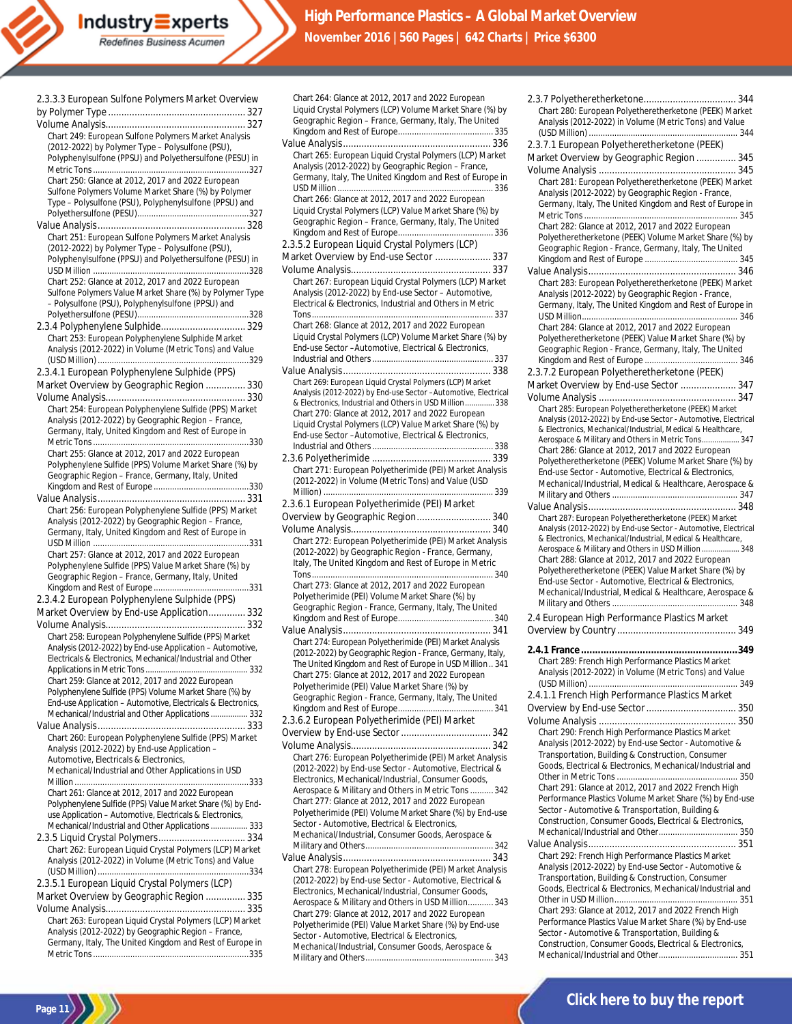| Chart 249: European Sulfone Polymers Market Analysis                                                                   |
|------------------------------------------------------------------------------------------------------------------------|
| (2012-2022) by Polymer Type - Polysulfone (PSU),                                                                       |
| Polyphenylsulfone (PPSU) and Polyethersulfone (PESU) in                                                                |
|                                                                                                                        |
| Chart 250: Glance at 2012, 2017 and 2022 European                                                                      |
| Sulfone Polymers Volume Market Share (%) by Polymer                                                                    |
| Type - Polysulfone (PSU), Polyphenylsulfone (PPSU) and                                                                 |
|                                                                                                                        |
| Chart 251: European Sulfone Polymers Market Analysis                                                                   |
| (2012-2022) by Polymer Type - Polysulfone (PSU),                                                                       |
| Polyphenylsulfone (PPSU) and Polyethersulfone (PESU) in                                                                |
|                                                                                                                        |
| Chart 252: Glance at 2012, 2017 and 2022 European                                                                      |
| Sulfone Polymers Value Market Share (%) by Polymer Type                                                                |
| - Polysulfone (PSU), Polyphenylsulfone (PPSU) and                                                                      |
|                                                                                                                        |
| 2.3.4 Polyphenylene Sulphide 329                                                                                       |
| Chart 253: European Polyphenylene Sulphide Market                                                                      |
| Analysis (2012-2022) in Volume (Metric Tons) and Value                                                                 |
|                                                                                                                        |
| 2.3.4.1 European Polyphenylene Sulphide (PPS)                                                                          |
| Market Overview by Geographic Region  330                                                                              |
|                                                                                                                        |
| Chart 254: European Polyphenylene Sulfide (PPS) Market                                                                 |
| Analysis (2012-2022) by Geographic Region - France,                                                                    |
| Germany, Italy, United Kingdom and Rest of Europe in                                                                   |
| Chart 255: Glance at 2012, 2017 and 2022 European                                                                      |
| Polyphenylene Sulfide (PPS) Volume Market Share (%) by                                                                 |
| Geographic Region - France, Germany, Italy, United                                                                     |
|                                                                                                                        |
|                                                                                                                        |
| Chart 256: European Polyphenylene Sulfide (PPS) Market                                                                 |
| Analysis (2012-2022) by Geographic Region - France,                                                                    |
| Germany, Italy, United Kingdom and Rest of Europe in                                                                   |
|                                                                                                                        |
|                                                                                                                        |
| Chart 257: Glance at 2012, 2017 and 2022 European                                                                      |
| Polyphenylene Sulfide (PPS) Value Market Share (%) by                                                                  |
| Geographic Region - France, Germany, Italy, United                                                                     |
|                                                                                                                        |
| 2.3.4.2 European Polyphenylene Sulphide (PPS)                                                                          |
| Market Overview by End-use Application 332                                                                             |
|                                                                                                                        |
| Chart 258: European Polyphenylene Sulfide (PPS) Market                                                                 |
| Analysis (2012-2022) by End-use Application - Automotive,                                                              |
| Electricals & Electronics, Mechanical/Industrial and Other                                                             |
|                                                                                                                        |
| Chart 259: Glance at 2012, 2017 and 2022 European                                                                      |
| Polyphenylene Sulfide (PPS) Volume Market Share (%) by<br>End-use Application - Automotive, Electricals & Electronics, |
| Mechanical/Industrial and Other Applications  332                                                                      |
|                                                                                                                        |
| Chart 260: European Polyphenylene Sulfide (PPS) Market                                                                 |
| Analysis (2012-2022) by End-use Application -                                                                          |
| Automotive, Electricals & Electronics,                                                                                 |
| Mechanical/Industrial and Other Applications in USD                                                                    |
|                                                                                                                        |
| Chart 261: Glance at 2012, 2017 and 2022 European                                                                      |
| Polyphenylene Sulfide (PPS) Value Market Share (%) by End-                                                             |
| use Application - Automotive, Electricals & Electronics,                                                               |
| Mechanical/Industrial and Other Applications  333                                                                      |
|                                                                                                                        |
| Chart 262: European Liquid Crystal Polymers (LCP) Market                                                               |
| Analysis (2012-2022) in Volume (Metric Tons) and Value                                                                 |
| 2.3.5.1 European Liquid Crystal Polymers (LCP)                                                                         |
| Market Overview by Geographic Region  335                                                                              |
|                                                                                                                        |
| Chart 263: European Liquid Crystal Polymers (LCP) Market                                                               |
| Analysis (2012-2022) by Geographic Region - France,                                                                    |
| Germany, Italy, The United Kingdom and Rest of Europe in                                                               |

**Industry Experts**<br>Redefines Business Acumen

| Chart 264: Glance at 2012, 2017 and 2022 European                                                                  |
|--------------------------------------------------------------------------------------------------------------------|
| Liquid Crystal Polymers (LCP) Volume Market Share (%) by<br>Geographic Region - France, Germany, Italy, The United |
|                                                                                                                    |
|                                                                                                                    |
| Chart 265: European Liquid Crystal Polymers (LCP) Market                                                           |
| Analysis (2012-2022) by Geographic Region - France,<br>Germany, Italy, The United Kingdom and Rest of Europe in    |
|                                                                                                                    |
| Chart 266: Glance at 2012, 2017 and 2022 European                                                                  |
| Liquid Crystal Polymers (LCP) Value Market Share (%) by                                                            |
| Geographic Region - France, Germany, Italy, The United                                                             |
| 2.3.5.2 European Liquid Crystal Polymers (LCP)                                                                     |
| Market Overview by End-use Sector  337                                                                             |
|                                                                                                                    |
| Chart 267: European Liquid Crystal Polymers (LCP) Market                                                           |
| Analysis (2012-2022) by End-use Sector - Automotive,<br>Electrical & Electronics, Industrial and Others in Metric  |
|                                                                                                                    |
| Chart 268: Glance at 2012, 2017 and 2022 European                                                                  |
| Liquid Crystal Polymers (LCP) Volume Market Share (%) by                                                           |
| End-use Sector - Automotive, Electrical & Electronics,                                                             |
|                                                                                                                    |
| Chart 269: European Liquid Crystal Polymers (LCP) Market                                                           |
| Analysis (2012-2022) by End-use Sector -Automotive, Electrical                                                     |
| & Electronics, Industrial and Others in USD Million 338<br>Chart 270: Glance at 2012, 2017 and 2022 European       |
| Liquid Crystal Polymers (LCP) Value Market Share (%) by                                                            |
| End-use Sector - Automotive, Electrical & Electronics,                                                             |
|                                                                                                                    |
| Chart 271: European Polyetherimide (PEI) Market Analysis                                                           |
| (2012-2022) in Volume (Metric Tons) and Value (USD                                                                 |
|                                                                                                                    |
| 2.3.6.1 European Polyetherimide (PEI) Market                                                                       |
| Overview by Geographic Region 340                                                                                  |
| Chart 272: European Polyetherimide (PEI) Market Analysis                                                           |
| (2012-2022) by Geographic Region - France, Germany,                                                                |
| Italy, The United Kingdom and Rest of Europe in Metric                                                             |
| Chart 273: Glance at 2012, 2017 and 2022 European                                                                  |
| Polyetherimide (PEI) Volume Market Share (%) by                                                                    |
| Geographic Region - France, Germany, Italy, The United                                                             |
|                                                                                                                    |
| Chart 274: European Polyetherimide (PEI) Market Analysis                                                           |
| (2012-2022) by Geographic Region - France, Germany, Italy,                                                         |
| The United Kingdom and Rest of Europe in USD Million 341                                                           |
| Chart 275: Glance at 2012, 2017 and 2022 European                                                                  |
| Polyetherimide (PEI) Value Market Share (%) by<br>Geographic Region - France, Germany, Italy, The United           |
|                                                                                                                    |
| 2.3.6.2 European Polyetherimide (PEI) Market                                                                       |
|                                                                                                                    |
|                                                                                                                    |
|                                                                                                                    |
| Chart 276: European Polyetherimide (PEI) Market Analysis                                                           |
| (2012-2022) by End-use Sector - Automotive, Electrical &                                                           |
| Electronics, Mechanical/Industrial, Consumer Goods,<br>Aerospace & Military and Others in Metric Tons  342         |
| Chart 277: Glance at 2012, 2017 and 2022 European                                                                  |
| Polyetherimide (PEI) Volume Market Share (%) by End-use                                                            |
| Sector - Automotive, Electrical & Electronics,<br>Mechanical/Industrial, Consumer Goods, Aerospace &               |
|                                                                                                                    |
|                                                                                                                    |
| Chart 278: European Polyetherimide (PEI) Market Analysis                                                           |
| (2012-2022) by End-use Sector - Automotive, Electrical &<br>Electronics, Mechanical/Industrial, Consumer Goods,    |
| Aerospace & Military and Others in USD Million 343                                                                 |
| Chart 279: Glance at 2012, 2017 and 2022 European                                                                  |
| Polyetherimide (PEI) Value Market Share (%) by End-use                                                             |
| Sector - Automotive, Electrical & Electronics,<br>Mechanical/Industrial, Consumer Goods, Aerospace &               |

| Chart 280: European Polyetheretherketone (PEEK) Market                                                      |
|-------------------------------------------------------------------------------------------------------------|
| Analysis (2012-2022) in Volume (Metric Tons) and Value                                                      |
|                                                                                                             |
| 2.3.7.1 European Polyetheretherketone (PEEK)                                                                |
| Market Overview by Geographic Region  345                                                                   |
|                                                                                                             |
| Chart 281: European Polyetheretherketone (PEEK) Market                                                      |
|                                                                                                             |
| Analysis (2012-2022) by Geographic Region - France,                                                         |
| Germany, Italy, The United Kingdom and Rest of Europe in                                                    |
| Chart 282: Glance at 2012, 2017 and 2022 European                                                           |
| Polyetheretherketone (PEEK) Volume Market Share (%) by                                                      |
| Geographic Region - France, Germany, Italy, The United                                                      |
|                                                                                                             |
|                                                                                                             |
| Chart 283: European Polyetheretherketone (PEEK) Market                                                      |
| Analysis (2012-2022) by Geographic Region - France,                                                         |
| Germany, Italy, The United Kingdom and Rest of Europe in                                                    |
|                                                                                                             |
| Chart 284: Glance at 2012, 2017 and 2022 European                                                           |
| Polyetheretherketone (PEEK) Value Market Share (%) by                                                       |
| Geographic Region - France, Germany, Italy, The United                                                      |
|                                                                                                             |
| 2.3.7.2 European Polyetheretherketone (PEEK)                                                                |
| Market Overview by End-use Sector  347                                                                      |
|                                                                                                             |
| Chart 285: European Polyetheretherketone (PEEK) Market                                                      |
| Analysis (2012-2022) by End-use Sector - Automotive, Electrical                                             |
| & Electronics, Mechanical/Industrial, Medical & Healthcare,                                                 |
| Aerospace & Military and Others in Metric Tons 347                                                          |
| Chart 286: Glance at 2012, 2017 and 2022 European                                                           |
| Polyetheretherketone (PEEK) Volume Market Share (%) by                                                      |
| End-use Sector - Automotive, Electrical & Electronics,                                                      |
| Mechanical/Industrial, Medical & Healthcare, Aerospace &                                                    |
|                                                                                                             |
|                                                                                                             |
| Chart 287: European Polyetheretherketone (PEEK) Market                                                      |
| Analysis (2012-2022) by End-use Sector - Automotive, Electrical                                             |
|                                                                                                             |
| & Electronics, Mechanical/Industrial, Medical & Healthcare,                                                 |
| Aerospace & Military and Others in USD Million  348                                                         |
| Chart 288: Glance at 2012, 2017 and 2022 European                                                           |
| Polyetheretherketone (PEEK) Value Market Share (%) by                                                       |
| End-use Sector - Automotive, Electrical & Electronics,                                                      |
| Mechanical/Industrial, Medical & Healthcare, Aerospace &                                                    |
|                                                                                                             |
| 2.4 European High Performance Plastics Market                                                               |
|                                                                                                             |
|                                                                                                             |
|                                                                                                             |
| Chart 289: French High Performance Plastics Market                                                          |
| Analysis (2012-2022) in Volume (Metric Tons) and Value                                                      |
|                                                                                                             |
| 2.4.1.1 French High Performance Plastics Market                                                             |
|                                                                                                             |
|                                                                                                             |
| Chart 290: French High Performance Plastics Market                                                          |
| Analysis (2012-2022) by End-use Sector - Automotive &                                                       |
| Transportation, Building & Construction, Consumer                                                           |
| Goods, Electrical & Electronics, Mechanical/Industrial and                                                  |
|                                                                                                             |
| Chart 291: Glance at 2012, 2017 and 2022 French High                                                        |
| Performance Plastics Volume Market Share (%) by End-use                                                     |
| Sector - Automotive & Transportation, Building &                                                            |
| Construction, Consumer Goods, Electrical & Electronics,                                                     |
|                                                                                                             |
|                                                                                                             |
| Chart 292: French High Performance Plastics Market<br>Analysis (2012-2022) by End-use Sector - Automotive & |
| Transportation, Building & Construction, Consumer                                                           |
| Goods, Electrical & Electronics, Mechanical/Industrial and                                                  |
|                                                                                                             |
| Chart 293: Glance at 2012, 2017 and 2022 French High                                                        |
| Performance Plastics Value Market Share (%) by End-use                                                      |
| Sector - Automotive & Transportation, Building &                                                            |
| Construction, Consumer Goods, Electrical & Electronics,                                                     |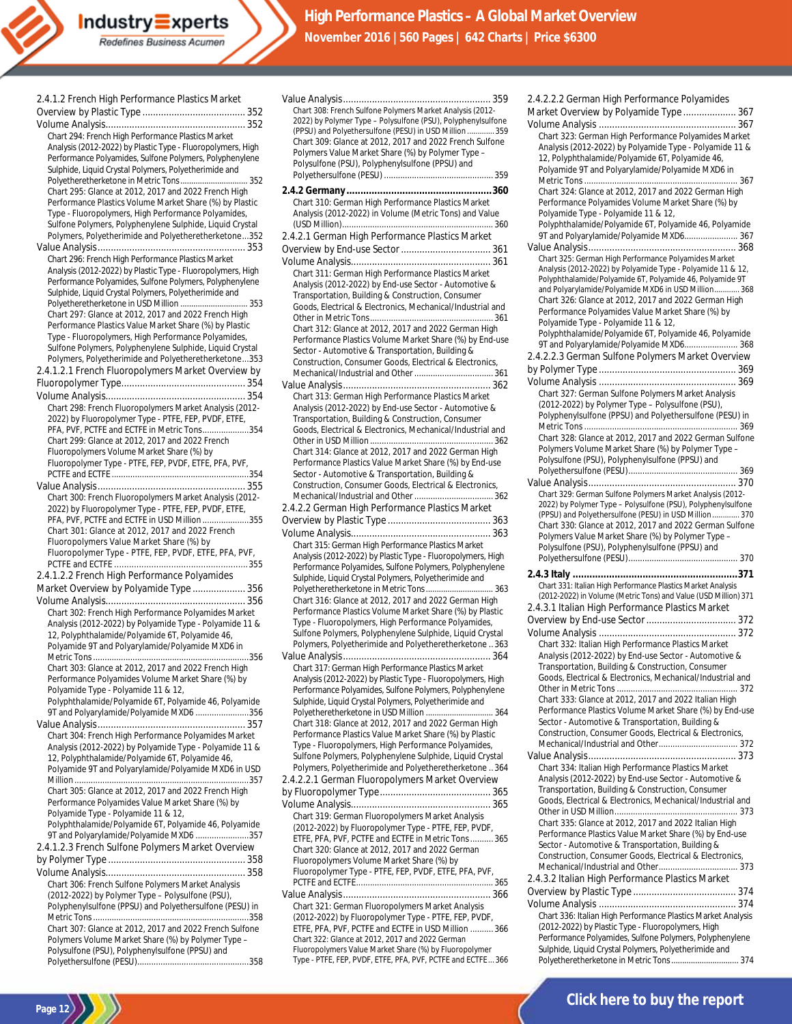Value Analysis........................................................ 359 Chart 308: French Sulfone Polymers Market Analysis (2012- 2022) by Polymer Type – Polysulfone (PSU), Polyphenylsulfone (PPSU) and Polyethersulfone (PESU) in USD Million ............. 359

| 2.4.1.2 French High Performance Plastics Market                                                                        |
|------------------------------------------------------------------------------------------------------------------------|
|                                                                                                                        |
|                                                                                                                        |
| Chart 294: French High Performance Plastics Market                                                                     |
| Analysis (2012-2022) by Plastic Type - Fluoropolymers, High<br>Performance Polyamides, Sulfone Polymers, Polyphenylene |
| Sulphide, Liquid Crystal Polymers, Polyetherimide and                                                                  |
| Polyetheretherketone in Metric Tons 352                                                                                |
| Chart 295: Glance at 2012, 2017 and 2022 French High                                                                   |
| Performance Plastics Volume Market Share (%) by Plastic                                                                |
| Type - Fluoropolymers, High Performance Polyamides,                                                                    |
| Sulfone Polymers, Polyphenylene Sulphide, Liquid Crystal<br>Polymers, Polyetherimide and Polyetheretherketone352       |
|                                                                                                                        |
| Chart 296: French High Performance Plastics Market                                                                     |
| Analysis (2012-2022) by Plastic Type - Fluoropolymers, High                                                            |
| Performance Polyamides, Sulfone Polymers, Polyphenylene                                                                |
| Sulphide, Liquid Crystal Polymers, Polyetherimide and                                                                  |
| Polyetheretherketone in USD Million  353<br>Chart 297: Glance at 2012, 2017 and 2022 French High                       |
| Performance Plastics Value Market Share (%) by Plastic                                                                 |
| Type - Fluoropolymers, High Performance Polyamides,                                                                    |
| Sulfone Polymers, Polyphenylene Sulphide, Liquid Crystal                                                               |
| Polymers, Polyetherimide and Polyetheretherketone353                                                                   |
| 2.4.1.2.1 French Fluoropolymers Market Overview by                                                                     |
|                                                                                                                        |
|                                                                                                                        |
| Chart 298: French Fluoropolymers Market Analysis (2012-<br>2022) by Fluoropolymer Type - PTFE, FEP, PVDF, ETFE,        |
| PFA, PVF, PCTFE and ECTFE in Metric Tons354                                                                            |
| Chart 299: Glance at 2012, 2017 and 2022 French                                                                        |
| Fluoropolymers Volume Market Share (%) by                                                                              |
| Fluoropolymer Type - PTFE, FEP, PVDF, ETFE, PFA, PVF,                                                                  |
|                                                                                                                        |
| Chart 300: French Fluoropolymers Market Analysis (2012-                                                                |
| 2022) by Fluoropolymer Type - PTFE, FEP, PVDF, ETFE,                                                                   |
| PFA, PVF, PCTFE and ECTFE in USD Million 355                                                                           |
|                                                                                                                        |
| Chart 301: Glance at 2012, 2017 and 2022 French                                                                        |
| Fluoropolymers Value Market Share (%) by                                                                               |
| Fluoropolymer Type - PTFE, FEP, PVDF, ETFE, PFA, PVF,                                                                  |
|                                                                                                                        |
| 2.4.1.2.2 French High Performance Polyamides                                                                           |
| Market Overview by Polyamide Type  356                                                                                 |
| Chart 302: French High Performance Polyamides Market                                                                   |
| Analysis (2012-2022) by Polyamide Type - Polyamide 11 &                                                                |
| 12, Polyphthalamide/Polyamide 6T, Polyamide 46,                                                                        |
| Polyamide 9T and Polyarylamide/Polyamide MXD6 in                                                                       |
|                                                                                                                        |
| Chart 303: Glance at 2012, 2017 and 2022 French High<br>Performance Polyamides Volume Market Share (%) by              |
| Polyamide Type - Polyamide 11 & 12,                                                                                    |
| Polyphthalamide/Polyamide 6T, Polyamide 46, Polyamide                                                                  |
| 9T and Polyarylamide/Polyamide MXD6 356                                                                                |
|                                                                                                                        |
| Chart 304: French High Performance Polyamides Market<br>Analysis (2012-2022) by Polyamide Type - Polyamide 11 &        |
| 12, Polyphthalamide/Polyamide 6T, Polyamide 46,                                                                        |
| Polyamide 9T and Polyarylamide/Polyamide MXD6 in USD                                                                   |
|                                                                                                                        |
| Chart 305: Glance at 2012, 2017 and 2022 French High                                                                   |
| Performance Polyamides Value Market Share (%) by<br>Polyamide Type - Polyamide 11 & 12,                                |
| Polyphthalamide/Polyamide 6T, Polyamide 46, Polyamide                                                                  |
| 9T and Polyarylamide/Polyamide MXD6 357                                                                                |
| 2.4.1.2.3 French Sulfone Polymers Market Overview                                                                      |
|                                                                                                                        |
|                                                                                                                        |
| Chart 306: French Sulfone Polymers Market Analysis<br>(2012-2022) by Polymer Type - Polysulfone (PSU),                 |
| Polyphenylsulfone (PPSU) and Polyethersulfone (PESU) in                                                                |
|                                                                                                                        |
| Chart 307: Glance at 2012, 2017 and 2022 French Sulfone<br>Polymers Volume Market Share (%) by Polymer Type -          |

Polyethersulfone (PESU)................................................358

**Page 12**

Chart 309: Glance at 2012, 2017 and 2022 French Sulfone Polymers Value Market Share (%) by Polymer Type – Polysulfone (PSU), Polyphenylsulfone (PPSU) and Polyethersulfone (PESU) ............................................... 359 **2.4.2 Germany ....................................................360** Chart 310: German High Performance Plastics Market Analysis (2012-2022) in Volume (Metric Tons) and Value (USD Million)................................................................. 360 2.4.2.1 German High Performance Plastics Market Overview by End-use Sector.................................. 361 Volume Analysis..................................................... 361 Chart 311: German High Performance Plastics Market Analysis (2012-2022) by End-use Sector - Automotive & Transportation, Building & Construction, Consumer Goods, Electrical & Electronics, Mechanical/Industrial and Other in Metric Tons..................................................... 361 Chart 312: Glance at 2012, 2017 and 2022 German High Performance Plastics Volume Market Share (%) by End-use Sector - Automotive & Transportation, Building & Construction, Consumer Goods, Electrical & Electronics, Mechanical/Industrial and Other.................................. 361 Value Analysis........................................................ 362 Chart 313: German High Performance Plastics Market Analysis (2012-2022) by End-use Sector - Automotive & Transportation, Building & Construction, Consumer Goods, Electrical & Electronics, Mechanical/Industrial and Other in USD Million ..................................................... 362 Chart 314: Glance at 2012, 2017 and 2022 German High Performance Plastics Value Market Share (%) by End-use Sector - Automotive & Transportation, Building & Construction, Consumer Goods, Electrical & Electronics, Mechanical/Industrial and Other.................................. 362 2.4.2.2 German High Performance Plastics Market Overview by Plastic Type ....................................... 363 Volume Analysis..................................................... 363 Chart 315: German High Performance Plastics Market Analysis (2012-2022) by Plastic Type - Fluoropolymers, High Performance Polyamides, Sulfone Polymers, Polyphenylene Sulphide, Liquid Crystal Polymers, Polyetherimide and Polyetheretherketone in Metric Tons............................... 363 Chart 316: Glance at 2012, 2017 and 2022 German High Performance Plastics Volume Market Share (%) by Plastic Type - Fluoropolymers, High Performance Polyamides, Sulfone Polymers, Polyphenylene Sulphide, Liquid Crystal Polymers, Polyetherimide and Polyetheretherketone ..363 Value Analysis........................................................ 364 Chart 317: German High Performance Plastics Market Analysis (2012-2022) by Plastic Type - Fluoropolymers, High Performance Polyamides, Sulfone Polymers, Polyphenylene Sulphide, Liquid Crystal Polymers, Polyetherimide and Polyetheretherketone in USD Million ............................... 364 Chart 318: Glance at 2012, 2017 and 2022 German High Performance Plastics Value Market Share (%) by Plastic Type - Fluoropolymers, High Performance Polyamides, Sulfone Polymers, Polyphenylene Sulphide, Liquid Crystal Polymers, Polyetherimide and Polyetheretherketone ..364 2.4.2.2.1 German Fluoropolymers Market Overview by Fluoropolymer Type.......................................... 365 Volume Analysis..................................................... 365 Chart 319: German Fluoropolymers Market Analysis (2012-2022) by Fluoropolymer Type - PTFE, FEP, PVDF, ETFE, PFA, PVF, PCTFE and ECTFE in Metric Tons.......... 365 Chart 320: Glance at 2012, 2017 and 2022 German Fluoropolymers Volume Market Share (%) by Fluoropolymer Type - PTFE, FEP, PVDF, ETFE, PFA, PVF, PCTFE and ECTFE........................................................... 365 Value Analysis........................................................ 366 Chart 321: German Fluoropolymers Market Analysis (2012-2022) by Fluoropolymer Type - PTFE, FEP, PVDF, ETFE, PFA, PVF, PCTFE and ECTFE in USD Million .......... 366

Chart 322: Glance at 2012, 2017 and 2022 German Fluoropolymers Value Market Share (%) by Fluoropolymer Type - PTFE, FEP, PVDF, ETFE, PFA, PVF, PCTFE and ECTFE... 366 2.4.2.2.2 German High Performance Polyamides Market Overview by Polyamide Type .................... 367 Volume Analysis .................................................... 367 Chart 323: German High Performance Polyamides Market Analysis (2012-2022) by Polyamide Type - Polyamide 11 & 12, Polyphthalamide/Polyamide 6T, Polyamide 46, Polyamide 9T and Polyarylamide/Polyamide MXD6 in Metric Tons .................................................................. 367 Chart 324: Glance at 2012, 2017 and 2022 German High Performance Polyamides Volume Market Share (%) by Polyamide Type - Polyamide 11 & 12, Polyphthalamide/Polyamide 6T, Polyamide 46, Polyamide 9T and Polyarylamide/Polyamide MXD6....................... 367 Value Analysis........................................................ 368 Chart 325: German High Performance Polyamides Market Analysis (2012-2022) by Polyamide Type - Polyamide 11 & 12, Polyphthalamide/Polyamide 6T, Polyamide 46, Polyamide 9T and Polyarylamide/Polyamide MXD6 in USD Million............ 368 Chart 326: Glance at 2012, 2017 and 2022 German High Performance Polyamides Value Market Share (%) by Polyamide Type - Polyamide 11 & 12, Polyphthalamide/Polyamide 6T, Polyamide 46, Polyamide 9T and Polyarylamide/Polyamide MXD6....................... 368 2.4.2.2.3 German Sulfone Polymers Market Overview by Polymer Type .................................................... 369 Volume Analysis .................................................... 369 Chart 327: German Sulfone Polymers Market Analysis (2012-2022) by Polymer Type – Polysulfone (PSU), Polyphenylsulfone (PPSU) and Polyethersulfone (PESU) in Metric Tons .................................................................. 369 Chart 328: Glance at 2012, 2017 and 2022 German Sulfone Polymers Volume Market Share (%) by Polymer Type – Polysulfone (PSU), Polyphenylsulfone (PPSU) and Polyethersulfone (PESU)............................................... 369 Value Analysis........................................................ 370 Chart 329: German Sulfone Polymers Market Analysis (2012- 2022) by Polymer Type – Polysulfone (PSU), Polyphenylsulfone (PPSU) and Polyethersulfone (PESU) in USD Million............. 370 Chart 330: Glance at 2012, 2017 and 2022 German Sulfone Polymers Value Market Share (%) by Polymer Type – Polysulfone (PSU), Polyphenylsulfone (PPSU) and Polyethersulfone (PESU)............................................... 370 **2.4.3 Italy ...........................................................371** Chart 331: Italian High Performance Plastics Market Analysis (2012-2022) in Volume (Metric Tons) and Value (USD Million) 371 2.4.3.1 Italian High Performance Plastics Market Overview by End-use Sector.................................. 372 Volume Analysis .................................................... 372 Chart 332: Italian High Performance Plastics Market Analysis (2012-2022) by End-use Sector - Automotive & Transportation, Building & Construction, Consumer Goods, Electrical & Electronics, Mechanical/Industrial and Other in Metric Tons .................................................... 372 Chart 333: Glance at 2012, 2017 and 2022 Italian High Performance Plastics Volume Market Share (%) by End-use Sector - Automotive & Transportation, Building & Construction, Consumer Goods, Electrical & Electronics, Mechanical/Industrial and Other.................................. 372 Value Analysis........................................................ 373 Chart 334: Italian High Performance Plastics Market Analysis (2012-2022) by End-use Sector - Automotive & Transportation, Building & Construction, Consumer Goods, Electrical & Electronics, Mechanical/Industrial and Other in USD Million..................................................... 373 Chart 335: Glance at 2012, 2017 and 2022 Italian High Performance Plastics Value Market Share (%) by End-use Sector - Automotive & Transportation, Building & Construction, Consumer Goods, Electrical & Electronics, Mechanical/Industrial and Other.................................. 373 2.4.3.2 Italian High Performance Plastics Market Overview by Plastic Type ....................................... 374

Volume Analysis .................................................... 374 Chart 336: Italian High Performance Plastics Market Analysis (2012-2022) by Plastic Type - Fluoropolymers, High Performance Polyamides, Sulfone Polymers, Polyphenylene Sulphide, Liquid Crystal Polymers, Polyetherimide and Polyetheretherketone in Metric Tons............................... 374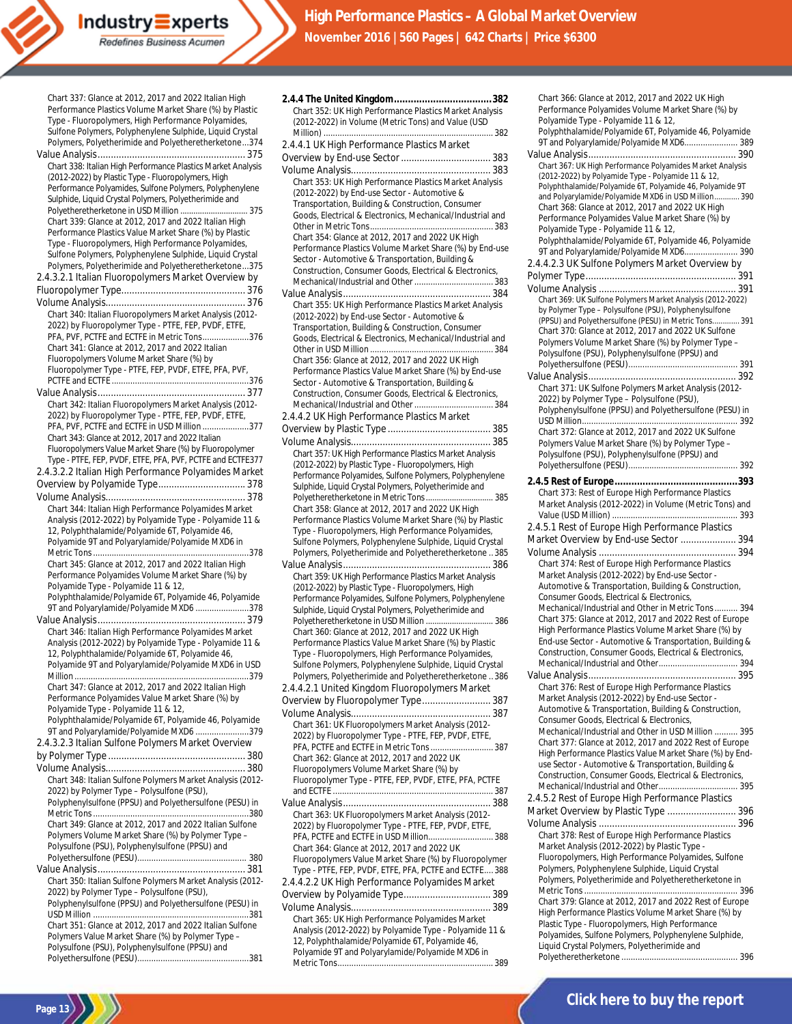Performance Plastics Volume Market Share (%) by Plastic Type - Fluoropolymers, High Performance Polyamides, Sulfone Polymers, Polyphenylene Sulphide, Liquid Crystal Polymers, Polyetherimide and Polyetheretherketone...374 Value Analysis........................................................ 375 Chart 338: Italian High Performance Plastics Market Analysis (2012-2022) by Plastic Type - Fluoropolymers, High Performance Polyamides, Sulfone Polymers, Polyphenylene sulphide, Liquid Crystal Polymers, Polyetherimide and<br>Polyetheretherketone in USD Million (275) Polyetheretherketone in USD Million .................... Chart 339: Glance at 2012, 2017 and 2022 Italian High Performance Plastics Value Market Share (%) by Plastic Type - Fluoropolymers, High Performance Polyamides, Sulfone Polymers, Polyphenylene Sulphide, Liquid Crystal Polymers, Polyetherimide and Polyetheretherketone...375 2.4.3.2.1 Italian Fluoropolymers Market Overview by Fluoropolymer Type............................................... 376 Volume Analysis..................................................... 376 Chart 340: Italian Fluoropolymers Market Analysis (2012- 2022) by Fluoropolymer Type - PTFE, FEP, PVDF, ETFE, PFA, PVF, PCTFE and ECTFE in Metric Tons....................376 Chart 341: Glance at 2012, 2017 and 2022 Italian Fluoropolymers Volume Market Share (%) by Fluoropolymer Type - PTFE, FEP, PVDF, ETFE, PFA, PVF, PCTFE and ECTFE ...........................................................376 Value Analysis........................................................ 377 Chart 342: Italian Fluoropolymers Market Analysis (2012- 2022) by Fluoropolymer Type - PTFE, FEP, PVDF, ETFE, PFA, PVF, PCTFE and ECTFE in USD Million ....................377 Chart 343: Glance at 2012, 2017 and 2022 Italian Fluoropolymers Value Market Share (%) by Fluoropolymer Type - PTFE, FEP, PVDF, ETFE, PFA, PVF, PCTFE and ECTFE377 2.4.3.2.2 Italian High Performance Polyamides Market Overview by Polyamide Type................................. 378 Volume Analysis..................................................... 378 Chart 344: Italian High Performance Polyamides Market Analysis (2012-2022) by Polyamide Type - Polyamide 11 & 12, Polyphthalamide/Polyamide 6T, Polyamide 46, Polyamide 9T and Polyarylamide/Polyamide MXD6 in Metric Tons...................................................................378 Chart 345: Glance at 2012, 2017 and 2022 Italian High Performance Polyamides Volume Market Share (%) by Polyamide Type - Polyamide 11 & 12, Polyphthalamide/Polyamide 6T, Polyamide 46, Polyamide 9T and Polyarylamide/Polyamide MXD6 .......................378 Value Analysis........................................................ 379 Chart 346: Italian High Performance Polyamides Market Analysis (2012-2022) by Polyamide Type - Polyamide 11 & 12, Polyphthalamide/Polyamide 6T, Polyamide 46, Polyamide 9T and Polyarylamide/Polyamide MXD6 in USD Million...........................................................................379 Chart 347: Glance at 2012, 2017 and 2022 Italian High Performance Polyamides Value Market Share (%) by Polyamide Type - Polyamide 11 & 12, Polyphthalamide/Polyamide 6T, Polyamide 46, Polyamide 9T and Polyarylamide/Polyamide MXD6 .......................379 2.4.3.2.3 Italian Sulfone Polymers Market Overview by Polymer Type .................................................... 380 Volume Analysis..................................................... 380 Chart 348: Italian Sulfone Polymers Market Analysis (2012- 2022) by Polymer Type – Polysulfone (PSU), Polyphenylsulfone (PPSU) and Polyethersulfone (PESU) in Metric Tons...................................................................380 Chart 349: Glance at 2012, 2017 and 2022 Italian Sulfone Polymers Volume Market Share (%) by Polymer Type – Polysulfone (PSU), Polyphenylsulfone (PPSU) and Polyethersulfone (PESU)............................................... 380 Value Analysis........................................................ 381 Chart 350: Italian Sulfone Polymers Market Analysis (2012- 2022) by Polymer Type – Polysulfone (PSU), Polyphenylsulfone (PPSU) and Polyethersulfone (PESU) in USD Million ....... Chart 351: Glance at 2012, 2017 and 2022 Italian Sulfone Polymers Value Market Share (%) by Polymer Type – Polysulfone (PSU), Polyphenylsulfone (PPSU) and Polyethersulfone (PESU)................................................381

Chart 337: Glance at 2012, 2017 and 2022 Italian High

Industry**≡**xperts Redefines Business Acumen

**Page 13**

| Chart 352: UK High Performance Plastics Market Analysis<br>(2012-2022) in Volume (Metric Tons) and Value (USD    |
|------------------------------------------------------------------------------------------------------------------|
| 2.4.4.1 UK High Performance Plastics Market                                                                      |
|                                                                                                                  |
|                                                                                                                  |
| Chart 353: UK High Performance Plastics Market Analysis                                                          |
| (2012-2022) by End-use Sector - Automotive &                                                                     |
| Transportation, Building & Construction, Consumer                                                                |
| Goods, Electrical & Electronics, Mechanical/Industrial and                                                       |
|                                                                                                                  |
| Chart 354: Glance at 2012, 2017 and 2022 UK High<br>Performance Plastics Volume Market Share (%) by End-use      |
| Sector - Automotive & Transportation, Building &                                                                 |
| Construction, Consumer Goods, Electrical & Electronics,                                                          |
|                                                                                                                  |
|                                                                                                                  |
| Chart 355: UK High Performance Plastics Market Analysis                                                          |
| (2012-2022) by End-use Sector - Automotive &<br>Transportation, Building & Construction, Consumer                |
| Goods, Electrical & Electronics, Mechanical/Industrial and                                                       |
|                                                                                                                  |
| Chart 356: Glance at 2012, 2017 and 2022 UK High                                                                 |
| Performance Plastics Value Market Share (%) by End-use                                                           |
| Sector - Automotive & Transportation, Building &<br>Construction, Consumer Goods, Electrical & Electronics,      |
|                                                                                                                  |
| 2.4.4.2 UK High Performance Plastics Market                                                                      |
|                                                                                                                  |
|                                                                                                                  |
| Chart 357: UK High Performance Plastics Market Analysis                                                          |
| (2012-2022) by Plastic Type - Fluoropolymers, High                                                               |
| Performance Polyamides, Sulfone Polymers, Polyphenylene<br>Sulphide, Liquid Crystal Polymers, Polyetherimide and |
| Polyetheretherketone in Metric Tons 385                                                                          |
| Chart 358: Glance at 2012, 2017 and 2022 UK High                                                                 |
| Performance Plastics Volume Market Share (%) by Plastic                                                          |
| Type - Fluoropolymers, High Performance Polyamides,                                                              |
| Sulfone Polymers, Polyphenylene Sulphide, Liquid Crystal                                                         |
| Polymers, Polyetherimide and Polyetheretherketone385                                                             |
| Chart 359: UK High Performance Plastics Market Analysis                                                          |
| (2012-2022) by Plastic Type - Fluoropolymers, High                                                               |
| Performance Polyamides, Sulfone Polymers, Polyphenylene                                                          |
| Sulphide, Liquid Crystal Polymers, Polyetherimide and                                                            |
| Polyetheretherketone in USD Million  386<br>Chart 360: Glance at 2012, 2017 and 2022 UK High                     |
| Performance Plastics Value Market Share (%) by Plastic                                                           |
| Type - Fluoropolymers, High Performance Polyamides,                                                              |
| Sulfone Polymers, Polyphenylene Sulphide, Liquid Crystal                                                         |
| Polymers, Polyetherimide and Polyetheretherketone386                                                             |
| 2.4.4.2.1 United Kingdom Fluoropolymers Market<br>Overview by Fluoropolymer Type 387                             |
|                                                                                                                  |
| Chart 361: UK Fluoropolymers Market Analysis (2012-                                                              |
| 2022) by Fluoropolymer Type - PTFE, FEP, PVDF, ETFE,                                                             |
| PFA, PCTFE and ECTFE in Metric Tons  387                                                                         |
| Chart 362: Glance at 2012, 2017 and 2022 UK                                                                      |
| Fluoropolymers Volume Market Share (%) by                                                                        |
| Fluoropolymer Type - PTFE, FEP, PVDF, ETFE, PFA, PCTFE                                                           |
|                                                                                                                  |
| Chart 363: UK Fluoropolymers Market Analysis (2012-                                                              |
| 2022) by Fluoropolymer Type - PTFE, FEP, PVDF, ETFE,                                                             |
| PFA, PCTFE and ECTFE in USD Million 388                                                                          |
| Chart 364: Glance at 2012, 2017 and 2022 UK                                                                      |
| Fluoropolymers Value Market Share (%) by Fluoropolymer<br>Type - PTFE, FEP, PVDF, ETFE, PFA, PCTFE and ECTFE 388 |
| 2.4.4.2.2 UK High Performance Polyamides Market                                                                  |
|                                                                                                                  |
|                                                                                                                  |
| Chart 365: UK High Performance Polyamides Market                                                                 |
| Analysis (2012-2022) by Polyamide Type - Polyamide 11 &                                                          |
| 12, Polyphthalamide/Polyamide 6T, Polyamide 46,<br>Polvamide 9T and Polvarylamide/Polvamide MXD6 in              |
|                                                                                                                  |

Metric Tons................................................................... 389

Chart 366: Glance at 2012, 2017 and 2022 UK High Performance Polyamides Volume Market Share (%) by Polyamide Type - Polyamide 11 & 12, Polyphthalamide/Polyamide 6T, Polyamide 46, Polyamide 9T and Polyarylamide/Polyamide MXD6....................... 389 Value Analysis........................................................ 390 Chart 367: UK High Performance Polyamides Market Analysis (2012-2022) by Polyamide Type - Polyamide 11 & 12, Polyphthalamide/Polyamide 6T, Polyamide 46, Polyamide 9T and Polyarylamide/Polyamide MXD6 in USD Million............ 390 Chart 368: Glance at 2012, 2017 and 2022 UK High Performance Polyamides Value Market Share (%) by Polyamide Type - Polyamide 11 & 12, Polyphthalamide/Polyamide 6T, Polyamide 46, Polyamide 9T and Polyarylamide/Polyamide MXD6....................... 390 2.4.4.2.3 UK Sulfone Polymers Market Overview by Polymer Type......................................................... 391 Volume Analysis .................................................... 391 Chart 369: UK Sulfone Polymers Market Analysis (2012-2022) by Polymer Type – Polysulfone (PSU), Polyphenylsulfone (PPSU) and Polyethersulfone (PESU) in Metric Tons............. 391 Chart 370: Glance at 2012, 2017 and 2022 UK Sulfone Polymers Volume Market Share (%) by Polymer Type – Polysulfone (PSU), Polyphenylsulfone (PPSU) and Polyethersulfone (PESU)............................................... 391 Value Analysis........................................................ 392 Chart 371: UK Sulfone Polymers Market Analysis (2012- 2022) by Polymer Type – Polysulfone (PSU), Polyphenylsulfone (PPSU) and Polyethersulfone (PESU) in USD Million................................................................... 392 Chart 372: Glance at 2012, 2017 and 2022 UK Sulfone Polymers Value Market Share (%) by Polymer Type – Polysulfone (PSU), Polyphenylsulfone (PPSU) and Polyethersulfone (PESU)............................................... 392 **2.4.5 Rest of Europe............................................393** Chart 373: Rest of Europe High Performance Plastics Market Analysis (2012-2022) in Volume (Metric Tons) and Value (USD Million) ...................................................... 393 2.4.5.1 Rest of Europe High Performance Plastics Market Overview by End-use Sector ..................... 394 Volume Analysis .................................................... 394 Chart 374: Rest of Europe High Performance Plastics Market Analysis (2012-2022) by End-use Sector - Automotive & Transportation, Building & Construction, Consumer Goods, Electrical & Electronics, Mechanical/Industrial and Other in Metric Tons.......... 394 Chart 375: Glance at 2012, 2017 and 2022 Rest of Europe High Performance Plastics Volume Market Share (%) by End-use Sector - Automotive & Transportation, Building & Construction, Consumer Goods, Electrical & Electronics, Mechanical/Industrial and Other.................................. 394 Value Analysis........................................................ 395 Chart 376: Rest of Europe High Performance Plastics Market Analysis (2012-2022) by End-use Sector - Automotive & Transportation, Building & Construction, Consumer Goods, Electrical & Electronics, Mechanical/Industrial and Other in USD Million .......... 395 Chart 377: Glance at 2012, 2017 and 2022 Rest of Europe High Performance Plastics Value Market Share (%) by Enduse Sector - Automotive & Transportation, Building & Construction, Consumer Goods, Electrical & Electronics, Mechanical/Industrial and Other.................................. 395 2.4.5.2 Rest of Europe High Performance Plastics Market Overview by Plastic Type .......................... 396 Volume Analysis .................................................... 396 Chart 378: Rest of Europe High Performance Plastics Market Analysis (2012-2022) by Plastic Type - Fluoropolymers, High Performance Polyamides, Sulfone Polymers, Polyphenylene Sulphide, Liquid Crystal Polymers, Polyetherimide and Polyetheretherketone in Metric Tons .................................................................. 396 Chart 379: Glance at 2012, 2017 and 2022 Rest of Europe High Performance Plastics Volume Market Share (%) by Plastic Type - Fluoropolymers, High Performance Polyamides, Sulfone Polymers, Polyphenylene Sulphide, Liquid Crystal Polymers, Polyetherimide and Polyetheretherketone .................................................. 396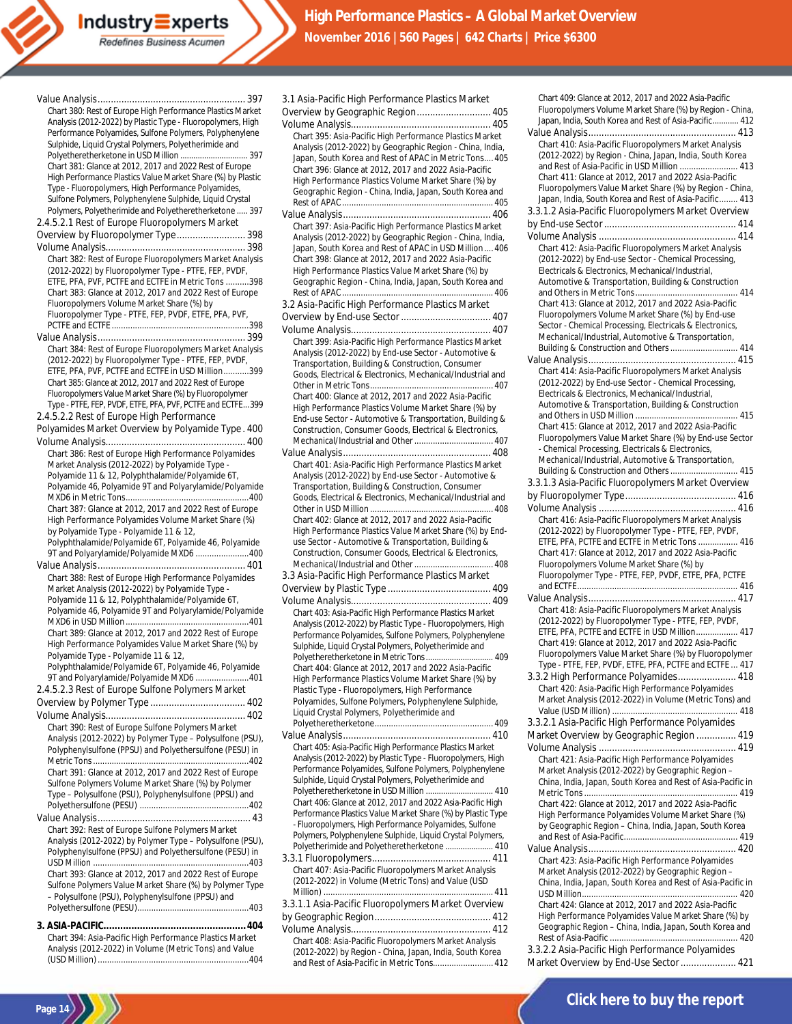| Chart 380: Rest of Europe High Performance Plastics Market  |
|-------------------------------------------------------------|
| Analysis (2012-2022) by Plastic Type - Fluoropolymers, High |
| Performance Polyamides, Sulfone Polymers, Polyphenylene     |
| Sulphide, Liquid Crystal Polymers, Polyetherimide and       |
| Polyetheretherketone in USD Million  397                    |
| Chart 381: Glance at 2012, 2017 and 2022 Rest of Europe     |
| High Performance Plastics Value Market Share (%) by Plastic |
| Type - Fluoropolymers, High Performance Polyamides,         |
| Sulfone Polymers, Polyphenylene Sulphide, Liquid Crystal    |
| Polymers, Polyetherimide and Polyetheretherketone  397      |
| 2.4.5.2.1 Rest of Europe Fluoropolymers Market              |
| Overview by Fluoropolymer Type 398                          |
|                                                             |
| Chart 382: Rest of Europe Fluoropolymers Market Analysis    |
| (2012-2022) by Fluoropolymer Type - PTFE, FEP, PVDF,        |
| ETFE, PFA, PVF, PCTFE and ECTFE in Metric Tons 398          |
| Chart 383: Glance at 2012, 2017 and 2022 Rest of Europe     |
| Fluoropolymers Volume Market Share (%) by                   |
| Fluoropolymer Type - PTFE, FEP, PVDF, ETFE, PFA, PVF,       |
|                                                             |
|                                                             |
| Chart 384: Rest of Europe Fluoropolymers Market Analysis    |
| (2012-2022) by Fluoropolymer Type - PTFE, FEP, PVDF,        |
| ETFE, PFA, PVF, PCTFE and ECTFE in USD Million399           |
| Chart 385: Glance at 2012, 2017 and 2022 Rest of Europe     |
| Fluoropolymers Value Market Share (%) by Fluoropolymer      |
| Type - PTFE, FEP, PVDF, ETFE, PFA, PVF, PCTFE and ECTFE399  |
| 2.4.5.2.2 Rest of Europe High Performance                   |
| Polyamides Market Overview by Polyamide Type. 400           |
|                                                             |
| Chart 386: Rest of Europe High Performance Polyamides       |
| Market Analysis (2012-2022) by Polyamide Type -             |
| Polyamide 11 & 12, Polyphthalamide/Polyamide 6T,            |
| Polyamide 46, Polyamide 9T and Polyarylamide/Polyamide      |
|                                                             |
| Chart 387: Glance at 2012, 2017 and 2022 Rest of Europe     |
| High Performance Polyamides Volume Market Share (%)         |
| by Polyamide Type - Polyamide 11 & 12,                      |
| Polyphthalamide/Polyamide 6T, Polyamide 46, Polyamide       |
| 9T and Polyarylamide/Polyamide MXD6 400                     |
|                                                             |
| Chart 388: Rest of Europe High Performance Polyamides       |
| Market Analysis (2012-2022) by Polyamide Type -             |
| Polyamide 11 & 12, Polyphthalamide/Polyamide 6T,            |
| Polyamide 46, Polyamide 9T and Polyarylamide/Polyamide      |
|                                                             |
| Chart 389: Glance at 2012, 2017 and 2022 Rest of Europe     |
| High Performance Polyamides Value Market Share (%) by       |
| Polyamide Type - Polyamide 11 & 12,                         |
| Polyphthalamide/Polyamide 6T, Polyamide 46, Polyamide       |
| 9T and Polyarylamide/Polyamide MXD6 401                     |
| 2.4.5.2.3 Rest of Europe Sulfone Polymers Market            |
|                                                             |
|                                                             |
| Chart 390: Rest of Europe Sulfone Polymers Market           |
| Analysis (2012-2022) by Polymer Type - Polysulfone (PSU),   |
| Polyphenylsulfone (PPSU) and Polyethersulfone (PESU) in     |
|                                                             |
| Chart 391: Glance at 2012, 2017 and 2022 Rest of Europe     |
| Sulfone Polymers Volume Market Share (%) by Polymer         |
| Type - Polysulfone (PSU), Polyphenylsulfone (PPSU) and      |
|                                                             |
|                                                             |
| Chart 392: Rest of Europe Sulfone Polymers Market           |
| Analysis (2012-2022) by Polymer Type - Polysulfone (PSU),   |
| Polyphenylsulfone (PPSU) and Polyethersulfone (PESU) in     |
| Chart 393: Glance at 2012, 2017 and 2022 Rest of Europe     |
| Sulfone Polymers Value Market Share (%) by Polymer Type     |
| - Polysulfone (PSU), Polyphenylsulfone (PPSU) and           |
|                                                             |
|                                                             |
|                                                             |
| Chart 394: Asia-Pacific High Performance Plastics Market    |

Analysis (2012-2022) in Volume (Metric Tons) and Value (USD Million).................................................................404

**Page 14**

| 3.1 Asia-Pacific High Performance Plastics Market                                                                      |
|------------------------------------------------------------------------------------------------------------------------|
| Overview by Geographic Region 405                                                                                      |
|                                                                                                                        |
| Chart 395: Asia-Pacific High Performance Plastics Market<br>Analysis (2012-2022) by Geographic Region - China, India,  |
| Japan, South Korea and Rest of APAC in Metric Tons 405                                                                 |
| Chart 396: Glance at 2012, 2017 and 2022 Asia-Pacific                                                                  |
| High Performance Plastics Volume Market Share (%) by                                                                   |
| Geographic Region - China, India, Japan, South Korea and                                                               |
|                                                                                                                        |
|                                                                                                                        |
| Chart 397: Asia-Pacific High Performance Plastics Market                                                               |
| Analysis (2012-2022) by Geographic Region - China, India,<br>Japan, South Korea and Rest of APAC in USD Million  406   |
| Chart 398: Glance at 2012, 2017 and 2022 Asia-Pacific                                                                  |
| High Performance Plastics Value Market Share (%) by                                                                    |
| Geographic Region - China, India, Japan, South Korea and                                                               |
|                                                                                                                        |
| 3.2 Asia-Pacific High Performance Plastics Market                                                                      |
| Overview by End-use Sector  407                                                                                        |
|                                                                                                                        |
| Chart 399: Asia-Pacific High Performance Plastics Market                                                               |
| Analysis (2012-2022) by End-use Sector - Automotive &<br>Transportation, Building & Construction, Consumer             |
| Goods, Electrical & Electronics, Mechanical/Industrial and                                                             |
|                                                                                                                        |
| Chart 400: Glance at 2012, 2017 and 2022 Asia-Pacific                                                                  |
| High Performance Plastics Volume Market Share (%) by                                                                   |
| End-use Sector - Automotive & Transportation, Building &                                                               |
| Construction, Consumer Goods, Electrical & Electronics,                                                                |
|                                                                                                                        |
| Chart 401: Asia-Pacific High Performance Plastics Market                                                               |
| Analysis (2012-2022) by End-use Sector - Automotive &                                                                  |
| Transportation, Building & Construction, Consumer                                                                      |
| Goods, Electrical & Electronics, Mechanical/Industrial and                                                             |
| Chart 402: Glance at 2012, 2017 and 2022 Asia-Pacific                                                                  |
| High Performance Plastics Value Market Share (%) by End-                                                               |
| use Sector - Automotive & Transportation, Building &                                                                   |
| Construction, Consumer Goods, Electrical & Electronics,                                                                |
|                                                                                                                        |
| 3.3 Asia-Pacific High Performance Plastics Market                                                                      |
|                                                                                                                        |
|                                                                                                                        |
| Chart 403: Asia-Pacific High Performance Plastics Market                                                               |
| Analysis (2012-2022) by Plastic Type - Fluoropolymers, High<br>Performance Polyamides, Sulfone Polymers, Polyphenylene |
| Sulphide, Liquid Crystal Polymers, Polyetherimide and                                                                  |
| Polyetheretherketone in Metric Tons  409                                                                               |
| Chart 404: Glance at 2012, 2017 and 2022 Asia-Pacific                                                                  |
| High Performance Plastics Volume Market Share (%) by                                                                   |
| Plastic Type - Fluoropolymers, High Performance                                                                        |
| Polyamides, Sulfone Polymers, Polyphenylene Sulphide,<br>Liquid Crystal Polymers, Polyetherimide and                   |
|                                                                                                                        |
|                                                                                                                        |
| Chart 405: Asia-Pacific High Performance Plastics Market                                                               |
| Analysis (2012-2022) by Plastic Type - Fluoropolymers, High                                                            |
| Performance Polyamides, Sulfone Polymers, Polyphenylene                                                                |
| Sulphide, Liquid Crystal Polymers, Polyetherimide and                                                                  |
| Polyetheretherketone in USD Million  410<br>Chart 406: Glance at 2012, 2017 and 2022 Asia-Pacific High                 |
| Performance Plastics Value Market Share (%) by Plastic Type                                                            |
| - Fluoropolymers, High Performance Polyamides, Sulfone                                                                 |
| Polymers, Polyphenylene Sulphide, Liquid Crystal Polymers,                                                             |
| Polyetherimide and Polyetheretherketone  410                                                                           |
|                                                                                                                        |
| Chart 407: Asia-Pacific Fluoropolymers Market Analysis                                                                 |
| (2012-2022) in Volume (Metric Tons) and Value (USD                                                                     |
| 3.3.1.1 Asia-Pacific Fluoropolymers Market Overview                                                                    |
|                                                                                                                        |
|                                                                                                                        |

Chart 408: Asia-Pacific Fluoropolymers Market Analysis (2012-2022) by Region - China, Japan, India, South Korea and Rest of Asia-Pacific in Metric Tons.......................... 412

| Chart 409: Glance at 2012, 2017 and 2022 Asia-Pacific<br>Fluoropolymers Volume Market Share (%) by Region - China,<br>Japan, India, South Korea and Rest of Asia-Pacific 412 |
|------------------------------------------------------------------------------------------------------------------------------------------------------------------------------|
|                                                                                                                                                                              |
|                                                                                                                                                                              |
|                                                                                                                                                                              |
| Chart 410: Asia-Pacific Fluoropolymers Market Analysis                                                                                                                       |
|                                                                                                                                                                              |
| (2012-2022) by Region - China, Japan, India, South Korea                                                                                                                     |
| Chart 411: Glance at 2012, 2017 and 2022 Asia-Pacific                                                                                                                        |
|                                                                                                                                                                              |
| Fluoropolymers Value Market Share (%) by Region - China,                                                                                                                     |
| Japan, India, South Korea and Rest of Asia-Pacific 413                                                                                                                       |
| 3.3.1.2 Asia-Pacific Fluoropolymers Market Overview                                                                                                                          |
|                                                                                                                                                                              |
|                                                                                                                                                                              |
| Chart 412: Asia-Pacific Fluoropolymers Market Analysis                                                                                                                       |
| (2012-2022) by End-use Sector - Chemical Processing,                                                                                                                         |
| Electricals & Electronics, Mechanical/Industrial,                                                                                                                            |
| Automotive & Transportation, Building & Construction                                                                                                                         |
|                                                                                                                                                                              |
| Chart 413: Glance at 2012, 2017 and 2022 Asia-Pacific                                                                                                                        |
| Fluoropolymers Volume Market Share (%) by End-use                                                                                                                            |
| Sector - Chemical Processing, Electricals & Electronics,                                                                                                                     |
| Mechanical/Industrial, Automotive & Transportation,                                                                                                                          |
| Building & Construction and Others  414                                                                                                                                      |
|                                                                                                                                                                              |
| Chart 414: Asia-Pacific Fluoropolymers Market Analysis                                                                                                                       |
| (2012-2022) by End-use Sector - Chemical Processing,                                                                                                                         |
| Electricals & Electronics, Mechanical/Industrial,                                                                                                                            |
| Automotive & Transportation, Building & Construction                                                                                                                         |
|                                                                                                                                                                              |
| Chart 415: Glance at 2012, 2017 and 2022 Asia-Pacific                                                                                                                        |
| Fluoropolymers Value Market Share (%) by End-use Sector                                                                                                                      |
| - Chemical Processing, Electricals & Electronics,                                                                                                                            |
| Mechanical/Industrial, Automotive & Transportation,                                                                                                                          |
| Building & Construction and Others  415                                                                                                                                      |
| 3.3.1.3 Asia-Pacific Fluoropolymers Market Overview                                                                                                                          |
|                                                                                                                                                                              |
|                                                                                                                                                                              |
| Chart 416: Asia-Pacific Fluoropolymers Market Analysis                                                                                                                       |
| (2012-2022) by Fluoropolymer Type - PTFE, FEP, PVDF,                                                                                                                         |
| ETFE, PFA, PCTFE and ECTFE in Metric Tons  416                                                                                                                               |
| Chart 417: Glance at 2012, 2017 and 2022 Asia-Pacific                                                                                                                        |
| Fluoropolymers Volume Market Share (%) by                                                                                                                                    |
| Fluoropolymer Type - PTFE, FEP, PVDF, ETFE, PFA, PCTFE                                                                                                                       |
|                                                                                                                                                                              |
|                                                                                                                                                                              |
| Chart 418: Asia-Pacific Fluoropolymers Market Analysis                                                                                                                       |
| (2012-2022) by Fluoropolymer Type - PTFE, FEP, PVDF,                                                                                                                         |
|                                                                                                                                                                              |
|                                                                                                                                                                              |
| ETFE, PFA, PCTFE and ECTFE in USD Million 417                                                                                                                                |
| Chart 419: Glance at 2012, 2017 and 2022 Asia-Pacific                                                                                                                        |
| Fluoropolymers Value Market Share (%) by Fluoropolymer                                                                                                                       |
| Type - PTFE, FEP, PVDF, ETFE, PFA, PCTFE and ECTFE  417                                                                                                                      |
| 3.3.2 High Performance Polyamides 418                                                                                                                                        |
| Chart 420: Asia-Pacific High Performance Polyamides                                                                                                                          |
| Market Analysis (2012-2022) in Volume (Metric Tons) and                                                                                                                      |
|                                                                                                                                                                              |
| 3.3.2.1 Asia-Pacific High Performance Polyamides                                                                                                                             |
| Market Overview by Geographic Region  419                                                                                                                                    |
|                                                                                                                                                                              |
| Chart 421: Asia-Pacific High Performance Polyamides                                                                                                                          |
| Market Analysis (2012-2022) by Geographic Region -                                                                                                                           |
| China, India, Japan, South Korea and Rest of Asia-Pacific in                                                                                                                 |
|                                                                                                                                                                              |
| Chart 422: Glance at 2012, 2017 and 2022 Asia-Pacific                                                                                                                        |
| High Performance Polyamides Volume Market Share (%)                                                                                                                          |
| by Geographic Region - China, India, Japan, South Korea                                                                                                                      |
|                                                                                                                                                                              |
|                                                                                                                                                                              |
| Chart 423: Asia-Pacific High Performance Polyamides                                                                                                                          |
| Market Analysis (2012-2022) by Geographic Region -                                                                                                                           |
| China, India, Japan, South Korea and Rest of Asia-Pacific in                                                                                                                 |
|                                                                                                                                                                              |
| Chart 424: Glance at 2012, 2017 and 2022 Asia-Pacific                                                                                                                        |
| High Performance Polyamides Value Market Share (%) by                                                                                                                        |
| Geographic Region - China, India, Japan, South Korea and                                                                                                                     |

3.3.2.2 Asia-Pacific High Performance Polyamides Market Overview by End-Use Sector..................... 421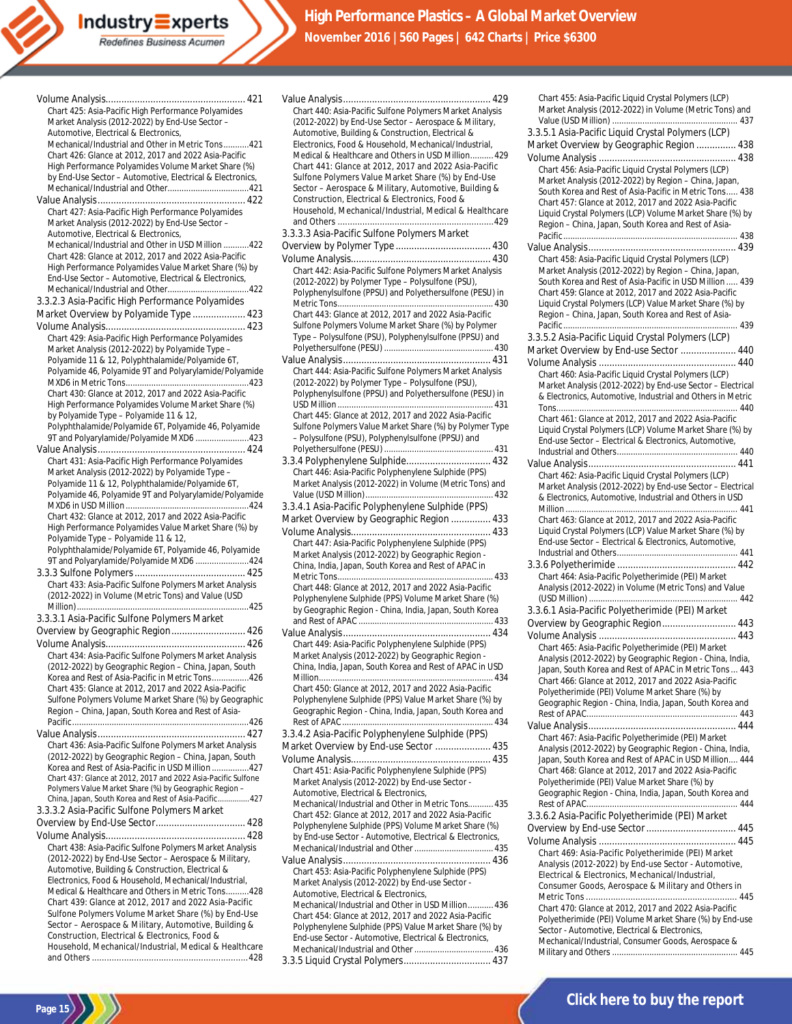Value Analysis........................................................ 429

| Chart 425: Asia-Pacific High Performance Polyamides                                                          |
|--------------------------------------------------------------------------------------------------------------|
| Market Analysis (2012-2022) by End-Use Sector -                                                              |
| Automotive, Electrical & Electronics,                                                                        |
| Mechanical/Industrial and Other in Metric Tons421                                                            |
| Chart 426: Glance at 2012, 2017 and 2022 Asia-Pacific                                                        |
| High Performance Polyamides Volume Market Share (%)                                                          |
| by End-Use Sector - Automotive, Electrical & Electronics,                                                    |
|                                                                                                              |
|                                                                                                              |
| Chart 427: Asia-Pacific High Performance Polyamides                                                          |
| Market Analysis (2012-2022) by End-Use Sector -                                                              |
| Automotive, Electrical & Electronics,                                                                        |
| Mechanical/Industrial and Other in USD Million 422                                                           |
| Chart 428: Glance at 2012, 2017 and 2022 Asia-Pacific                                                        |
| High Performance Polyamides Value Market Share (%) by                                                        |
| End-Use Sector - Automotive, Electrical & Electronics,                                                       |
|                                                                                                              |
| 3.3.2.3 Asia-Pacific High Performance Polyamides                                                             |
| Market Overview by Polyamide Type  423                                                                       |
|                                                                                                              |
| Chart 429: Asia-Pacific High Performance Polyamides                                                          |
| Market Analysis (2012-2022) by Polyamide Type -                                                              |
| Polyamide 11 & 12, Polyphthalamide/Polyamide 6T,                                                             |
| Polyamide 46, Polyamide 9T and Polyarylamide/Polyamide                                                       |
|                                                                                                              |
| Chart 430: Glance at 2012, 2017 and 2022 Asia-Pacific                                                        |
| High Performance Polyamides Volume Market Share (%)                                                          |
| by Polyamide Type - Polyamide 11 & 12,                                                                       |
| Polyphthalamide/Polyamide 6T, Polyamide 46, Polyamide                                                        |
| 9T and Polyarylamide/Polyamide MXD6 423                                                                      |
|                                                                                                              |
| Chart 431: Asia-Pacific High Performance Polyamides                                                          |
| Market Analysis (2012-2022) by Polyamide Type -                                                              |
| Polyamide 11 & 12, Polyphthalamide/Polyamide 6T,                                                             |
| Polyamide 46, Polyamide 9T and Polyarylamide/Polyamide                                                       |
|                                                                                                              |
| Chart 432: Glance at 2012, 2017 and 2022 Asia-Pacific                                                        |
| High Performance Polyamides Value Market Share (%) by                                                        |
| Polyamide Type - Polyamide 11 & 12,                                                                          |
| Polyphthalamide/Polyamide 6T, Polyamide 46, Polyamide                                                        |
| 9T and Polyarylamide/Polyamide MXD6 424                                                                      |
|                                                                                                              |
| Chart 433: Asia-Pacific Sulfone Polymers Market Analysis                                                     |
| (2012-2022) in Volume (Metric Tons) and Value (USD                                                           |
|                                                                                                              |
| 3.3.3.1 Asia-Pacific Sulfone Polymers Market                                                                 |
| Overview by Geographic Region 426                                                                            |
|                                                                                                              |
| Chart 434: Asia-Pacific Sulfone Polymers Market Analysis                                                     |
| (2012-2022) by Geographic Region - China, Japan, South                                                       |
| Korea and Rest of Asia-Pacific in Metric Tons426                                                             |
| Chart 435: Glance at 2012, 2017 and 2022 Asia-Pacific                                                        |
| Sulfone Polymers Volume Market Share (%) by Geographic                                                       |
| Region - China, Japan, South Korea and Rest of Asia-                                                         |
|                                                                                                              |
|                                                                                                              |
| Chart 436: Asia-Pacific Sulfone Polymers Market Analysis                                                     |
| (2012-2022) by Geographic Region - China, Japan, South                                                       |
| Korea and Rest of Asia-Pacific in USD Million 427                                                            |
| Chart 437: Glance at 2012, 2017 and 2022 Asia-Pacific Sulfone                                                |
| Polymers Value Market Share (%) by Geographic Region -                                                       |
| China, Japan, South Korea and Rest of Asia-Pacific 427                                                       |
| 3.3.3.2 Asia-Pacific Sulfone Polymers Market                                                                 |
|                                                                                                              |
|                                                                                                              |
| Chart 438: Asia-Pacific Sulfone Polymers Market Analysis                                                     |
| (2012-2022) by End-Use Sector - Aerospace & Military,                                                        |
| Automotive, Building & Construction, Electrical &                                                            |
| Electronics, Food & Household, Mechanical/Industrial,                                                        |
| Medical & Healthcare and Others in Metric Tons428                                                            |
| Chart 439: Glance at 2012, 2017 and 2022 Asia-Pacific                                                        |
| Sulfone Polymers Volume Market Share (%) by End-Use<br>Sector - Aerospace & Military, Automotive, Building & |
| Construction, Electrical & Electronics, Food &                                                               |
| Household, Mechanical/Industrial, Medical & Healthcare                                                       |

and Others ...............................................................428

**Page 15**

Chart 440: Asia-Pacific Sulfone Polymers Market Analysis (2012-2022) by End-Use Sector – Aerospace & Military, Automotive, Building & Construction, Electrical & Electronics, Food & Household, Mechanical/Industrial, Medical & Healthcare and Others in USD Million.......... 429 Chart 441: Glance at 2012, 2017 and 2022 Asia-Pacific Sulfone Polymers Value Market Share (%) by End-Use Sector – Aerospace & Military, Automotive, Building & Construction, Electrical & Electronics, Food & Household, Mechanical/Industrial, Medical & Healthcare and Others ...............................................................429 3.3.3.3 Asia-Pacific Sulfone Polymers Market Overview by Polymer Type .................................... 430 Volume Analysis..................................................... 430 Chart 442: Asia-Pacific Sulfone Polymers Market Analysis (2012-2022) by Polymer Type – Polysulfone (PSU), Polyphenylsulfone (PPSU) and Polyethersulfone (PESU) in Metric Tons................................................................... 430 Chart 443: Glance at 2012, 2017 and 2022 Asia-Pacific Sulfone Polymers Volume Market Share (%) by Polymer Type – Polysulfone (PSU), Polyphenylsulfone (PPSU) and Polyethersulfone (PESU) ............................................... 430 Value Analysis........................................................ 431 Chart 444: Asia-Pacific Sulfone Polymers Market Analysis (2012-2022) by Polymer Type – Polysulfone (PSU), Polyphenylsulfone (PPSU) and Polyethersulfone (PESU) in USD Million................................................................... 431 Chart 445: Glance at 2012, 2017 and 2022 Asia-Pacific Sulfone Polymers Value Market Share (%) by Polymer Type – Polysulfone (PSU), Polyphenylsulfone (PPSU) and Polyethersulfone (PESU) ............................................... 431 3.3.4 Polyphenylene Sulphide................................ 432 Chart 446: Asia-Pacific Polyphenylene Sulphide (PPS) Market Analysis (2012-2022) in Volume (Metric Tons) and Value (USD Million)....................................................... 432 3.3.4.1 Asia-Pacific Polyphenylene Sulphide (PPS) Market Overview by Geographic Region ............... 433 Volume Analysis..................................................... 433 Chart 447: Asia-Pacific Polyphenylene Sulphide (PPS) Market Analysis (2012-2022) by Geographic Region - China, India, Japan, South Korea and Rest of APAC in Metric Tons................................................................... 433 Chart 448: Glance at 2012, 2017 and 2022 Asia-Pacific Polyphenylene Sulphide (PPS) Volume Market Share (%) by Geographic Region - China, India, Japan, South Korea and Rest of APAC .......................................................... 433 Value Analysis........................................................ 434 Chart 449: Asia-Pacific Polyphenylene Sulphide (PPS) Market Analysis (2012-2022) by Geographic Region - China, India, Japan, South Korea and Rest of APAC in USD Million........................................................................... 434 Chart 450: Glance at 2012, 2017 and 2022 Asia-Pacific Polyphenylene Sulphide (PPS) Value Market Share (%) by Geographic Region - China, India, Japan, South Korea and Rest of APAC ................................................................. 434 3.3.4.2 Asia-Pacific Polyphenylene Sulphide (PPS) Market Overview by End-use Sector ..................... 435 Volume Analysis..................................................... 435 Chart 451: Asia-Pacific Polyphenylene Sulphide (PPS) Market Analysis (2012-2022) by End-use Sector - Automotive, Electrical & Electronics, Mechanical/Industrial and Other in Metric Tons........... 435 Chart 452: Glance at 2012, 2017 and 2022 Asia-Pacific Polyphenylene Sulphide (PPS) Volume Market Share (%) by End-use Sector - Automotive, Electrical & Electronics, Mechanical/Industrial and Other.................................. 435 Value Analysis........................................................ 436 Chart 453: Asia-Pacific Polyphenylene Sulphide (PPS) Market Analysis (2012-2022) by End-use Sector - Automotive, Electrical & Electronics, Mechanical/Industrial and Other in USD Million........... 436 Chart 454: Glance at 2012, 2017 and 2022 Asia-Pacific Polyphenylene Sulphide (PPS) Value Market Share (%) by End-use Sector - Automotive, Electrical & Electronics,

| Chart 455: Asia-Pacific Liquid Crystal Polymers (LCP)                                                             |
|-------------------------------------------------------------------------------------------------------------------|
| Market Analysis (2012-2022) in Volume (Metric Tons) and                                                           |
| 3.3.5.1 Asia-Pacific Liquid Crystal Polymers (LCP)                                                                |
|                                                                                                                   |
| Market Overview by Geographic Region  438                                                                         |
| Chart 456: Asia-Pacific Liquid Crystal Polymers (LCP)                                                             |
| Market Analysis (2012-2022) by Region - China, Japan,                                                             |
| South Korea and Rest of Asia-Pacific in Metric Tons 438                                                           |
| Chart 457: Glance at 2012, 2017 and 2022 Asia-Pacific                                                             |
| Liquid Crystal Polymers (LCP) Volume Market Share (%) by                                                          |
| Region - China, Japan, South Korea and Rest of Asia-                                                              |
|                                                                                                                   |
|                                                                                                                   |
| Chart 458: Asia-Pacific Liquid Crystal Polymers (LCP)                                                             |
| Market Analysis (2012-2022) by Region - China, Japan,                                                             |
| South Korea and Rest of Asia-Pacific in USD Million  439<br>Chart 459: Glance at 2012, 2017 and 2022 Asia-Pacific |
| Liquid Crystal Polymers (LCP) Value Market Share (%) by                                                           |
| Region - China, Japan, South Korea and Rest of Asia-                                                              |
|                                                                                                                   |
| 3.3.5.2 Asia-Pacific Liquid Crystal Polymers (LCP)                                                                |
| Market Overview by End-use Sector  440                                                                            |
|                                                                                                                   |
| Chart 460: Asia-Pacific Liquid Crystal Polymers (LCP)                                                             |
| Market Analysis (2012-2022) by End-use Sector - Electrical                                                        |
| & Electronics, Automotive, Industrial and Others in Metric                                                        |
|                                                                                                                   |
| Chart 461: Glance at 2012, 2017 and 2022 Asia-Pacific                                                             |
| Liquid Crystal Polymers (LCP) Volume Market Share (%) by                                                          |
| End-use Sector - Electrical & Electronics, Automotive,                                                            |
|                                                                                                                   |
| Chart 462: Asia-Pacific Liquid Crystal Polymers (LCP)                                                             |
| Market Analysis (2012-2022) by End-use Sector - Electrical                                                        |
| & Electronics, Automotive, Industrial and Others in USD                                                           |
|                                                                                                                   |
|                                                                                                                   |
| Chart 463: Glance at 2012, 2017 and 2022 Asia-Pacific                                                             |
| Liquid Crystal Polymers (LCP) Value Market Share (%) by                                                           |
| End-use Sector - Electrical & Electronics, Automotive,                                                            |
|                                                                                                                   |
|                                                                                                                   |
| Chart 464: Asia-Pacific Polyetherimide (PEI) Market                                                               |
| Analysis (2012-2022) in Volume (Metric Tons) and Value                                                            |
|                                                                                                                   |
| 3.3.6.1 Asia-Pacific Polyetherimide (PEI) Market                                                                  |
| Overview by Geographic Region 443                                                                                 |
|                                                                                                                   |
| Chart 465: Asia-Pacific Polyetherimide (PEI) Market                                                               |
| Analysis (2012-2022) by Geographic Region - China, India,                                                         |
| Japan, South Korea and Rest of APAC in Metric Tons  443                                                           |
| Chart 466: Glance at 2012, 2017 and 2022 Asia-Pacific<br>Polyetherimide (PEI) Volume Market Share (%) by          |
| Geographic Region - China, India, Japan, South Korea and                                                          |
|                                                                                                                   |
|                                                                                                                   |
| Chart 467: Asia-Pacific Polyetherimide (PEI) Market                                                               |
| Analysis (2012-2022) by Geographic Region - China, India,                                                         |
| Japan. South Korea and Rest of APAC in USD Million 444                                                            |
| Chart 468: Glance at 2012, 2017 and 2022 Asia-Pacific                                                             |
| Polyetherimide (PEI) Value Market Share (%) by                                                                    |
| Geographic Region - China, India, Japan, South Korea and                                                          |
|                                                                                                                   |
| 3.3.6.2 Asia-Pacific Polyetherimide (PEI) Market                                                                  |
| Overview by End-use Sector  445                                                                                   |
| Chart 469: Asia-Pacific Polyetherimide (PEI) Market                                                               |
| Analysis (2012-2022) by End-use Sector - Automotive,                                                              |
| Electrical & Electronics, Mechanical/Industrial,                                                                  |
| Consumer Goods, Aerospace & Military and Others in                                                                |
|                                                                                                                   |
| Chart 470: Glance at 2012, 2017 and 2022 Asia-Pacific<br>Polyetherimide (PEI) Volume Market Share (%) by End-use  |

Mechanical/Industrial, Consumer Goods, Aerospace & Military and Others ...................................................... 445

Mechanical/Industrial and Other.................................. 436 3.3.5 Liquid Crystal Polymers................................. 437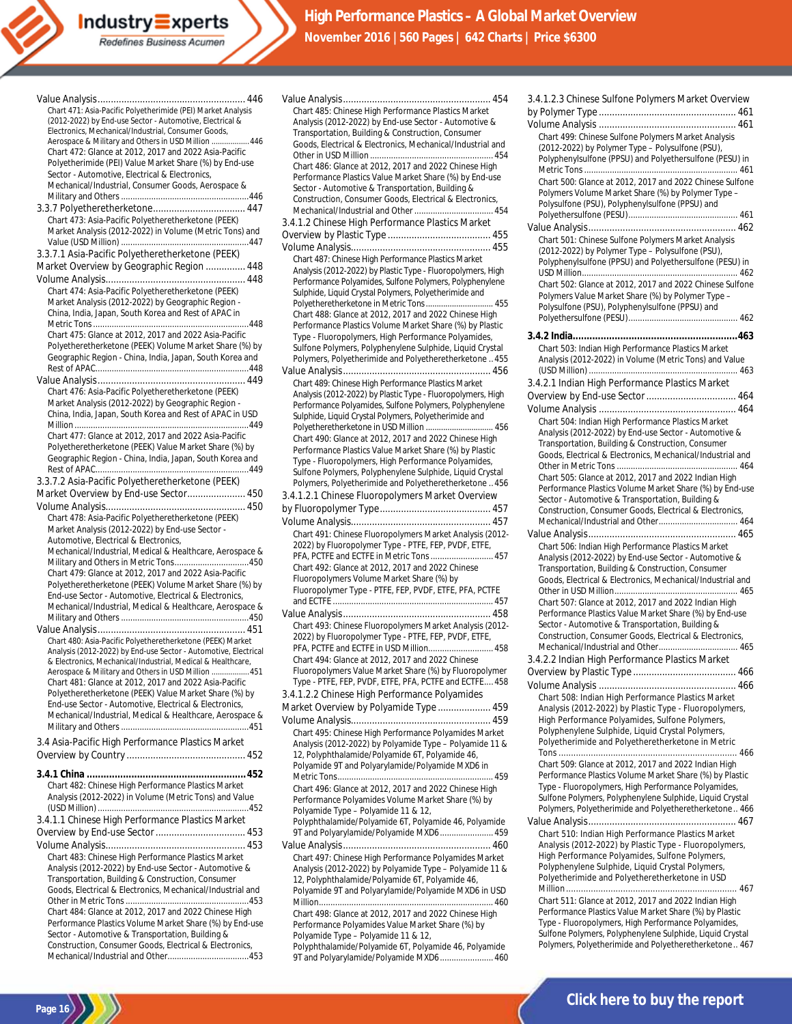| Chart 471: Asia-Pacific Polyetherimide (PEI) Market Analysis<br>(2012-2022) by End-use Sector - Automotive, Electrical &<br>Electronics, Mechanical/Industrial, Consumer Goods, |
|---------------------------------------------------------------------------------------------------------------------------------------------------------------------------------|
| Aerospace & Military and Others in USD Million  446<br>Chart 472: Glance at 2012, 2017 and 2022 Asia-Pacific<br>Polyetherimide (PEI) Value Market Share (%) by End-use          |
| Sector - Automotive, Electrical & Electronics,<br>Mechanical/Industrial, Consumer Goods, Aerospace &                                                                            |
|                                                                                                                                                                                 |
|                                                                                                                                                                                 |
| Chart 473: Asia-Pacific Polyetheretherketone (PEEK)<br>Market Analysis (2012-2022) in Volume (Metric Tons) and                                                                  |
| 3.3.7.1 Asia-Pacific Polyetheretherketone (PEEK)                                                                                                                                |
| Market Overview by Geographic Region  448                                                                                                                                       |
|                                                                                                                                                                                 |
| Chart 474: Asia-Pacific Polyetheretherketone (PEEK)                                                                                                                             |
| Market Analysis (2012-2022) by Geographic Region -                                                                                                                              |
| China, India, Japan, South Korea and Rest of APAC in                                                                                                                            |
| Chart 475: Glance at 2012, 2017 and 2022 Asia-Pacific                                                                                                                           |
| Polyetheretherketone (PEEK) Volume Market Share (%) by                                                                                                                          |
| Geographic Region - China, India, Japan, South Korea and                                                                                                                        |
|                                                                                                                                                                                 |
| Chart 476: Asia-Pacific Polyetheretherketone (PEEK)<br>Market Analysis (2012-2022) by Geographic Region -                                                                       |
| China, India, Japan, South Korea and Rest of APAC in USD                                                                                                                        |
|                                                                                                                                                                                 |
| Chart 477: Glance at 2012, 2017 and 2022 Asia-Pacific<br>Polyetheretherketone (PEEK) Value Market Share (%) by                                                                  |
| Geographic Region - China, India, Japan, South Korea and                                                                                                                        |
|                                                                                                                                                                                 |
| 3.3.7.2 Asia-Pacific Polyetheretherketone (PEEK)                                                                                                                                |
| Market Overview by End-use Sector 450                                                                                                                                           |
| Chart 478: Asia-Pacific Polyetheretherketone (PEEK)                                                                                                                             |
| Market Analysis (2012-2022) by End-use Sector -                                                                                                                                 |
| Automotive, Electrical & Electronics,<br>Mechanical/Industrial, Medical & Healthcare, Aerospace &                                                                               |
| Military and Others in Metric Tons450                                                                                                                                           |
| Chart 479: Glance at 2012, 2017 and 2022 Asia-Pacific                                                                                                                           |
| Polyetheretherketone (PEEK) Volume Market Share (%) by<br>End-use Sector - Automotive, Electrical & Electronics,                                                                |
| Mechanical/Industrial, Medical & Healthcare, Aerospace &                                                                                                                        |
|                                                                                                                                                                                 |
| Chart 480: Asia-Pacific Polyetheretherketone (PEEK) Market                                                                                                                      |
| Analysis (2012-2022) by End-use Sector - Automotive, Electrical                                                                                                                 |
| & Electronics, Mechanical/Industrial, Medical & Healthcare,                                                                                                                     |
| Aerospace & Military and Others in USD Million  451<br>Chart 481: Glance at 2012, 2017 and 2022 Asia-Pacific                                                                    |
| Polyetheretherketone (PEEK) Value Market Share (%) by                                                                                                                           |
| End-use Sector - Automotive, Electrical & Electronics,<br>Mechanical/Industrial, Medical & Healthcare, Aerospace &                                                              |
|                                                                                                                                                                                 |
| 3.4 Asia-Pacific High Performance Plastics Market                                                                                                                               |
|                                                                                                                                                                                 |
|                                                                                                                                                                                 |
| Chart 482: Chinese High Performance Plastics Market<br>Analysis (2012-2022) in Volume (Metric Tons) and Value                                                                   |
|                                                                                                                                                                                 |
| 3.4.1.1 Chinese High Performance Plastics Market                                                                                                                                |
|                                                                                                                                                                                 |
| Chart 483: Chinese High Performance Plastics Market                                                                                                                             |
| Analysis (2012-2022) by End-use Sector - Automotive &                                                                                                                           |
| Transportation, Building & Construction, Consumer                                                                                                                               |
| Goods, Electrical & Electronics, Mechanical/Industrial and                                                                                                                      |
| Chart 484: Glance at 2012, 2017 and 2022 Chinese High                                                                                                                           |
| Performance Plastics Volume Market Share (%) by End-use                                                                                                                         |
| Sector - Automotive & Transportation, Building &<br>Construction Consumer Coods Electrical & Electronics                                                                        |

Construction, Consumer Goods, Electrical & Electronics, Mechanical/Industrial and Other...................................453

**Page 16**

| Chart 485: Chinese High Performance Plastics Market                                                              |
|------------------------------------------------------------------------------------------------------------------|
| Analysis (2012-2022) by End-use Sector - Automotive &                                                            |
| Transportation, Building & Construction, Consumer                                                                |
| Goods, Electrical & Electronics, Mechanical/Industrial and                                                       |
|                                                                                                                  |
| Chart 486: Glance at 2012, 2017 and 2022 Chinese High                                                            |
| Performance Plastics Value Market Share (%) by End-use                                                           |
| Sector - Automotive & Transportation, Building &                                                                 |
| Construction, Consumer Goods, Electrical & Electronics,                                                          |
| Mechanical/Industrial and Other  454                                                                             |
| 3.4.1.2 Chinese High Performance Plastics Market                                                                 |
|                                                                                                                  |
|                                                                                                                  |
| Chart 487: Chinese High Performance Plastics Market                                                              |
| Analysis (2012-2022) by Plastic Type - Fluoropolymers, High                                                      |
| Performance Polyamides, Sulfone Polymers, Polyphenylene<br>Sulphide, Liquid Crystal Polymers, Polyetherimide and |
| Polyetheretherketone in Metric Tons 455                                                                          |
| Chart 488: Glance at 2012, 2017 and 2022 Chinese High                                                            |
| Performance Plastics Volume Market Share (%) by Plastic                                                          |
| Type - Fluoropolymers, High Performance Polyamides,                                                              |
| Sulfone Polymers, Polyphenylene Sulphide, Liquid Crystal                                                         |
| Polymers, Polyetherimide and Polyetheretherketone455                                                             |
|                                                                                                                  |
| Chart 489: Chinese High Performance Plastics Market                                                              |
| Analysis (2012-2022) by Plastic Type - Fluoropolymers, High                                                      |
| Performance Polyamides, Sulfone Polymers, Polyphenylene                                                          |
| Sulphide, Liquid Crystal Polymers, Polyetherimide and                                                            |
| Polyetheretherketone in USD Million  456                                                                         |
| Chart 490: Glance at 2012, 2017 and 2022 Chinese High                                                            |
| Performance Plastics Value Market Share (%) by Plastic                                                           |
| Type - Fluoropolymers, High Performance Polyamides,                                                              |
| Sulfone Polymers, Polyphenylene Sulphide, Liquid Crystal<br>Polymers, Polyetherimide and Polyetheretherketone456 |
|                                                                                                                  |
| 3.4.1.2.1 Chinese Fluoropolymers Market Overview                                                                 |
|                                                                                                                  |
|                                                                                                                  |
| Chart 491: Chinese Fluoropolymers Market Analysis (2012-                                                         |
|                                                                                                                  |
| 2022) by Fluoropolymer Type - PTFE, FEP, PVDF, ETFE,                                                             |
| PFA, PCTFE and ECTFE in Metric Tons  457                                                                         |
| Chart 492: Glance at 2012, 2017 and 2022 Chinese                                                                 |
| Fluoropolymers Volume Market Share (%) by                                                                        |
| Fluoropolymer Type - PTFE, FEP, PVDF, ETFE, PFA, PCTFE                                                           |
|                                                                                                                  |
|                                                                                                                  |
| Chart 493: Chinese Fluoropolymers Market Analysis (2012-                                                         |
| 2022) by Fluoropolymer Type - PTFE, FEP, PVDF, ETFE,                                                             |
| PFA, PCTFE and ECTFE in USD Million 458                                                                          |
| Chart 494: Glance at 2012, 2017 and 2022 Chinese<br>Fluoropolymers Value Market Share (%) by Fluoropolymer       |
| Type - PTFE, FEP, PVDF, ETFE, PFA, PCTFE and ECTFE 458                                                           |
| 3.4.1.2.2 Chinese High Performance Polyamides                                                                    |
|                                                                                                                  |
| Market Overview by Polyamide Type  459                                                                           |
|                                                                                                                  |
| Chart 495: Chinese High Performance Polyamides Market                                                            |
| Analysis (2012-2022) by Polyamide Type - Polyamide 11 &<br>12, Polyphthalamide/Polyamide 6T, Polyamide 46,       |
| Polyamide 9T and Polyarylamide/Polyamide MXD6 in                                                                 |
|                                                                                                                  |
| Chart 496: Glance at 2012, 2017 and 2022 Chinese High                                                            |
| Performance Polyamides Volume Market Share (%) by                                                                |
| Polyamide Type - Polyamide 11 & 12,                                                                              |
| Polyphthalamide/Polyamide 6T, Polyamide 46, Polyamide                                                            |
| 9T and Polyarylamide/Polyamide MXD6 459                                                                          |
|                                                                                                                  |
| Chart 497: Chinese High Performance Polyamides Market                                                            |
| Analysis (2012-2022) by Polyamide Type - Polyamide 11 &                                                          |
| 12, Polyphthalamide/Polyamide 6T, Polyamide 46,                                                                  |
| Polyamide 9T and Polyarylamide/Polyamide MXD6 in USD                                                             |
| Chart 498: Glance at 2012, 2017 and 2022 Chinese High                                                            |

Polyamide Type – Polyamide 11 & 12, Polyphthalamide/Polyamide 6T, Polyamide 46, Polyamide 9T and Polyarylamide/Polyamide MXD6....................... 460

| 3.4.1.2.3 Chinese Sulfone Polymers Market Overview                                                              |
|-----------------------------------------------------------------------------------------------------------------|
|                                                                                                                 |
|                                                                                                                 |
|                                                                                                                 |
|                                                                                                                 |
| Chart 499: Chinese Sulfone Polymers Market Analysis                                                             |
| (2012-2022) by Polymer Type - Polysulfone (PSU),                                                                |
| Polyphenylsulfone (PPSU) and Polyethersulfone (PESU) in                                                         |
|                                                                                                                 |
| Chart 500: Glance at 2012, 2017 and 2022 Chinese Sulfone                                                        |
| Polymers Volume Market Share (%) by Polymer Type -                                                              |
| Polysulfone (PSU), Polyphenylsulfone (PPSU) and                                                                 |
|                                                                                                                 |
|                                                                                                                 |
|                                                                                                                 |
| Chart 501: Chinese Sulfone Polymers Market Analysis                                                             |
| (2012-2022) by Polymer Type - Polysulfone (PSU),                                                                |
| Polyphenylsulfone (PPSU) and Polyethersulfone (PESU) in                                                         |
|                                                                                                                 |
|                                                                                                                 |
| Chart 502: Glance at 2012, 2017 and 2022 Chinese Sulfone                                                        |
| Polymers Value Market Share (%) by Polymer Type -                                                               |
| Polysulfone (PSU), Polyphenylsulfone (PPSU) and                                                                 |
|                                                                                                                 |
|                                                                                                                 |
|                                                                                                                 |
| Chart 503: Indian High Performance Plastics Market                                                              |
| Analysis (2012-2022) in Volume (Metric Tons) and Value                                                          |
|                                                                                                                 |
| 3.4.2.1 Indian High Performance Plastics Market                                                                 |
|                                                                                                                 |
|                                                                                                                 |
|                                                                                                                 |
| Chart 504: Indian High Performance Plastics Market                                                              |
| Analysis (2012-2022) by End-use Sector - Automotive &                                                           |
|                                                                                                                 |
| Transportation, Building & Construction, Consumer                                                               |
| Goods, Electrical & Electronics, Mechanical/Industrial and                                                      |
|                                                                                                                 |
| Chart 505: Glance at 2012, 2017 and 2022 Indian High                                                            |
| Performance Plastics Volume Market Share (%) by End-use                                                         |
| Sector - Automotive & Transportation, Building &                                                                |
| Construction, Consumer Goods, Electrical & Electronics,                                                         |
|                                                                                                                 |
|                                                                                                                 |
|                                                                                                                 |
| Chart 506: Indian High Performance Plastics Market                                                              |
| Analysis (2012-2022) by End-use Sector - Automotive &                                                           |
|                                                                                                                 |
|                                                                                                                 |
| Transportation, Building & Construction, Consumer                                                               |
| Goods, Electrical & Electronics, Mechanical/Industrial and                                                      |
|                                                                                                                 |
| Chart 507: Glance at 2012, 2017 and 2022 Indian High                                                            |
| Performance Plastics Value Market Share (%) by End-use                                                          |
| Sector - Automotive & Transportation, Building &                                                                |
| Construction, Consumer Goods, Electrical & Electronics,                                                         |
| Mechanical/Industrial and Other 465                                                                             |
|                                                                                                                 |
| 3.4.2.2 Indian High Performance Plastics Market                                                                 |
|                                                                                                                 |
|                                                                                                                 |
|                                                                                                                 |
| Chart 508: Indian High Performance Plastics Market                                                              |
| Analysis (2012-2022) by Plastic Type - Fluoropolymers,                                                          |
| High Performance Polyamides, Sulfone Polymers,                                                                  |
| Polyphenylene Sulphide, Liquid Crystal Polymers,                                                                |
| Polyetherimide and Polyetheretherketone in Metric                                                               |
|                                                                                                                 |
| Chart 509: Glance at 2012, 2017 and 2022 Indian High                                                            |
| Performance Plastics Volume Market Share (%) by Plastic                                                         |
| Type - Fluoropolymers, High Performance Polyamides,                                                             |
| Sulfone Polymers, Polyphenylene Sulphide, Liquid Crystal                                                        |
|                                                                                                                 |
| Polymers, Polyetherimide and Polyetheretherketone 466                                                           |
|                                                                                                                 |
| Chart 510: Indian High Performance Plastics Market                                                              |
| Analysis (2012-2022) by Plastic Type - Fluoropolymers,                                                          |
| High Performance Polyamides, Sulfone Polymers,                                                                  |
| Polyphenylene Sulphide, Liquid Crystal Polymers,                                                                |
| Polyetherimide and Polyetheretherketone in USD                                                                  |
|                                                                                                                 |
|                                                                                                                 |
| Chart 511: Glance at 2012, 2017 and 2022 Indian High                                                            |
| Performance Plastics Value Market Share (%) by Plastic                                                          |
| Type - Fluoropolymers, High Performance Polyamides,<br>Sulfone Polymers, Polyphenylene Sulphide, Liquid Crystal |

Polymers, Polyetherimide and Polyetheretherketone.. 467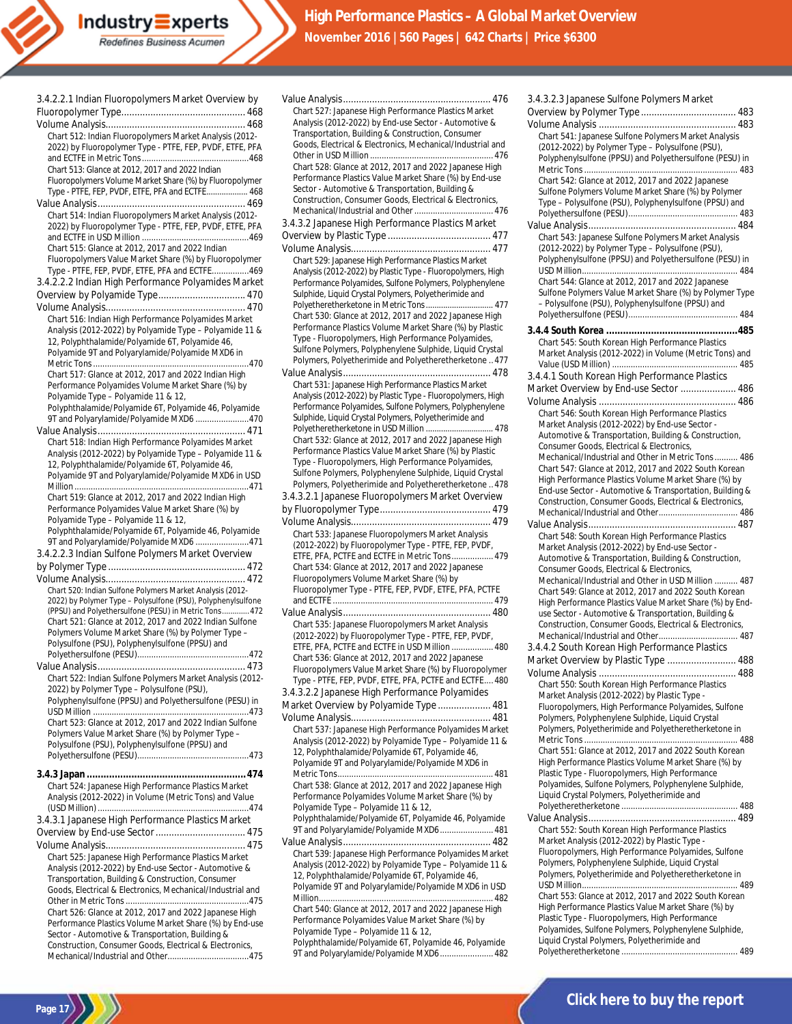

| 3.4.2.2.1 Indian Fluoropolymers Market Overview by                                                                  |
|---------------------------------------------------------------------------------------------------------------------|
|                                                                                                                     |
|                                                                                                                     |
| Chart 512: Indian Fluoropolymers Market Analysis (2012-                                                             |
| 2022) by Fluoropolymer Type - PTFE, FEP, PVDF, ETFE, PFA                                                            |
|                                                                                                                     |
| Chart 513: Glance at 2012, 2017 and 2022 Indian                                                                     |
| Fluoropolymers Volume Market Share (%) by Fluoropolymer                                                             |
| Type - PTFE, FEP, PVDF, ETFE, PFA and ECTFE 468                                                                     |
|                                                                                                                     |
| Chart 514: Indian Fluoropolymers Market Analysis (2012-<br>2022) by Fluoropolymer Type - PTFE, FEP, PVDF, ETFE, PFA |
|                                                                                                                     |
| Chart 515: Glance at 2012, 2017 and 2022 Indian                                                                     |
| Fluoropolymers Value Market Share (%) by Fluoropolymer                                                              |
| Type - PTFE, FEP, PVDF, ETFE, PFA and ECTFE469                                                                      |
| 3.4.2.2.2 Indian High Performance Polyamides Market                                                                 |
| Overview by Polyamide Type 470                                                                                      |
|                                                                                                                     |
| Chart 516: Indian High Performance Polyamides Market                                                                |
| Analysis (2012-2022) by Polyamide Type - Polyamide 11 &                                                             |
| 12, Polyphthalamide/Polyamide 6T, Polyamide 46,                                                                     |
| Polyamide 9T and Polyarylamide/Polyamide MXD6 in                                                                    |
|                                                                                                                     |
| Chart 517: Glance at 2012, 2017 and 2022 Indian High                                                                |
| Performance Polyamides Volume Market Share (%) by                                                                   |
| Polyamide Type - Polyamide 11 & 12,                                                                                 |
| Polyphthalamide/Polyamide 6T, Polyamide 46, Polyamide                                                               |
| 9T and Polyarylamide/Polyamide MXD6 470                                                                             |
|                                                                                                                     |
| Chart 518: Indian High Performance Polyamides Market                                                                |
| Analysis (2012-2022) by Polyamide Type - Polyamide 11 &                                                             |
| 12, Polyphthalamide/Polyamide 6T, Polyamide 46,<br>Polyamide 9T and Polyarylamide/Polyamide MXD6 in USD             |
|                                                                                                                     |
| Chart 519: Glance at 2012, 2017 and 2022 Indian High                                                                |
| Performance Polyamides Value Market Share (%) by                                                                    |
| Polyamide Type - Polyamide 11 & 12,                                                                                 |
| Polyphthalamide/Polyamide 6T, Polyamide 46, Polyamide                                                               |
| 9T and Polyarylamide/Polyamide MXD6 471                                                                             |
| 3.4.2.2.3 Indian Sulfone Polymers Market Overview                                                                   |
|                                                                                                                     |
|                                                                                                                     |
| Chart 520: Indian Sulfone Polymers Market Analysis (2012-                                                           |
| 2022) by Polymer Type - Polysulfone (PSU), Polyphenylsulfone                                                        |
| (PPSU) and Polyethersulfone (PESU) in Metric Tons 472                                                               |
| Chart 521: Glance at 2012, 2017 and 2022 Indian Sulfone<br>Polymers Volume Market Share (%) by Polymer Type -       |
| Polysulfone (PSU), Polyphenylsulfone (PPSU) and                                                                     |
|                                                                                                                     |
|                                                                                                                     |
| Chart 522: Indian Sulfone Polymers Market Analysis (2012-                                                           |
| 2022) by Polymer Type - Polysulfone (PSU),                                                                          |
| Polyphenylsulfone (PPSU) and Polyethersulfone (PESU) in                                                             |
|                                                                                                                     |
| Chart 523: Glance at 2012, 2017 and 2022 Indian Sulfone                                                             |
| Polymers Value Market Share (%) by Polymer Type -                                                                   |
| Polysulfone (PSU), Polyphenylsulfone (PPSU) and                                                                     |
|                                                                                                                     |
|                                                                                                                     |
| Chart 524: Japanese High Performance Plastics Market                                                                |
| Analysis (2012-2022) in Volume (Metric Tons) and Value                                                              |
|                                                                                                                     |
| 3.4.3.1 Japanese High Performance Plastics Market                                                                   |
|                                                                                                                     |
|                                                                                                                     |
| Chart 525: Japanese High Performance Plastics Market                                                                |
| Analysis (2012-2022) by End-use Sector - Automotive &                                                               |
| Transportation, Building & Construction, Consumer                                                                   |
| Goods, Electrical & Electronics, Mechanical/Industrial and                                                          |
|                                                                                                                     |
| Chart 526: Glance at 2012, 2017 and 2022 Japanese High<br>Performance Plastics Volume Market Share (%) by End-use   |
| Sector - Automotive & Transportation, Building &                                                                    |
| Construction, Consumer Goods, Electrical & Electronics,                                                             |

**Industry Experts**<br>Redefines Business Acumen

Mechanical/Industrial and Other...................................475

| Chart 527: Japanese High Performance Plastics Market                                                                   |
|------------------------------------------------------------------------------------------------------------------------|
| Analysis (2012-2022) by End-use Sector - Automotive &                                                                  |
| Transportation, Building & Construction, Consumer<br>Goods, Electrical & Electronics, Mechanical/Industrial and        |
|                                                                                                                        |
| Chart 528: Glance at 2012, 2017 and 2022 Japanese High                                                                 |
| Performance Plastics Value Market Share (%) by End-use<br>Sector - Automotive & Transportation, Building &             |
| Construction, Consumer Goods, Electrical & Electronics,                                                                |
| Mechanical/Industrial and Other 476                                                                                    |
| 3.4.3.2 Japanese High Performance Plastics Market                                                                      |
|                                                                                                                        |
| Chart 529: Japanese High Performance Plastics Market                                                                   |
| Analysis (2012-2022) by Plastic Type - Fluoropolymers, High                                                            |
| Performance Polyamides, Sulfone Polymers, Polyphenylene                                                                |
| Sulphide, Liquid Crystal Polymers, Polyetherimide and<br>Polyetheretherketone in Metric Tons 477                       |
| Chart 530: Glance at 2012, 2017 and 2022 Japanese High                                                                 |
| Performance Plastics Volume Market Share (%) by Plastic                                                                |
| Type - Fluoropolymers, High Performance Polyamides,<br>Sulfone Polymers, Polyphenylene Sulphide, Liquid Crystal        |
| Polymers, Polyetherimide and Polyetheretherketone477                                                                   |
|                                                                                                                        |
| Chart 531: Japanese High Performance Plastics Market                                                                   |
| Analysis (2012-2022) by Plastic Type - Fluoropolymers, High<br>Performance Polyamides, Sulfone Polymers, Polyphenylene |
| Sulphide, Liquid Crystal Polymers, Polyetherimide and                                                                  |
| Polyetheretherketone in USD Million  478                                                                               |
| Chart 532: Glance at 2012, 2017 and 2022 Japanese High                                                                 |
| Performance Plastics Value Market Share (%) by Plastic<br>Type - Fluoropolymers, High Performance Polyamides,          |
| Sulfone Polymers, Polyphenylene Sulphide, Liquid Crystal                                                               |
| Polymers, Polyetherimide and Polyetheretherketone 478                                                                  |
| 3.4.3.2.1 Japanese Fluoropolymers Market Overview                                                                      |
|                                                                                                                        |
| Chart 533: Japanese Fluoropolymers Market Analysis                                                                     |
| (2012-2022) by Fluoropolymer Type - PTFE, FEP, PVDF,                                                                   |
| ETFE, PFA, PCTFE and ECTFE in Metric Tons 479                                                                          |
| Chart 534: Glance at 2012, 2017 and 2022 Japanese<br>Fluoropolymers Volume Market Share (%) by                         |
| Fluoropolymer Type - PTFE, FEP, PVDF, ETFE, PFA, PCTFE                                                                 |
|                                                                                                                        |
|                                                                                                                        |
| Chart 535: Japanese Fluoropolymers Market Analysis<br>(2012-2022) by Fluoropolymer Type - PTFE, FEP, PVDF,             |
| ETFE, PFA, PCTFE and ECTFE in USD Million  480                                                                         |
| Chart 536: Glance at 2012, 2017 and 2022 Japanese                                                                      |
| Fluoropolymers Value Market Share (%) by Fluoropolymer                                                                 |
| Type - PTFE, FEP, PVDF, ETFE, PFA, PCTFE and ECTFE 480<br>3.4.3.2.2 Japanese High Performance Polyamides               |
| Market Overview by Polyamide Type  481                                                                                 |
|                                                                                                                        |
| Chart 537: Japanese High Performance Polyamides Market                                                                 |
| Analysis (2012-2022) by Polyamide Type - Polyamide 11 &                                                                |
| 12, Polyphthalamide/Polyamide 6T, Polyamide 46,                                                                        |
| Polyamide 9T and Polyarylamide/Polyamide MXD6 in                                                                       |
| Chart 538: Glance at 2012, 2017 and 2022 Japanese High                                                                 |
| Performance Polyamides Volume Market Share (%) by                                                                      |
| Polyamide Type - Polyamide 11 & 12,<br>Polyphthalamide/Polyamide 6T, Polyamide 46, Polyamide                           |
| 9T and Polyarylamide/Polyamide MXD6 481                                                                                |
|                                                                                                                        |
| Chart 539: Japanese High Performance Polyamides Market                                                                 |
| Analysis (2012-2022) by Polyamide Type - Polyamide 11 &<br>12, Polyphthalamide/Polyamide 6T, Polyamide 46,             |
| Polyamide 9T and Polyarylamide/Polyamide MXD6 in USD                                                                   |
|                                                                                                                        |
| Chart 540: Glance at 2012, 2017 and 2022 Japanese High                                                                 |
| Performance Polyamides Value Market Share (%) by<br>Polyamide Type - Polyamide 11 & 12,                                |
| Polyphthalamide/Polyamide 6T, Polyamide 46, Polyamide                                                                  |
| 9T and Polyarylamide/Polyamide MXD6 482                                                                                |

| 3.4.3.2.3 Japanese Sulfone Polymers Market               |
|----------------------------------------------------------|
|                                                          |
|                                                          |
| Chart 541: Japanese Sulfone Polymers Market Analysis     |
| (2012-2022) by Polymer Type - Polysulfone (PSU),         |
| Polyphenylsulfone (PPSU) and Polyethersulfone (PESU) in  |
|                                                          |
|                                                          |
| Chart 542: Glance at 2012, 2017 and 2022 Japanese        |
| Sulfone Polymers Volume Market Share (%) by Polymer      |
| Type - Polysulfone (PSU), Polyphenylsulfone (PPSU) and   |
|                                                          |
|                                                          |
| Chart 543: Japanese Sulfone Polymers Market Analysis     |
| (2012-2022) by Polymer Type - Polysulfone (PSU),         |
| Polyphenylsulfone (PPSU) and Polyethersulfone (PESU) in  |
|                                                          |
| Chart 544: Glance at 2012, 2017 and 2022 Japanese        |
| Sulfone Polymers Value Market Share (%) by Polymer Type  |
| - Polysulfone (PSU), Polyphenylsulfone (PPSU) and        |
|                                                          |
|                                                          |
|                                                          |
| Chart 545: South Korean High Performance Plastics        |
| Market Analysis (2012-2022) in Volume (Metric Tons) and  |
|                                                          |
| 3.4.4.1 South Korean High Performance Plastics           |
| Market Overview by End-use Sector  486                   |
|                                                          |
|                                                          |
| Chart 546: South Korean High Performance Plastics        |
| Market Analysis (2012-2022) by End-use Sector -          |
| Automotive & Transportation, Building & Construction,    |
| Consumer Goods, Electrical & Electronics,                |
| Mechanical/Industrial and Other in Metric Tons 486       |
| Chart 547: Glance at 2012, 2017 and 2022 South Korean    |
| High Performance Plastics Volume Market Share (%) by     |
| End-use Sector - Automotive & Transportation, Building & |
| Construction, Consumer Goods, Electrical & Electronics,  |
|                                                          |
|                                                          |
|                                                          |
| Chart 548: South Korean High Performance Plastics        |
| Market Analysis (2012-2022) by End-use Sector -          |
| Automotive & Transportation, Building & Construction,    |
| Consumer Goods, Electrical & Electronics,                |
| Mechanical/Industrial and Other in USD Million  487      |
| Chart 549: Glance at 2012, 2017 and 2022 South Korean    |
| High Performance Plastics Value Market Share (%) by End- |
| use Sector - Automotive & Transportation, Building &     |
| Construction, Consumer Goods, Electrical & Electronics,  |
|                                                          |
| 3.4.4.2 South Korean High Performance Plastics           |
| Market Overview by Plastic Type  488                     |
|                                                          |
|                                                          |
| Chart 550: South Korean High Performance Plastics        |
| Market Analysis (2012-2022) by Plastic Type -            |
| Fluoropolymers, High Performance Polyamides, Sulfone     |
| Polymers, Polyphenylene Sulphide, Liquid Crystal         |
| Polymers, Polyetherimide and Polyetheretherketone in     |
|                                                          |
| Chart 551: Glance at 2012, 2017 and 2022 South Korean    |
| High Performance Plastics Volume Market Share (%) by     |
| Plastic Type - Fluoropolymers, High Performance          |
| Polyamides, Sulfone Polymers, Polyphenylene Sulphide,    |
| Liquid Crystal Polymers, Polyetherimide and              |
|                                                          |
|                                                          |
| Chart 552: South Korean High Performance Plastics        |
|                                                          |
| Market Analysis (2012-2022) by Plastic Type -            |
| Fluoropolymers, High Performance Polyamides, Sulfone     |
| Polymers, Polyphenylene Sulphide, Liquid Crystal         |
| Polymers, Polyetherimide and Polyetheretherketone in     |
|                                                          |
| Chart 553: Glance at 2012, 2017 and 2022 South Korean    |
| High Performance Plastics Value Market Share (%) by      |
| Plastic Type - Fluoropolymers, High Performance          |
| Polyamides, Sulfone Polymers, Polyphenylene Sulphide,    |
| Liquid Crystal Polymers, Polyetherimide and              |
|                                                          |
|                                                          |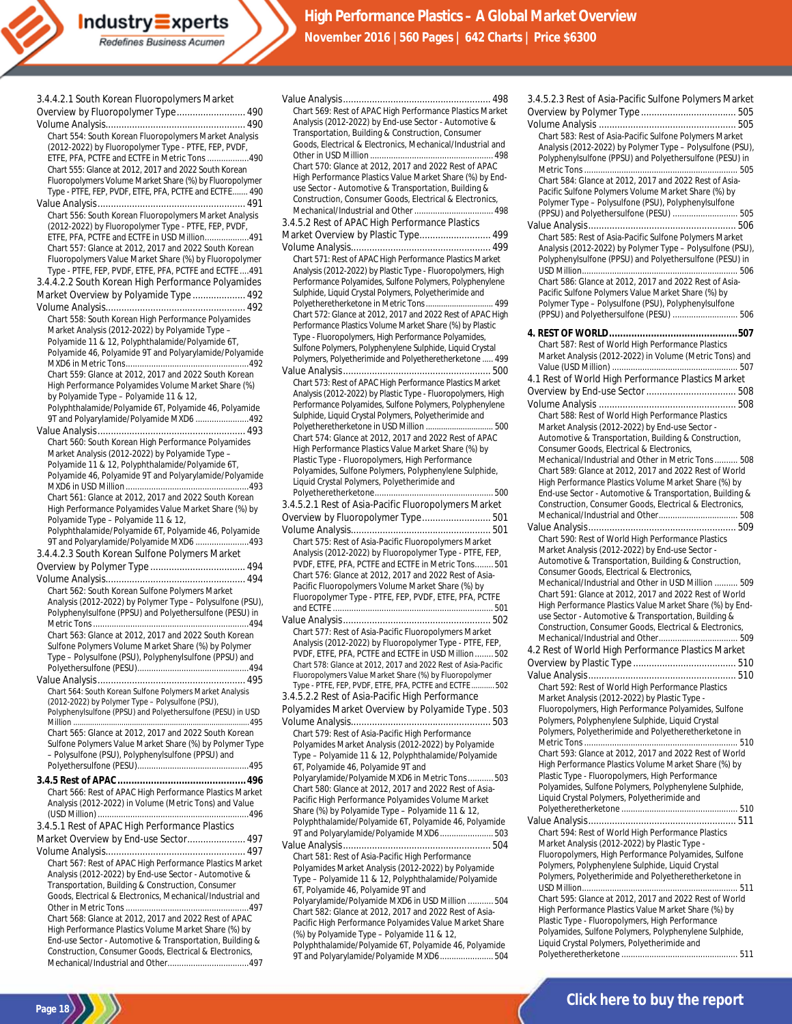| 3.4.4.2.1 South Korean Fluoropolymers Market                |
|-------------------------------------------------------------|
|                                                             |
| Overview by Fluoropolymer Type 490                          |
|                                                             |
|                                                             |
| Chart 554: South Korean Fluoropolymers Market Analysis      |
| (2012-2022) by Fluoropolymer Type - PTFE, FEP, PVDF,        |
|                                                             |
| ETFE, PFA, PCTFE and ECTFE in Metric Tons 490               |
| Chart 555: Glance at 2012, 2017 and 2022 South Korean       |
| Fluoropolymers Volume Market Share (%) by Fluoropolymer     |
|                                                             |
| Type - PTFE, FEP, PVDF, ETFE, PFA, PCTFE and ECTFE 490      |
|                                                             |
|                                                             |
| Chart 556: South Korean Fluoropolymers Market Analysis      |
| (2012-2022) by Fluoropolymer Type - PTFE, FEP, PVDF,        |
| ETFE, PFA, PCTFE and ECTFE in USD Million491                |
| Chart 557: Glance at 2012, 2017 and 2022 South Korean       |
|                                                             |
| Fluoropolymers Value Market Share (%) by Fluoropolymer      |
| Type - PTFE, FEP, PVDF, ETFE, PFA, PCTFE and ECTFE491       |
| 3.4.4.2.2 South Korean High Performance Polyamides          |
|                                                             |
| Market Overview by Polyamide Type  492                      |
|                                                             |
|                                                             |
| Chart 558: South Korean High Performance Polyamides         |
| Market Analysis (2012-2022) by Polyamide Type -             |
| Polyamide 11 & 12, Polyphthalamide/Polyamide 6T,            |
|                                                             |
| Polyamide 46, Polyamide 9T and Polyarylamide/Polyamide      |
|                                                             |
| Chart 559: Glance at 2012, 2017 and 2022 South Korean       |
| High Performance Polyamides Volume Market Share (%)         |
|                                                             |
| by Polyamide Type - Polyamide 11 & 12,                      |
| Polyphthalamide/Polyamide 6T, Polyamide 46, Polyamide       |
| 9T and Polyarylamide/Polyamide MXD6 492                     |
|                                                             |
|                                                             |
| Chart 560: South Korean High Performance Polyamides         |
| Market Analysis (2012-2022) by Polyamide Type -             |
| Polyamide 11 & 12, Polyphthalamide/Polyamide 6T,            |
|                                                             |
| Polyamide 46, Polyamide 9T and Polyarylamide/Polyamide      |
|                                                             |
| Chart 561: Glance at 2012, 2017 and 2022 South Korean       |
| High Performance Polyamides Value Market Share (%) by       |
| Polyamide Type - Polyamide 11 & 12,                         |
|                                                             |
| Polyphthalamide/Polyamide 6T, Polyamide 46, Polyamide       |
|                                                             |
| 9T and Polyarylamide/Polyamide MXD6 493                     |
|                                                             |
| 3.4.4.2.3 South Korean Sulfone Polymers Market              |
|                                                             |
|                                                             |
|                                                             |
| Chart 562: South Korean Sulfone Polymers Market             |
| Analysis (2012-2022) by Polymer Type - Polysulfone (PSU),   |
| Polyphenylsulfone (PPSU) and Polyethersulfone (PESU) in     |
|                                                             |
|                                                             |
| Chart 563: Glance at 2012, 2017 and 2022 South Korean       |
| Sulfone Polymers Volume Market Share (%) by Polymer         |
| Type - Polysulfone (PSU), Polyphenylsulfone (PPSU) and      |
|                                                             |
|                                                             |
|                                                             |
| Chart 564: South Korean Sulfone Polymers Market Analysis    |
| (2012-2022) by Polymer Type - Polysulfone (PSU),            |
|                                                             |
| Polyphenylsulfone (PPSU) and Polyethersulfone (PESU) in USD |
|                                                             |
| Chart 565: Glance at 2012, 2017 and 2022 South Korean       |
| Sulfone Polymers Value Market Share (%) by Polymer Type     |
|                                                             |
| - Polysulfone (PSU), Polyphenylsulfone (PPSU) and           |
|                                                             |
|                                                             |
| Chart 566: Rest of APAC High Performance Plastics Market    |
|                                                             |
| Analysis (2012-2022) in Volume (Metric Tons) and Value      |
|                                                             |
| 3.4.5.1 Rest of APAC High Performance Plastics              |
|                                                             |
| Market Overview by End-use Sector 497                       |
|                                                             |
| Chart 567: Rest of APAC High Performance Plastics Market    |
|                                                             |
| Analysis (2012-2022) by End-use Sector - Automotive &       |
| Transportation, Building & Construction, Consumer           |
| Goods, Electrical & Electronics, Mechanical/Industrial and  |
|                                                             |
| Chart 568: Glance at 2012, 2017 and 2022 Rest of APAC       |
|                                                             |
| High Performance Plastics Volume Market Share (%) by        |
| End-use Sector - Automotive & Transportation, Building &    |
| Construction, Consumer Goods, Electrical & Electronics,     |

**Page 18**

| Chart 569: Rest of APAC High Performance Plastics Market      |
|---------------------------------------------------------------|
| Analysis (2012-2022) by End-use Sector - Automotive &         |
| Transportation, Building & Construction, Consumer             |
|                                                               |
| Goods, Electrical & Electronics, Mechanical/Industrial and    |
|                                                               |
| Chart 570: Glance at 2012, 2017 and 2022 Rest of APAC         |
| High Performance Plastics Value Market Share (%) by End-      |
| use Sector - Automotive & Transportation, Building &          |
| Construction, Consumer Goods, Electrical & Electronics,       |
|                                                               |
|                                                               |
| 3.4.5.2 Rest of APAC High Performance Plastics                |
| Market Overview by Plastic Type 499                           |
|                                                               |
| Chart 571: Rest of APAC High Performance Plastics Market      |
| Analysis (2012-2022) by Plastic Type - Fluoropolymers, High   |
|                                                               |
| Performance Polyamides, Sulfone Polymers, Polyphenylene       |
| Sulphide, Liquid Crystal Polymers, Polyetherimide and         |
| Polyetheretherketone in Metric Tons 499                       |
| Chart 572: Glance at 2012, 2017 and 2022 Rest of APAC High    |
| Performance Plastics Volume Market Share (%) by Plastic       |
| Type - Fluoropolymers, High Performance Polyamides,           |
| Sulfone Polymers, Polyphenylene Sulphide, Liquid Crystal      |
|                                                               |
| Polymers, Polyetherimide and Polyetheretherketone  499        |
|                                                               |
| Chart 573: Rest of APAC High Performance Plastics Market      |
| Analysis (2012-2022) by Plastic Type - Fluoropolymers, High   |
| Performance Polyamides, Sulfone Polymers, Polyphenylene       |
| Sulphide, Liquid Crystal Polymers, Polyetherimide and         |
|                                                               |
| Polyetheretherketone in USD Million  500                      |
| Chart 574: Glance at 2012, 2017 and 2022 Rest of APAC         |
| High Performance Plastics Value Market Share (%) by           |
| Plastic Type - Fluoropolymers, High Performance               |
| Polyamides, Sulfone Polymers, Polyphenylene Sulphide,         |
| Liquid Crystal Polymers, Polyetherimide and                   |
|                                                               |
|                                                               |
| 3.4.5.2.1 Rest of Asia-Pacific Fluoropolymers Market          |
| Overview by Fluoropolymer Type 501                            |
|                                                               |
|                                                               |
|                                                               |
| Chart 575: Rest of Asia-Pacific Fluoropolymers Market         |
| Analysis (2012-2022) by Fluoropolymer Type - PTFE, FEP,       |
| PVDF, ETFE, PFA, PCTFE and ECTFE in Metric Tons 501           |
| Chart 576: Glance at 2012, 2017 and 2022 Rest of Asia-        |
| Pacific Fluoropolymers Volume Market Share (%) by             |
| Fluoropolymer Type - PTFE, FEP, PVDF, ETFE, PFA, PCTFE        |
|                                                               |
|                                                               |
|                                                               |
| Chart 577: Rest of Asia-Pacific Fluoropolymers Market         |
| Analysis (2012-2022) by Fluoropolymer Type - PTFE, FEP,       |
| PVDF, ETFE, PFA, PCTFE and ECTFE in USD Million  502          |
| Chart 578: Glance at 2012, 2017 and 2022 Rest of Asia-Pacific |
| Fluoropolymers Value Market Share (%) by Fluoropolymer        |
| Type - PTFE, FEP, PVDF, ETFE, PFA, PCTFE and ECTFE 502        |
|                                                               |
| 3.4.5.2.2 Rest of Asia-Pacific High Performance               |
| Polyamides Market Overview by Polyamide Type. 503             |
|                                                               |
| Chart 579: Rest of Asia-Pacific High Performance              |
|                                                               |
| Polyamides Market Analysis (2012-2022) by Polyamide           |
| Type - Polyamide 11 & 12, Polyphthalamide/Polyamide           |
| 6T, Polyamide 46, Polyamide 9T and                            |
| Polyarylamide/Polyamide MXD6 in Metric Tons  503              |
| Chart 580: Glance at 2012, 2017 and 2022 Rest of Asia-        |
| Pacific High Performance Polyamides Volume Market             |
| Share (%) by Polyamide Type - Polyamide 11 & 12,              |
|                                                               |
| Polyphthalamide/Polyamide 6T, Polyamide 46, Polyamide         |
| 9T and Polyarylamide/Polyamide MXD6 503                       |
|                                                               |
| Chart 581: Rest of Asia-Pacific High Performance              |
| Polyamides Market Analysis (2012-2022) by Polyamide           |
| Type - Polyamide 11 & 12, Polyphthalamide/Polyamide           |
| 6T, Polyamide 46, Polyamide 9T and                            |
| Polyarylamide/Polyamide MXD6 in USD Million  504              |
| Chart 582: Glance at 2012, 2017 and 2022 Rest of Asia-        |
| Pacific High Performance Polyamides Value Market Share        |
| (%) by Polyamide Type - Polyamide 11 & 12,                    |

9T and Polyarylamide/Polyamide MXD6....................... 504

| 3.4.5.2.3 Rest of Asia-Pacific Sulfone Polymers Market                                                         |
|----------------------------------------------------------------------------------------------------------------|
|                                                                                                                |
|                                                                                                                |
| Chart 583: Rest of Asia-Pacific Sulfone Polymers Market                                                        |
| Analysis (2012-2022) by Polymer Type - Polysulfone (PSU),                                                      |
| Polyphenylsulfone (PPSU) and Polyethersulfone (PESU) in                                                        |
|                                                                                                                |
| Chart 584: Glance at 2012, 2017 and 2022 Rest of Asia-<br>Pacific Sulfone Polymers Volume Market Share (%) by  |
|                                                                                                                |
| Polymer Type - Polysulfone (PSU), Polyphenylsulfone<br>(PPSU) and Polyethersulfone (PESU)  505                 |
|                                                                                                                |
| Chart 585: Rest of Asia-Pacific Sulfone Polymers Market                                                        |
| Analysis (2012-2022) by Polymer Type - Polysulfone (PSU),                                                      |
| Polyphenylsulfone (PPSU) and Polyethersulfone (PESU) in                                                        |
|                                                                                                                |
| Chart 586: Glance at 2012, 2017 and 2022 Rest of Asia-                                                         |
| Pacific Sulfone Polymers Value Market Share (%) by                                                             |
| Polymer Type - Polysulfone (PSU), Polyphenylsulfone                                                            |
| (PPSU) and Polyethersulfone (PESU)  506                                                                        |
|                                                                                                                |
| Chart 587: Rest of World High Performance Plastics                                                             |
| Market Analysis (2012-2022) in Volume (Metric Tons) and                                                        |
|                                                                                                                |
| 4.1 Rest of World High Performance Plastics Market                                                             |
|                                                                                                                |
|                                                                                                                |
| Chart 588: Rest of World High Performance Plastics                                                             |
| Market Analysis (2012-2022) by End-use Sector -                                                                |
| Automotive & Transportation, Building & Construction,                                                          |
| Consumer Goods, Electrical & Electronics,                                                                      |
| Mechanical/Industrial and Other in Metric Tons 508                                                             |
| Chart 589: Glance at 2012, 2017 and 2022 Rest of World                                                         |
| High Performance Plastics Volume Market Share (%) by                                                           |
| End-use Sector - Automotive & Transportation, Building &                                                       |
| Construction, Consumer Goods, Electrical & Electronics,                                                        |
|                                                                                                                |
|                                                                                                                |
|                                                                                                                |
| Chart 590: Rest of World High Performance Plastics                                                             |
| Market Analysis (2012-2022) by End-use Sector -                                                                |
| Automotive & Transportation, Building & Construction,                                                          |
| Consumer Goods, Electrical & Electronics,                                                                      |
| Mechanical/Industrial and Other in USD Million  509                                                            |
| Chart 591: Glance at 2012, 2017 and 2022 Rest of World                                                         |
| High Performance Plastics Value Market Share (%) by End-                                                       |
| use Sector - Automotive & Transportation, Building &                                                           |
| Construction, Consumer Goods, Electrical & Electronics,                                                        |
|                                                                                                                |
| 4.2 Rest of World High Performance Plastics Market                                                             |
|                                                                                                                |
| 510                                                                                                            |
| Chart 592: Rest of World High Performance Plastics                                                             |
| Market Analysis (2012-2022) by Plastic Type -                                                                  |
| Fluoropolymers, High Performance Polyamides, Sulfone                                                           |
| Polymers, Polyphenylene Sulphide, Liquid Crystal                                                               |
| Polymers, Polyetherimide and Polyetheretherketone in                                                           |
|                                                                                                                |
| Chart 593: Glance at 2012, 2017 and 2022 Rest of World<br>High Performance Plastics Volume Market Share (%) by |
| Plastic Type - Fluoropolymers, High Performance                                                                |
| Polyamides, Sulfone Polymers, Polyphenylene Sulphide,                                                          |
| Liquid Crystal Polymers, Polyetherimide and                                                                    |
|                                                                                                                |
|                                                                                                                |
| Chart 594: Rest of World High Performance Plastics                                                             |
| Market Analysis (2012-2022) by Plastic Type -                                                                  |
| Fluoropolymers, High Performance Polyamides, Sulfone                                                           |
| Polymers, Polyphenylene Sulphide, Liquid Crystal                                                               |
| Polymers, Polyetherimide and Polyetheretherketone in                                                           |
|                                                                                                                |
| Chart 595: Glance at 2012, 2017 and 2022 Rest of World                                                         |
| High Performance Plastics Value Market Share (%) by<br>Plastic Type - Fluoropolymers, High Performance         |
| Polyamides, Sulfone Polymers, Polyphenylene Sulphide,                                                          |
| Liquid Crystal Polymers, Polyetherimide and                                                                    |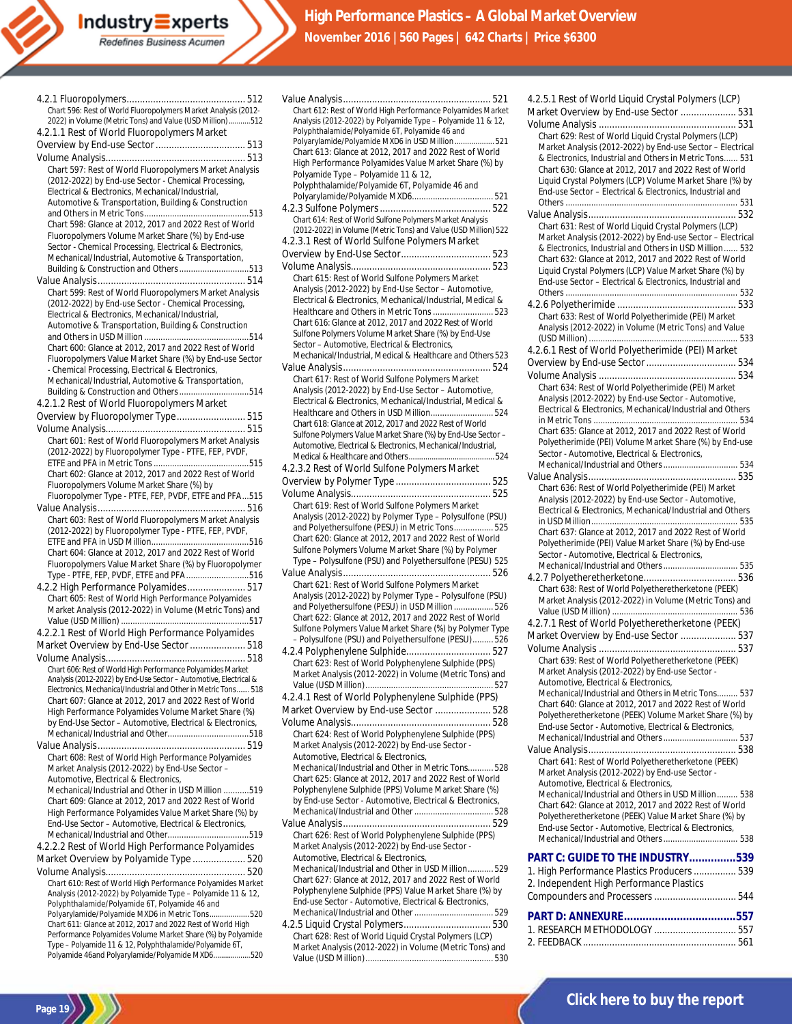| Chart 596: Rest of World Fluoropolymers Market Analysis (2012-    |
|-------------------------------------------------------------------|
| 2022) in Volume (Metric Tons) and Value (USD Million) 512         |
| 4.2.1.1 Rest of World Fluoropolymers Market                       |
|                                                                   |
|                                                                   |
|                                                                   |
| Chart 597: Rest of World Fluoropolymers Market Analysis           |
| (2012-2022) by End-use Sector - Chemical Processing,              |
| Electrical & Electronics, Mechanical/Industrial,                  |
| Automotive & Transportation, Building & Construction              |
|                                                                   |
|                                                                   |
| Chart 598: Glance at 2012, 2017 and 2022 Rest of World            |
| Fluoropolymers Volume Market Share (%) by End-use                 |
| Sector - Chemical Processing, Electrical & Electronics,           |
| Mechanical/Industrial, Automotive & Transportation,               |
| Building & Construction and Others513                             |
|                                                                   |
| Chart 599: Rest of World Fluoropolymers Market Analysis           |
|                                                                   |
| (2012-2022) by End-use Sector - Chemical Processing,              |
| Electrical & Electronics, Mechanical/Industrial,                  |
| Automotive & Transportation, Building & Construction              |
|                                                                   |
| Chart 600: Glance at 2012, 2017 and 2022 Rest of World            |
| Fluoropolymers Value Market Share (%) by End-use Sector           |
| - Chemical Processing, Electrical & Electronics,                  |
| Mechanical/Industrial, Automotive & Transportation,               |
| Building & Construction and Others514                             |
|                                                                   |
| 4.2.1.2 Rest of World Fluoropolymers Market                       |
| Overview by Fluoropolymer Type 515                                |
|                                                                   |
| Chart 601: Rest of World Fluoropolymers Market Analysis           |
|                                                                   |
| (2012-2022) by Fluoropolymer Type - PTFE, FEP, PVDF,              |
|                                                                   |
| Chart 602: Glance at 2012, 2017 and 2022 Rest of World            |
| Fluoropolymers Volume Market Share (%) by                         |
| Fluoropolymer Type - PTFE, FEP, PVDF, ETFE and PFA515             |
|                                                                   |
| Chart 603: Rest of World Fluoropolymers Market Analysis           |
| (2012-2022) by Fluoropolymer Type - PTFE, FEP, PVDF,              |
|                                                                   |
| Chart 604: Glance at 2012, 2017 and 2022 Rest of World            |
| Fluoropolymers Value Market Share (%) by Fluoropolymer            |
|                                                                   |
| Type - PTFE, FEP, PVDF, ETFE and PFA516                           |
| 4.2.2 High Performance Polyamides 517                             |
| Chart 605: Rest of World High Performance Polyamides              |
| Market Analysis (2012-2022) in Volume (Metric Tons) and           |
|                                                                   |
| 4.2.2.1 Rest of World High Performance Polyamides                 |
| Market Overview by End-Use Sector  518                            |
|                                                                   |
|                                                                   |
| Chart 606: Rest of World High Performance Polyamides Market       |
| Analysis (2012-2022) by End-Use Sector - Automotive, Electrical & |
| Electronics, Mechanical/Industrial and Other in Metric Tons 518   |
| Chart 607: Glance at 2012, 2017 and 2022 Rest of World            |
| High Performance Polyamides Volume Market Share (%)               |
| by End-Use Sector - Automotive, Electrical & Electronics,         |
|                                                                   |
|                                                                   |
|                                                                   |
| Chart 608: Rest of World High Performance Polyamides              |
| Market Analysis (2012-2022) by End-Use Sector -                   |
| Automotive. Electrical & Electronics.                             |
| Mechanical/Industrial and Other in USD Million 519                |
| Chart 609: Glance at 2012, 2017 and 2022 Rest of World            |
| High Performance Polyamides Value Market Share (%) by             |
| End-Use Sector - Automotive, Electrical & Electronics,            |
|                                                                   |
| 4.2.2.2 Rest of World High Performance Polyamides                 |
|                                                                   |
| Market Overview by Polyamide Type  520                            |
|                                                                   |
| Chart 610: Rest of World High Performance Polyamides Market       |
| Analysis (2012-2022) by Polyamide Type - Polyamide 11 & 12,       |
| Polyphthalamide/Polyamide 6T, Polyamide 46 and                    |
| Polyarylamide/Polyamide MXD6 in Metric Tons520                    |
| Chart 611: Glance at 2012, 2017 and 2022 Rest of World High       |
| Performance Polyamides Volume Market Share (%) by Polyamide       |
| Type - Polyamide 11 & 12. Polyphthalamide/Polyamide 6T.           |

Type – Polyamide 11 & 12, Polyphthalamide/Polyamide 6T, Polyamide 46and Polyarylamide/Polyamide MXD6...................520

**Page 19**

| Chart 612: Rest of World High Performance Polyamides Market     |
|-----------------------------------------------------------------|
| Analysis (2012-2022) by Polyamide Type - Polyamide 11 & 12,     |
| Polyphthalamide/Polyamide 6T, Polyamide 46 and                  |
|                                                                 |
| Polyarylamide/Polyamide MXD6 in USD Million  521                |
| Chart 613: Glance at 2012, 2017 and 2022 Rest of World          |
| High Performance Polyamides Value Market Share (%) by           |
| Polyamide Type - Polyamide 11 & 12,                             |
| Polyphthalamide/Polyamide 6T, Polyamide 46 and                  |
|                                                                 |
|                                                                 |
|                                                                 |
| Chart 614: Rest of World Sulfone Polymers Market Analysis       |
| (2012-2022) in Volume (Metric Tons) and Value (USD Million) 522 |
| 4.2.3.1 Rest of World Sulfone Polymers Market                   |
|                                                                 |
|                                                                 |
|                                                                 |
| Chart 615: Rest of World Sulfone Polymers Market                |
| Analysis (2012-2022) by End-Use Sector - Automotive,            |
| Electrical & Electronics, Mechanical/Industrial, Medical &      |
| Healthcare and Others in Metric Tons  523                       |
|                                                                 |
| Chart 616: Glance at 2012, 2017 and 2022 Rest of World          |
| Sulfone Polymers Volume Market Share (%) by End-Use             |
| Sector - Automotive, Electrical & Electronics,                  |
| Mechanical/Industrial, Medical & Healthcare and Others 523      |
|                                                                 |
| Chart 617: Rest of World Sulfone Polymers Market                |
|                                                                 |
| Analysis (2012-2022) by End-Use Sector - Automotive,            |
| Electrical & Electronics, Mechanical/Industrial, Medical &      |
|                                                                 |
| Chart 618: Glance at 2012, 2017 and 2022 Rest of World          |
| Sulfone Polymers Value Market Share (%) by End-Use Sector -     |
| Automotive, Electrical & Electronics, Mechanical/Industrial,    |
|                                                                 |
|                                                                 |
| 4.2.3.2 Rest of World Sulfone Polymers Market                   |
|                                                                 |
|                                                                 |
|                                                                 |
| Chart 619: Rest of World Sulfone Polymers Market                |
| Analysis (2012-2022) by Polymer Type - Polysulfone (PSU)        |
| and Polyethersulfone (PESU) in Metric Tons 525                  |
| Chart 620: Glance at 2012, 2017 and 2022 Rest of World          |
| Sulfone Polymers Volume Market Share (%) by Polymer             |
| Type - Polysulfone (PSU) and Polyethersulfone (PESU) 525        |
|                                                                 |
|                                                                 |
| Chart 621: Rest of World Sulfone Polymers Market                |
| Analysis (2012-2022) by Polymer Type - Polysulfone (PSU)        |
| and Polyethersulfone (PESU) in USD Million  526                 |
| Chart 622: Glance at 2012, 2017 and 2022 Rest of World          |
| Sulfone Polymers Value Market Share (%) by Polymer Type         |
| - Polysulfone (PSU) and Polyethersulfone (PESU)526              |
|                                                                 |
| 4.2.4 Polyphenylene Sulphide 527                                |
| Chart 623: Rest of World Polyphenylene Sulphide (PPS)           |
| Market Analysis (2012-2022) in Volume (Metric Tons) and         |
|                                                                 |
| 4.2.4.1 Rest of World Polyphenylene Sulphide (PPS)              |
|                                                                 |
| Market Overview by End-use Sector  528                          |
|                                                                 |
| Chart 624: Rest of World Polyphenylene Sulphide (PPS)           |
| Market Analysis (2012-2022) by End-use Sector -                 |
| Automotive, Electrical & Electronics,                           |
|                                                                 |
| Mechanical/Industrial and Other in Metric Tons 528              |
| Chart 625: Glance at 2012, 2017 and 2022 Rest of World          |
| Polyphenylene Sulphide (PPS) Volume Market Share (%)            |
| by End-use Sector - Automotive, Electrical & Electronics,       |
|                                                                 |
|                                                                 |
|                                                                 |
| Chart 626: Rest of World Polyphenylene Sulphide (PPS)           |
| Market Analysis (2012-2022) by End-use Sector -                 |
| Automotive, Electrical & Electronics,                           |
| Mechanical/Industrial and Other in USD Million 529              |
| Chart 627: Glance at 2012, 2017 and 2022 Rest of World          |
| Polyphenylene Sulphide (PPS) Value Market Share (%) by          |
| End-use Sector - Automotive, Electrical & Electronics,          |
|                                                                 |
|                                                                 |
|                                                                 |
| Chart 628: Rest of World Liquid Crystal Polymers (LCP)          |

Market Analysis (2012-2022) in Volume (Metric Tons) and Value (USD Million)....................................................... 530

| Market Overview by End-use Sector  531                                                                               |
|----------------------------------------------------------------------------------------------------------------------|
|                                                                                                                      |
| Chart 629: Rest of World Liquid Crystal Polymers (LCP)<br>Market Analysis (2012-2022) by End-use Sector - Electrical |
| & Electronics, Industrial and Others in Metric Tons 531                                                              |
| Chart 630: Glance at 2012, 2017 and 2022 Rest of World                                                               |
| Liquid Crystal Polymers (LCP) Volume Market Share (%) by                                                             |
| End-use Sector - Electrical & Electronics, Industrial and                                                            |
|                                                                                                                      |
| Chart 631: Rest of World Liquid Crystal Polymers (LCP)                                                               |
| Market Analysis (2012-2022) by End-use Sector - Electrical                                                           |
| & Electronics, Industrial and Others in USD Million  532                                                             |
| Chart 632: Glance at 2012, 2017 and 2022 Rest of World<br>Liquid Crystal Polymers (LCP) Value Market Share (%) by    |
| End-use Sector - Electrical & Electronics, Industrial and                                                            |
|                                                                                                                      |
|                                                                                                                      |
| Chart 633: Rest of World Polyetherimide (PEI) Market                                                                 |
| Analysis (2012-2022) in Volume (Metric Tons) and Value                                                               |
| 4.2.6.1 Rest of World Polyetherimide (PEI) Market                                                                    |
|                                                                                                                      |
|                                                                                                                      |
| Chart 634: Rest of World Polyetherimide (PEI) Market                                                                 |
| Analysis (2012-2022) by End-use Sector - Automotive,<br>Electrical & Electronics, Mechanical/Industrial and Others   |
|                                                                                                                      |
| Chart 635: Glance at 2012, 2017 and 2022 Rest of World                                                               |
| Polyetherimide (PEI) Volume Market Share (%) by End-use                                                              |
| Sector - Automotive, Electrical & Electronics,                                                                       |
| Mechanical/Industrial and Others 534                                                                                 |
| Chart 636: Rest of World Polyetherimide (PEI) Market                                                                 |
| Analysis (2012-2022) by End-use Sector - Automotive,                                                                 |
| Electrical & Electronics, Mechanical/Industrial and Others                                                           |
|                                                                                                                      |
| Chart 637: Glance at 2012, 2017 and 2022 Rest of World<br>Polyetherimide (PEI) Value Market Share (%) by End-use     |
| Sector - Automotive, Electrical & Electronics,                                                                       |
|                                                                                                                      |
| Mechanical/Industrial and Others 535                                                                                 |
|                                                                                                                      |
| Chart 638: Rest of World Polyetheretherketone (PEEK)                                                                 |
| Market Analysis (2012-2022) in Volume (Metric Tons) and                                                              |
|                                                                                                                      |
| 4.2.7.1 Rest of World Polyetheretherketone (PEEK)<br>Market Overview by End-use Sector  537                          |
|                                                                                                                      |
| Chart 639: Rest of World Polyetheretherketone (PEEK)                                                                 |
| Market Analysis (2012-2022) by End-use Sector -                                                                      |
| Automotive, Electrical & Electronics,                                                                                |
| Mechanical/Industrial and Others in Metric Tons 537<br>Chart 640: Glance at 2012, 2017 and 2022 Rest of World        |
| Polyetheretherketone (PEEK) Volume Market Share (%) by                                                               |
| End-use Sector - Automotive, Electrical & Electronics,                                                               |
|                                                                                                                      |
|                                                                                                                      |
| Chart 641: Rest of World Polyetheretherketone (PEEK)<br>Market Analysis (2012-2022) by End-use Sector -              |
| Automotive, Electrical & Electronics,                                                                                |
| Mechanical/Industrial and Others in USD Million 538                                                                  |
| Chart 642: Glance at 2012, 2017 and 2022 Rest of World                                                               |
| Polyetheretherketone (PEEK) Value Market Share (%) by<br>End-use Sector - Automotive, Electrical & Electronics,      |
| Mechanical/Industrial and Others  538                                                                                |
| PART C: GUIDE TO THE INDUSTRY539                                                                                     |
| 1. High Performance Plastics Producers  539                                                                          |
| 2. Independent High Performance Plastics                                                                             |
|                                                                                                                      |
|                                                                                                                      |
|                                                                                                                      |